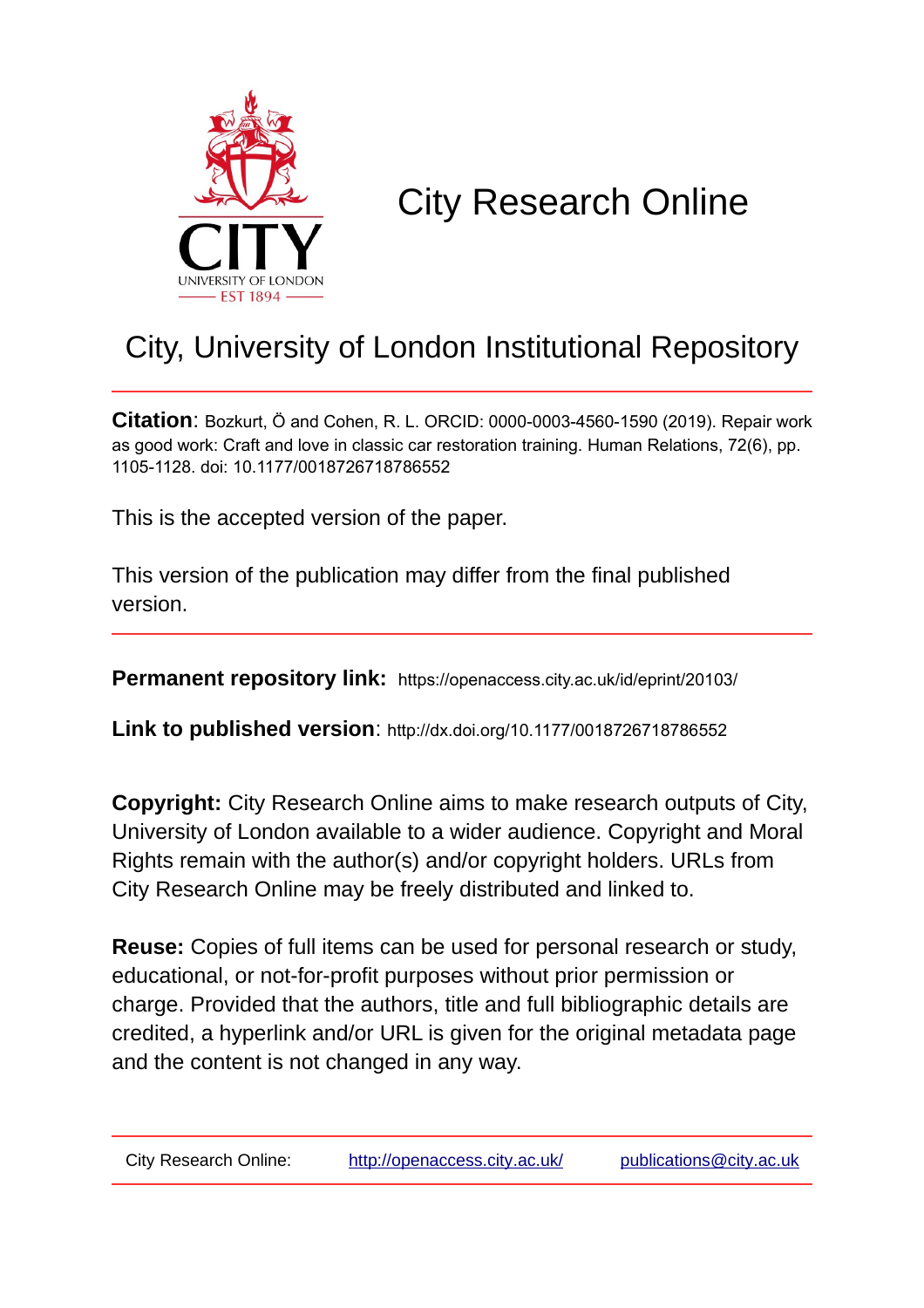

# City Research Online

## City, University of London Institutional Repository

**Citation**: Bozkurt, Ö and Cohen, R. L. ORCID: 0000-0003-4560-1590 (2019). Repair work as good work: Craft and love in classic car restoration training. Human Relations, 72(6), pp. 1105-1128. doi: 10.1177/0018726718786552

This is the accepted version of the paper.

This version of the publication may differ from the final published version.

**Permanent repository link:** https://openaccess.city.ac.uk/id/eprint/20103/

**Link to published version**: http://dx.doi.org/10.1177/0018726718786552

**Copyright:** City Research Online aims to make research outputs of City, University of London available to a wider audience. Copyright and Moral Rights remain with the author(s) and/or copyright holders. URLs from City Research Online may be freely distributed and linked to.

**Reuse:** Copies of full items can be used for personal research or study, educational, or not-for-profit purposes without prior permission or charge. Provided that the authors, title and full bibliographic details are credited, a hyperlink and/or URL is given for the original metadata page and the content is not changed in any way.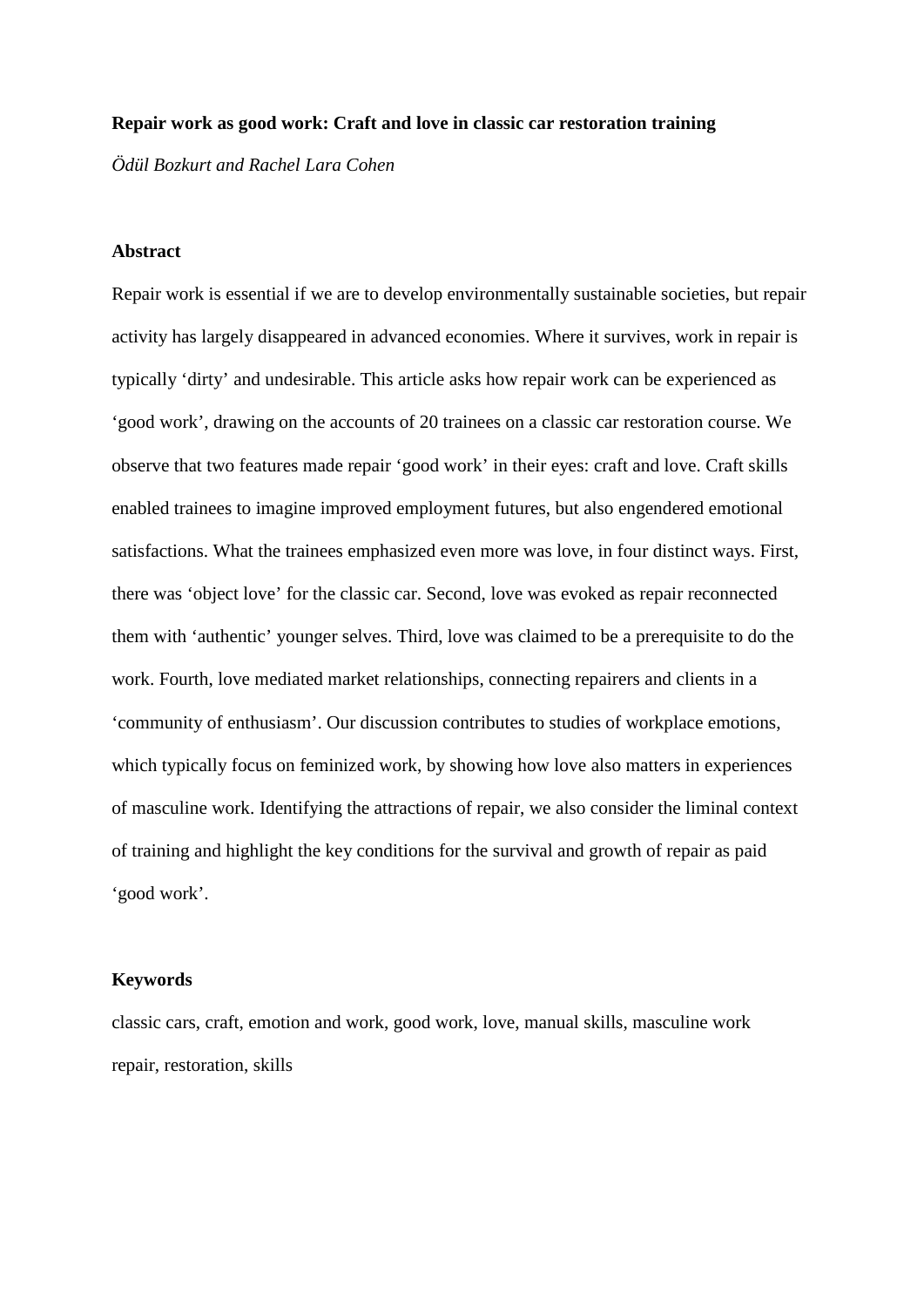#### **Repair work as good work: Craft and love in classic car restoration training**

*Ödül Bozkurt and Rachel Lara Cohen*

### **Abstract**

Repair work is essential if we are to develop environmentally sustainable societies, but repair activity has largely disappeared in advanced economies. Where it survives, work in repair is typically 'dirty' and undesirable. This article asks how repair work can be experienced as 'good work', drawing on the accounts of 20 trainees on a classic car restoration course. We observe that two features made repair 'good work' in their eyes: craft and love. Craft skills enabled trainees to imagine improved employment futures, but also engendered emotional satisfactions. What the trainees emphasized even more was love, in four distinct ways. First, there was 'object love' for the classic car. Second, love was evoked as repair reconnected them with 'authentic' younger selves. Third, love was claimed to be a prerequisite to do the work. Fourth, love mediated market relationships, connecting repairers and clients in a 'community of enthusiasm'. Our discussion contributes to studies of workplace emotions, which typically focus on feminized work, by showing how love also matters in experiences of masculine work. Identifying the attractions of repair, we also consider the liminal context of training and highlight the key conditions for the survival and growth of repair as paid 'good work'.

#### **Keywords**

classic cars, craft, emotion and work, good work, love, manual skills, masculine work repair, restoration, skills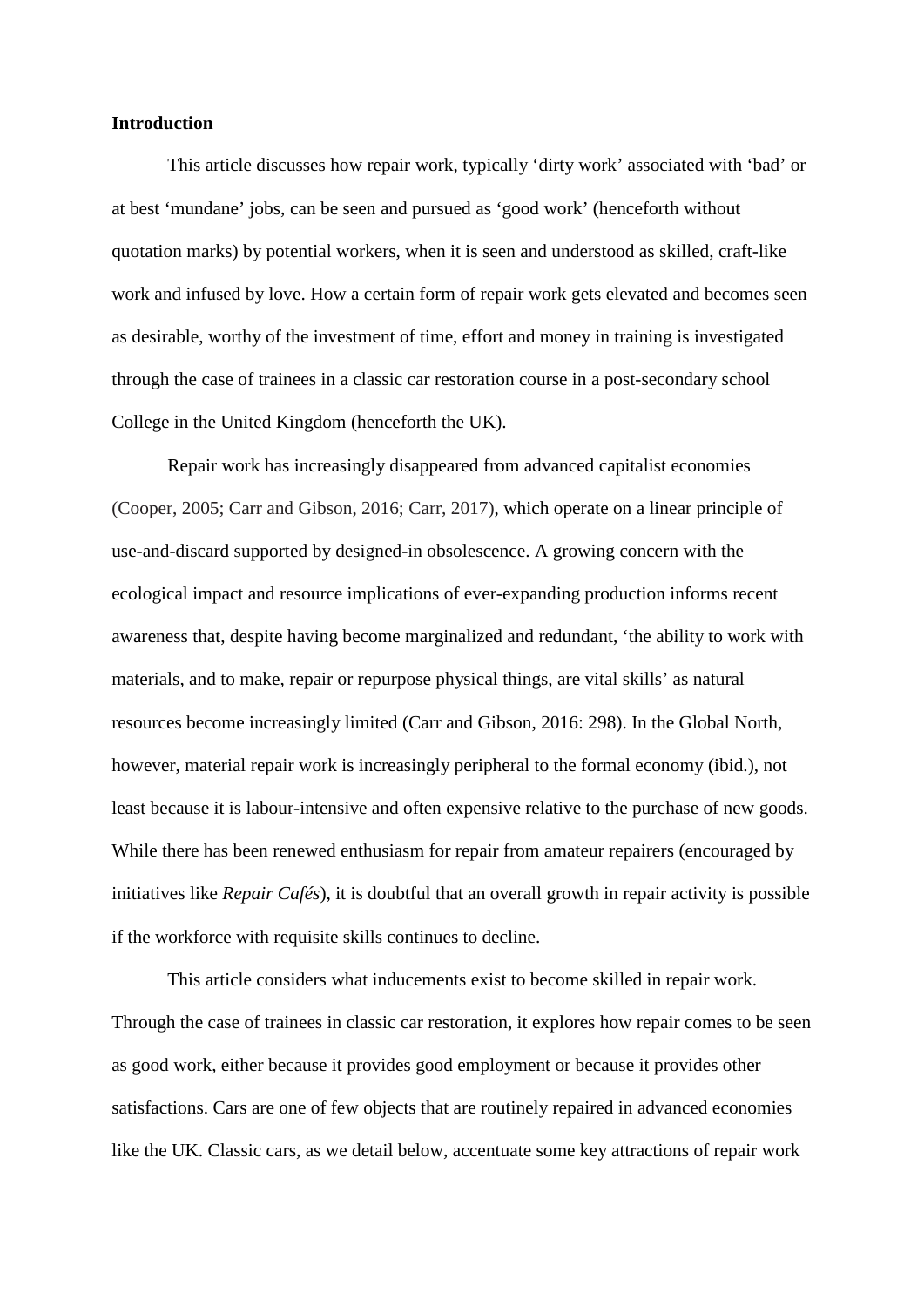## **Introduction**

This article discusses how repair work, typically 'dirty work' associated with 'bad' or at best 'mundane' jobs, can be seen and pursued as 'good work' (henceforth without quotation marks) by potential workers, when it is seen and understood as skilled, craft-like work and infused by love. How a certain form of repair work gets elevated and becomes seen as desirable, worthy of the investment of time, effort and money in training is investigated through the case of trainees in a classic car restoration course in a post-secondary school College in the United Kingdom (henceforth the UK).

Repair work has increasingly disappeared from advanced capitalist economies (Cooper, 2005; Carr and Gibson, 2016; Carr, 2017), which operate on a linear principle of use-and-discard supported by designed-in obsolescence. A growing concern with the ecological impact and resource implications of ever-expanding production informs recent awareness that, despite having become marginalized and redundant, 'the ability to work with materials, and to make, repair or repurpose physical things, are vital skills' as natural resources become increasingly limited (Carr and Gibson, 2016: 298). In the Global North, however, material repair work is increasingly peripheral to the formal economy (ibid.), not least because it is labour-intensive and often expensive relative to the purchase of new goods. While there has been renewed enthusiasm for repair from amateur repairers (encouraged by initiatives like *Repair Cafés*), it is doubtful that an overall growth in repair activity is possible if the workforce with requisite skills continues to decline.

This article considers what inducements exist to become skilled in repair work. Through the case of trainees in classic car restoration, it explores how repair comes to be seen as good work, either because it provides good employment or because it provides other satisfactions. Cars are one of few objects that are routinely repaired in advanced economies like the UK. Classic cars, as we detail below, accentuate some key attractions of repair work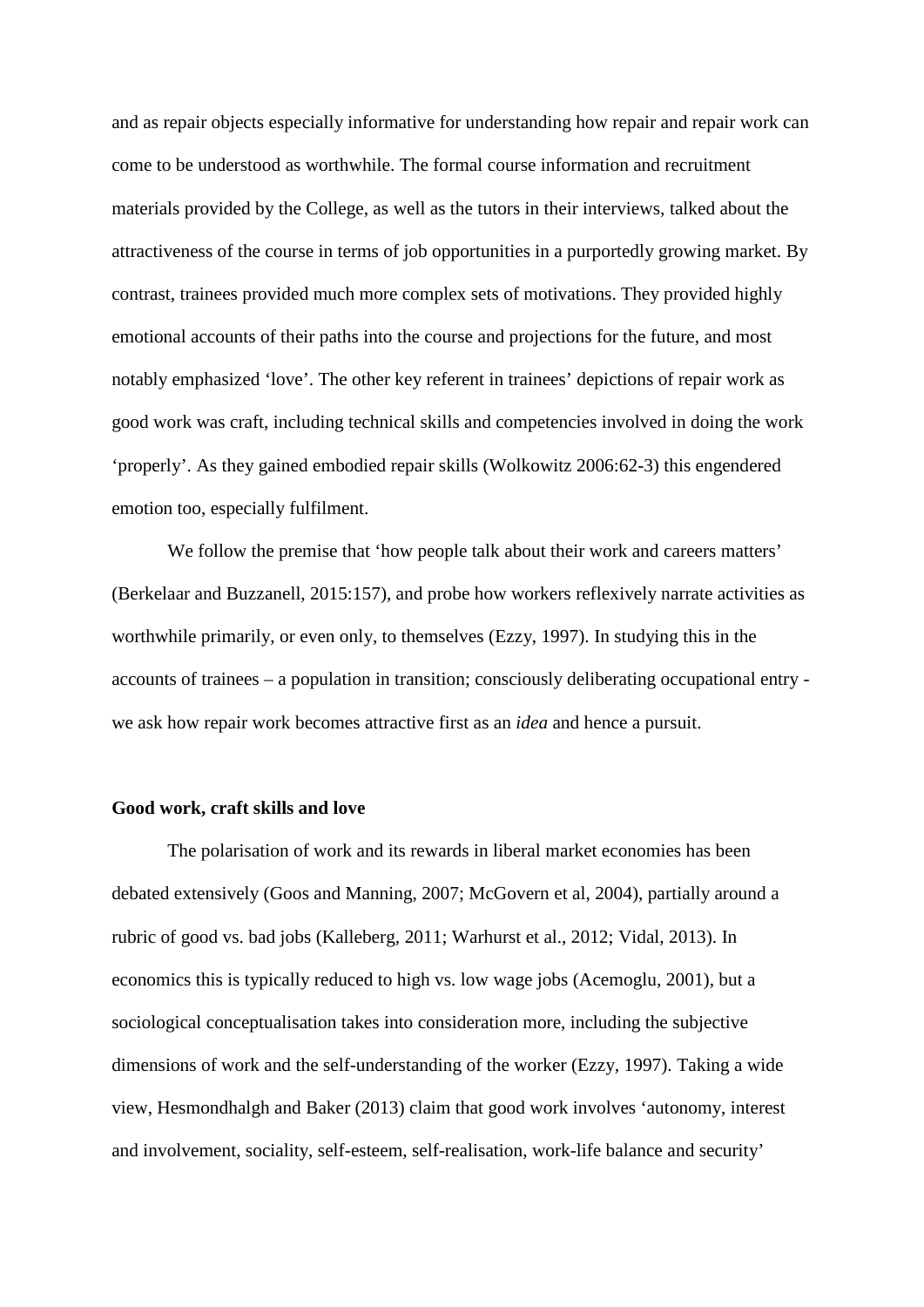and as repair objects especially informative for understanding how repair and repair work can come to be understood as worthwhile. The formal course information and recruitment materials provided by the College, as well as the tutors in their interviews, talked about the attractiveness of the course in terms of job opportunities in a purportedly growing market. By contrast, trainees provided much more complex sets of motivations. They provided highly emotional accounts of their paths into the course and projections for the future, and most notably emphasized 'love'. The other key referent in trainees' depictions of repair work as good work was craft, including technical skills and competencies involved in doing the work 'properly'. As they gained embodied repair skills (Wolkowitz 2006:62-3) this engendered emotion too, especially fulfilment.

We follow the premise that 'how people talk about their work and careers matters' (Berkelaar and Buzzanell, 2015:157), and probe how workers reflexively narrate activities as worthwhile primarily, or even only, to themselves (Ezzy, 1997). In studying this in the accounts of trainees – a population in transition; consciously deliberating occupational entry we ask how repair work becomes attractive first as an *idea* and hence a pursuit.

## **Good work, craft skills and love**

The polarisation of work and its rewards in liberal market economies has been debated extensively (Goos and Manning, 2007; McGovern et al, 2004), partially around a rubric of good vs. bad jobs (Kalleberg, 2011; Warhurst et al., 2012; Vidal, 2013). In economics this is typically reduced to high vs. low wage jobs (Acemoglu, 2001), but a sociological conceptualisation takes into consideration more, including the subjective dimensions of work and the self-understanding of the worker (Ezzy, 1997). Taking a wide view, Hesmondhalgh and Baker (2013) claim that good work involves 'autonomy, interest and involvement, sociality, self-esteem, self-realisation, work-life balance and security'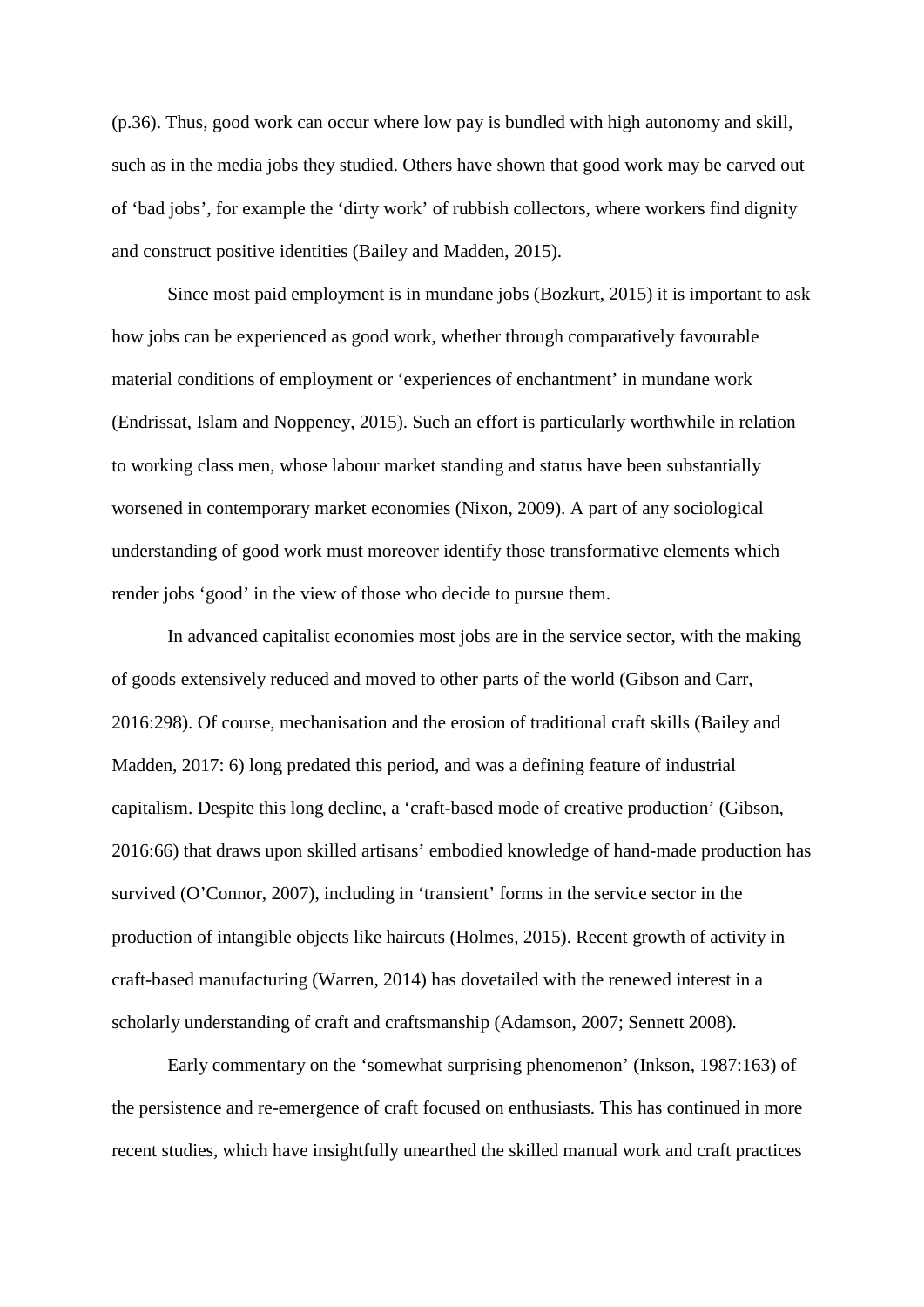(p.36). Thus, good work can occur where low pay is bundled with high autonomy and skill, such as in the media jobs they studied. Others have shown that good work may be carved out of 'bad jobs', for example the 'dirty work' of rubbish collectors, where workers find dignity and construct positive identities (Bailey and Madden, 2015).

Since most paid employment is in mundane jobs (Bozkurt, 2015) it is important to ask how jobs can be experienced as good work, whether through comparatively favourable material conditions of employment or 'experiences of enchantment' in mundane work (Endrissat, Islam and Noppeney, 2015). Such an effort is particularly worthwhile in relation to working class men, whose labour market standing and status have been substantially worsened in contemporary market economies (Nixon, 2009). A part of any sociological understanding of good work must moreover identify those transformative elements which render jobs 'good' in the view of those who decide to pursue them.

In advanced capitalist economies most jobs are in the service sector, with the making of goods extensively reduced and moved to other parts of the world (Gibson and Carr, 2016:298). Of course, mechanisation and the erosion of traditional craft skills (Bailey and Madden, 2017: 6) long predated this period, and was a defining feature of industrial capitalism. Despite this long decline, a 'craft-based mode of creative production' (Gibson, 2016:66) that draws upon skilled artisans' embodied knowledge of hand-made production has survived (O'Connor, 2007), including in 'transient' forms in the service sector in the production of intangible objects like haircuts (Holmes, 2015). Recent growth of activity in craft-based manufacturing (Warren, 2014) has dovetailed with the renewed interest in a scholarly understanding of craft and craftsmanship (Adamson, 2007; Sennett 2008).

Early commentary on the 'somewhat surprising phenomenon' (Inkson, 1987:163) of the persistence and re-emergence of craft focused on enthusiasts. This has continued in more recent studies, which have insightfully unearthed the skilled manual work and craft practices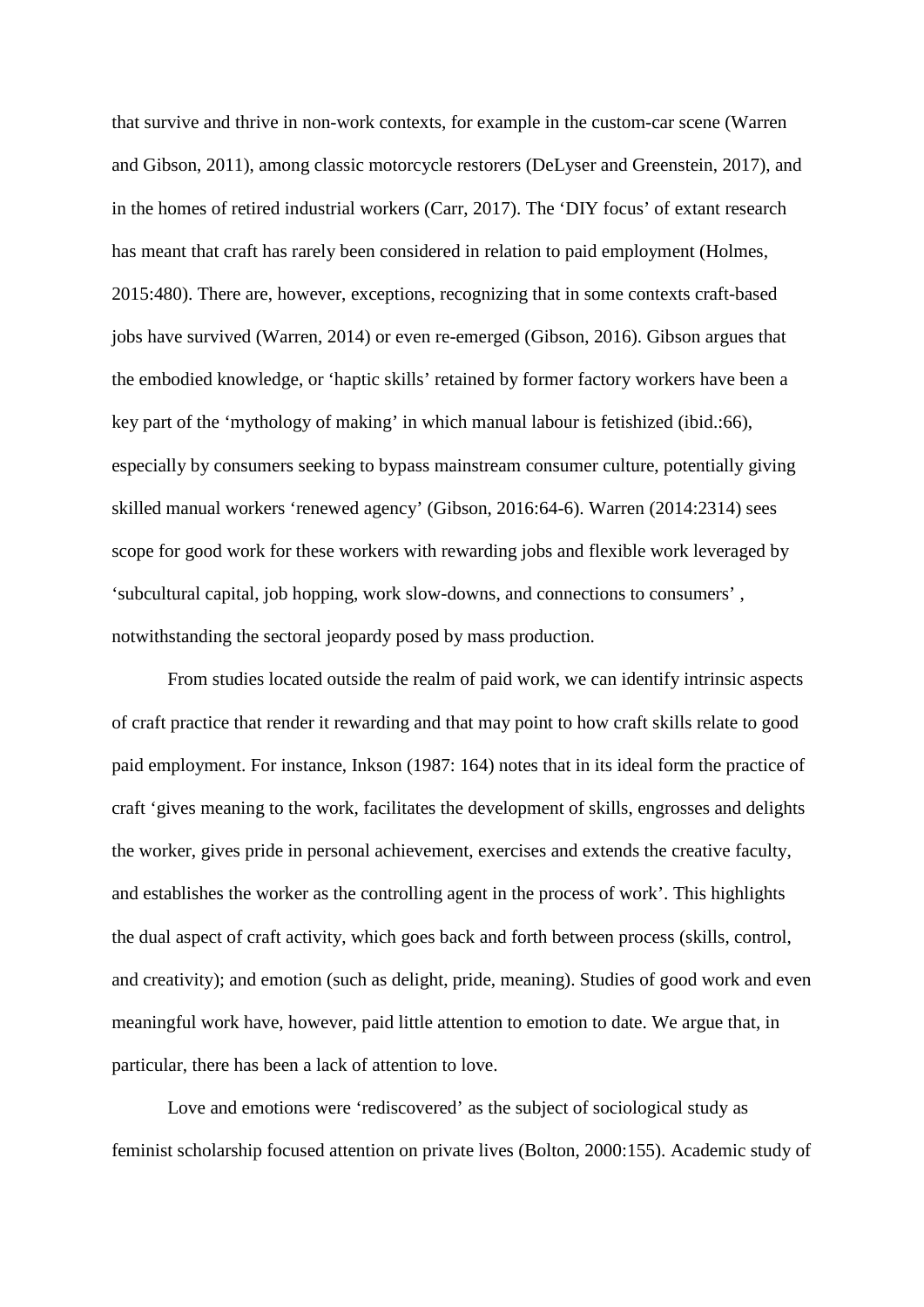that survive and thrive in non-work contexts, for example in the custom-car scene (Warren and Gibson, 2011), among classic motorcycle restorers (DeLyser and Greenstein, 2017), and in the homes of retired industrial workers (Carr, 2017). The 'DIY focus' of extant research has meant that craft has rarely been considered in relation to paid employment (Holmes, 2015:480). There are, however, exceptions, recognizing that in some contexts craft-based jobs have survived (Warren, 2014) or even re-emerged (Gibson, 2016). Gibson argues that the embodied knowledge, or 'haptic skills' retained by former factory workers have been a key part of the 'mythology of making' in which manual labour is fetishized (ibid.:66), especially by consumers seeking to bypass mainstream consumer culture, potentially giving skilled manual workers 'renewed agency' (Gibson, 2016:64-6). Warren (2014:2314) sees scope for good work for these workers with rewarding jobs and flexible work leveraged by 'subcultural capital, job hopping, work slow-downs, and connections to consumers' , notwithstanding the sectoral jeopardy posed by mass production.

From studies located outside the realm of paid work, we can identify intrinsic aspects of craft practice that render it rewarding and that may point to how craft skills relate to good paid employment. For instance, Inkson (1987: 164) notes that in its ideal form the practice of craft 'gives meaning to the work, facilitates the development of skills, engrosses and delights the worker, gives pride in personal achievement, exercises and extends the creative faculty, and establishes the worker as the controlling agent in the process of work'. This highlights the dual aspect of craft activity, which goes back and forth between process (skills, control, and creativity); and emotion (such as delight, pride, meaning). Studies of good work and even meaningful work have, however, paid little attention to emotion to date. We argue that, in particular, there has been a lack of attention to love.

Love and emotions were 'rediscovered' as the subject of sociological study as feminist scholarship focused attention on private lives (Bolton, 2000:155). Academic study of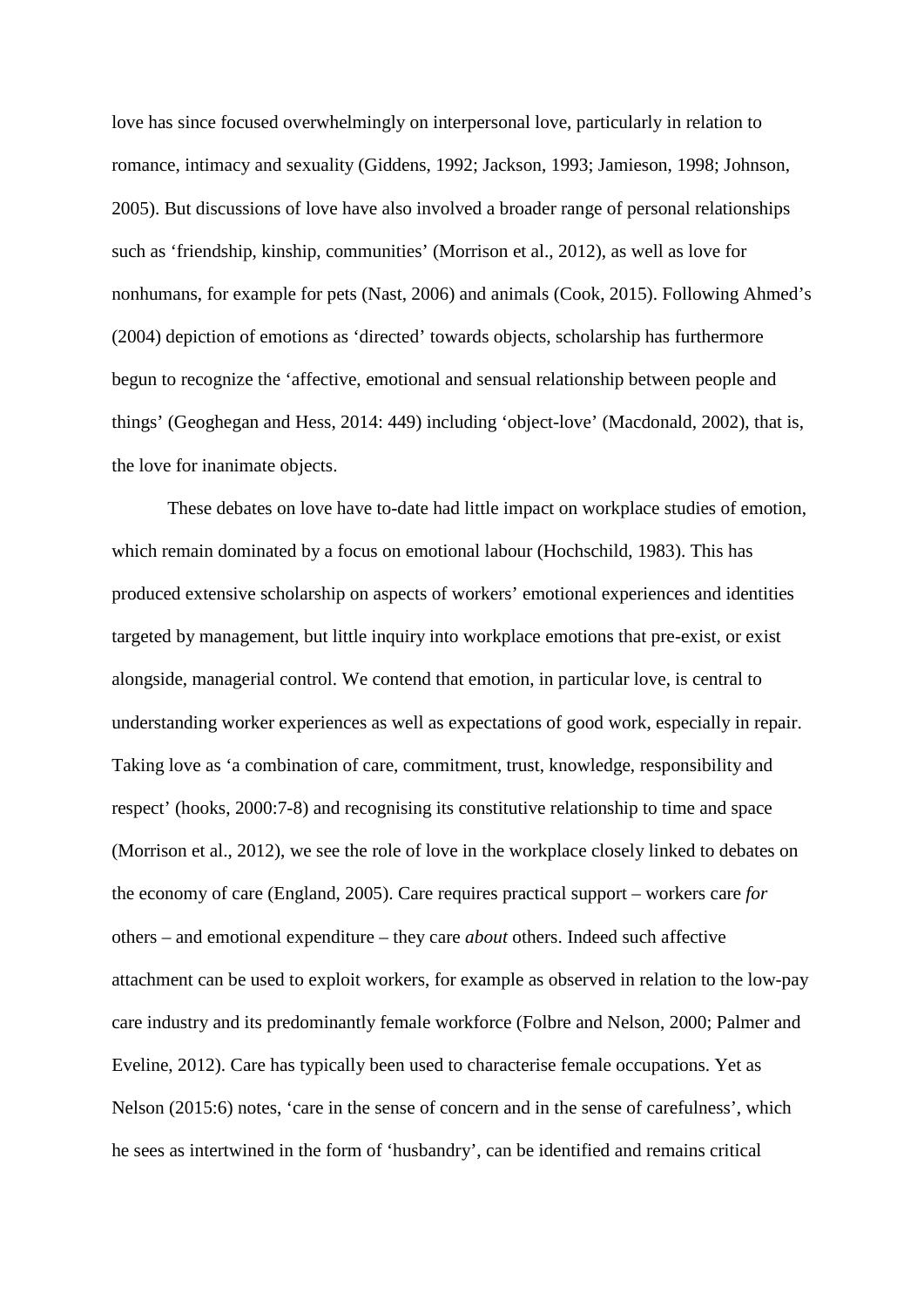love has since focused overwhelmingly on interpersonal love, particularly in relation to romance, intimacy and sexuality (Giddens, 1992; Jackson, 1993; Jamieson, 1998; Johnson, 2005). But discussions of love have also involved a broader range of personal relationships such as 'friendship, kinship, communities' (Morrison et al., 2012), as well as love for nonhumans, for example for pets (Nast, 2006) and animals (Cook, 2015). Following Ahmed's (2004) depiction of emotions as 'directed' towards objects, scholarship has furthermore begun to recognize the 'affective, emotional and sensual relationship between people and things' (Geoghegan and Hess, 2014: 449) including 'object-love' (Macdonald, 2002), that is, the love for inanimate objects.

These debates on love have to-date had little impact on workplace studies of emotion, which remain dominated by a focus on emotional labour (Hochschild, 1983). This has produced extensive scholarship on aspects of workers' emotional experiences and identities targeted by management, but little inquiry into workplace emotions that pre-exist, or exist alongside, managerial control. We contend that emotion, in particular love, is central to understanding worker experiences as well as expectations of good work, especially in repair. Taking love as 'a combination of care, commitment, trust, knowledge, responsibility and respect' (hooks, 2000:7-8) and recognising its constitutive relationship to time and space (Morrison et al., 2012), we see the role of love in the workplace closely linked to debates on the economy of care (England, 2005). Care requires practical support – workers care *for* others – and emotional expenditure – they care *about* others. Indeed such affective attachment can be used to exploit workers, for example as observed in relation to the low-pay care industry and its predominantly female workforce (Folbre and Nelson, 2000; Palmer and Eveline, 2012). Care has typically been used to characterise female occupations. Yet as Nelson (2015:6) notes, 'care in the sense of concern and in the sense of carefulness', which he sees as intertwined in the form of 'husbandry', can be identified and remains critical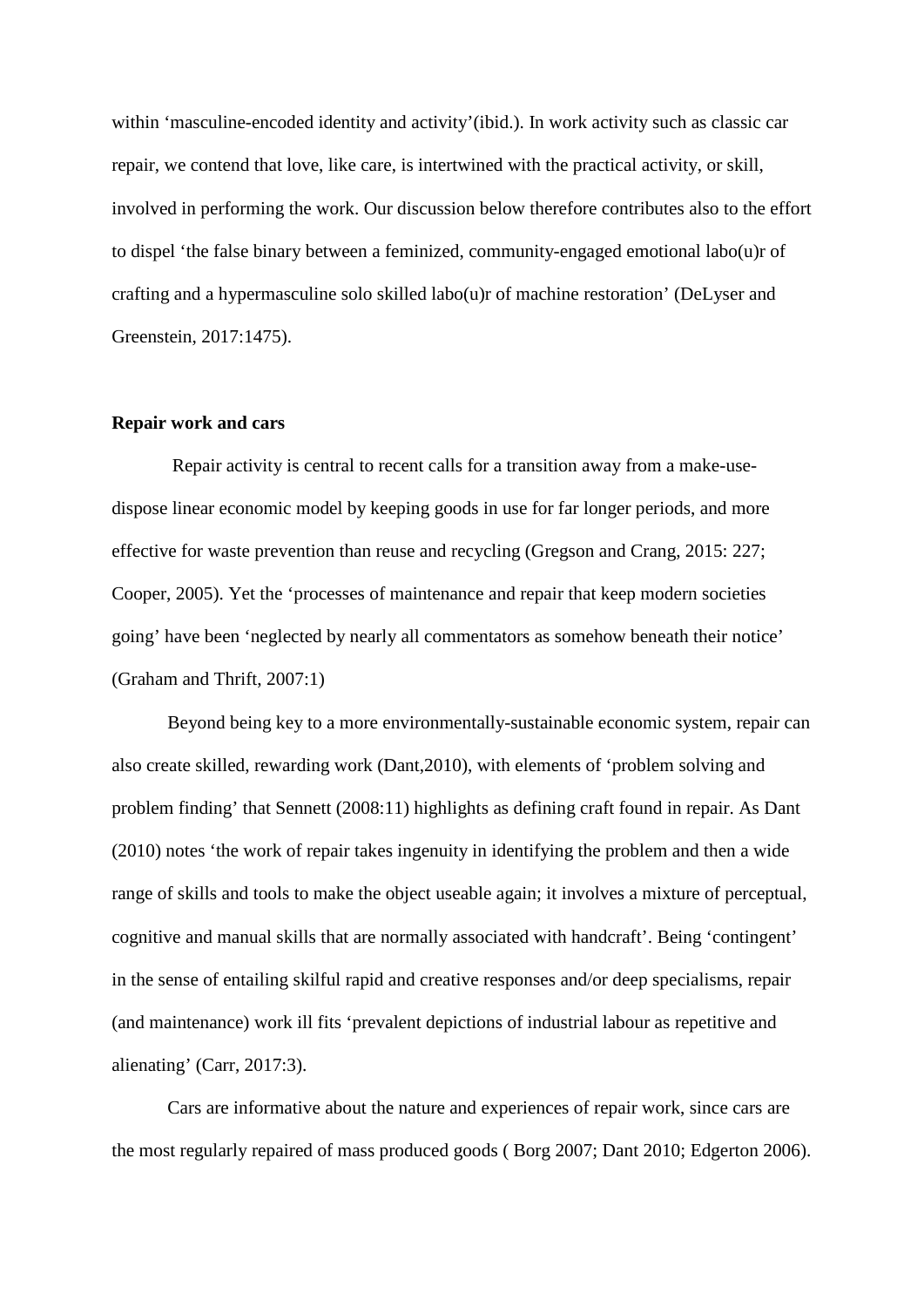within 'masculine-encoded identity and activity'(ibid.). In work activity such as classic car repair, we contend that love, like care, is intertwined with the practical activity, or skill, involved in performing the work. Our discussion below therefore contributes also to the effort to dispel 'the false binary between a feminized, community-engaged emotional labo(u)r of crafting and a hypermasculine solo skilled labo(u)r of machine restoration' (DeLyser and Greenstein, 2017:1475).

#### **Repair work and cars**

Repair activity is central to recent calls for a transition away from a make-usedispose linear economic model by keeping goods in use for far longer periods, and more effective for waste prevention than reuse and recycling (Gregson and Crang, 2015: 227; Cooper, 2005). Yet the 'processes of maintenance and repair that keep modern societies going' have been 'neglected by nearly all commentators as somehow beneath their notice' (Graham and Thrift, 2007:1)

Beyond being key to a more environmentally-sustainable economic system, repair can also create skilled, rewarding work (Dant,2010), with elements of 'problem solving and problem finding' that Sennett (2008:11) highlights as defining craft found in repair. As Dant (2010) notes 'the work of repair takes ingenuity in identifying the problem and then a wide range of skills and tools to make the object useable again; it involves a mixture of perceptual, cognitive and manual skills that are normally associated with handcraft'. Being 'contingent' in the sense of entailing skilful rapid and creative responses and/or deep specialisms, repair (and maintenance) work ill fits 'prevalent depictions of industrial labour as repetitive and alienating' (Carr, 2017:3).

Cars are informative about the nature and experiences of repair work, since cars are the most regularly repaired of mass produced goods ( Borg 2007; Dant 2010; Edgerton 2006).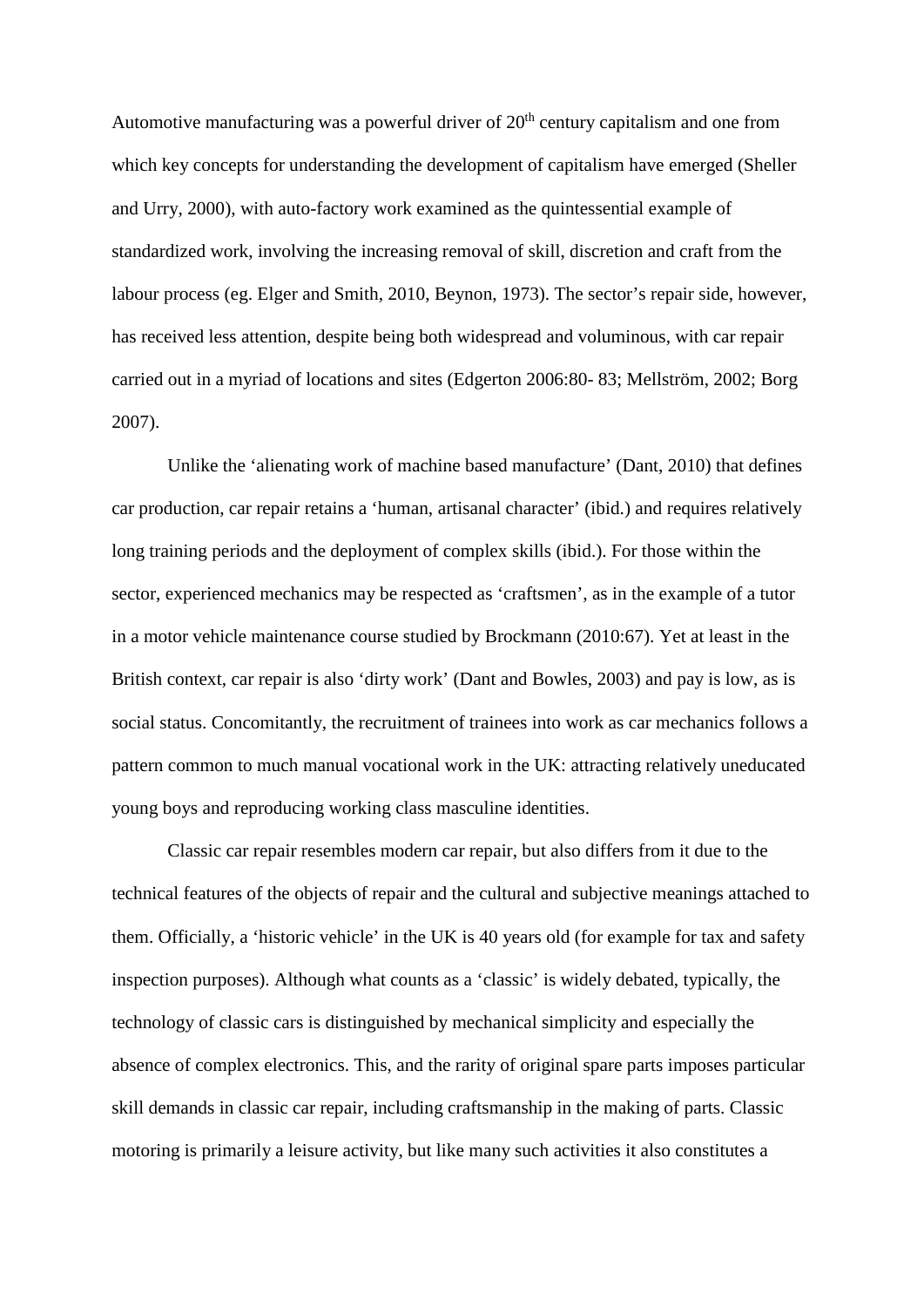Automotive manufacturing was a powerful driver of  $20<sup>th</sup>$  century capitalism and one from which key concepts for understanding the development of capitalism have emerged (Sheller and Urry, 2000), with auto-factory work examined as the quintessential example of standardized work, involving the increasing removal of skill, discretion and craft from the labour process (eg. Elger and Smith, 2010, Beynon, 1973). The sector's repair side, however, has received less attention, despite being both widespread and voluminous, with car repair carried out in a myriad of locations and sites (Edgerton 2006:80- 83; Mellström, 2002; Borg 2007).

Unlike the 'alienating work of machine based manufacture' (Dant, 2010) that defines car production, car repair retains a 'human, artisanal character' (ibid.) and requires relatively long training periods and the deployment of complex skills (ibid.). For those within the sector, experienced mechanics may be respected as 'craftsmen', as in the example of a tutor in a motor vehicle maintenance course studied by Brockmann (2010:67). Yet at least in the British context, car repair is also 'dirty work' (Dant and Bowles, 2003) and pay is low, as is social status. Concomitantly, the recruitment of trainees into work as car mechanics follows a pattern common to much manual vocational work in the UK: attracting relatively uneducated young boys and reproducing working class masculine identities.

Classic car repair resembles modern car repair, but also differs from it due to the technical features of the objects of repair and the cultural and subjective meanings attached to them. Officially, a 'historic vehicle' in the UK is 40 years old (for example for tax and safety inspection purposes). Although what counts as a 'classic' is widely debated, typically, the technology of classic cars is distinguished by mechanical simplicity and especially the absence of complex electronics. This, and the rarity of original spare parts imposes particular skill demands in classic car repair, including craftsmanship in the making of parts. Classic motoring is primarily a leisure activity, but like many such activities it also constitutes a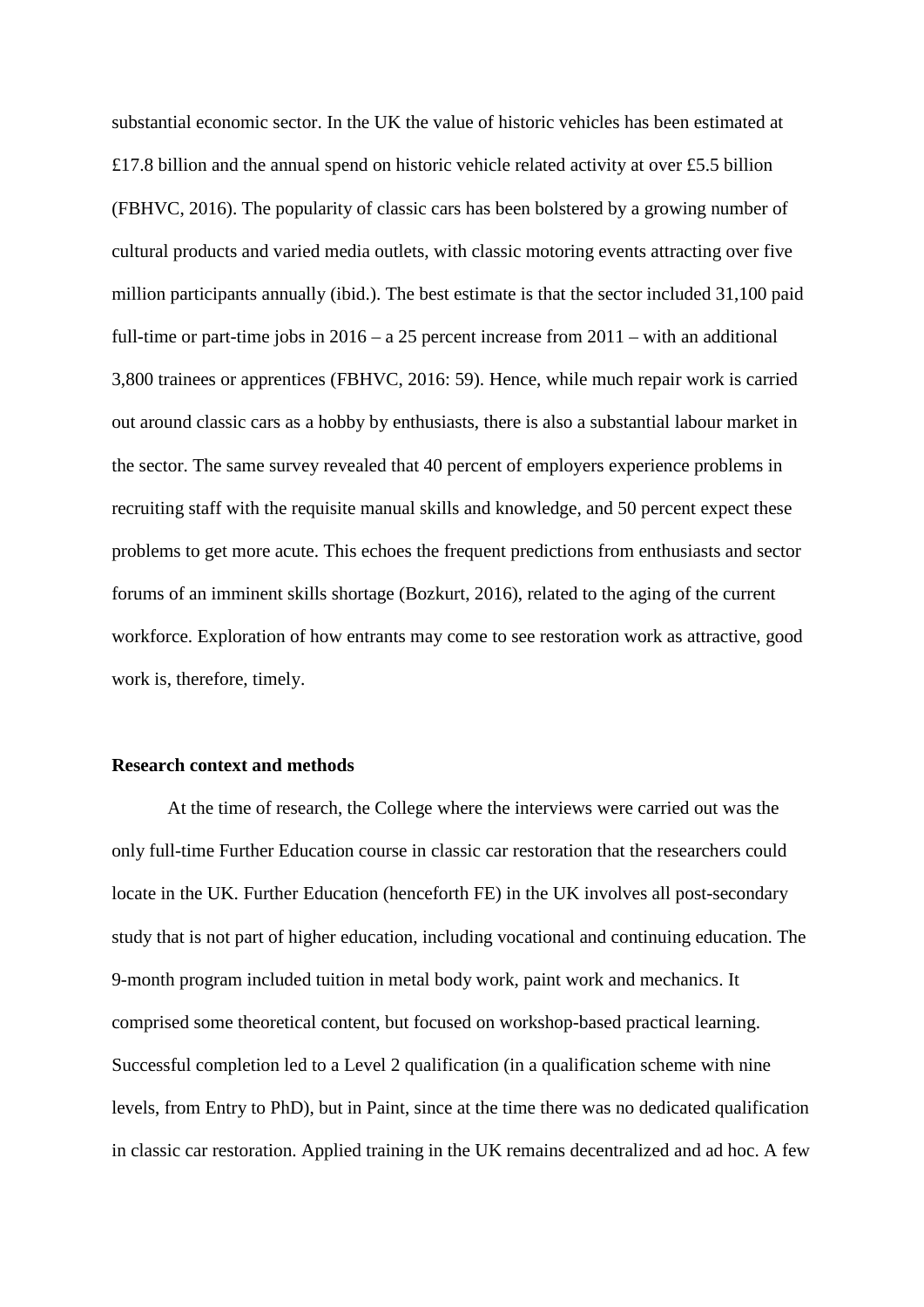substantial economic sector. In the UK the value of historic vehicles has been estimated at £17.8 billion and the annual spend on historic vehicle related activity at over £5.5 billion (FBHVC, 2016). The popularity of classic cars has been bolstered by a growing number of cultural products and varied media outlets, with classic motoring events attracting over five million participants annually (ibid.). The best estimate is that the sector included 31,100 paid full-time or part-time jobs in  $2016 - a 25$  percent increase from  $2011 - with an additional$ 3,800 trainees or apprentices (FBHVC, 2016: 59). Hence, while much repair work is carried out around classic cars as a hobby by enthusiasts, there is also a substantial labour market in the sector. The same survey revealed that 40 percent of employers experience problems in recruiting staff with the requisite manual skills and knowledge, and 50 percent expect these problems to get more acute. This echoes the frequent predictions from enthusiasts and sector forums of an imminent skills shortage (Bozkurt, 2016), related to the aging of the current workforce. Exploration of how entrants may come to see restoration work as attractive, good work is, therefore, timely.

## **Research context and methods**

At the time of research, the College where the interviews were carried out was the only full-time Further Education course in classic car restoration that the researchers could locate in the UK. Further Education (henceforth FE) in the UK involves all post-secondary study that is not part of higher education, including vocational and continuing education. The 9-month program included tuition in metal body work, paint work and mechanics. It comprised some theoretical content, but focused on workshop-based practical learning. Successful completion led to a Level 2 qualification (in a qualification scheme with nine levels, from Entry to PhD), but in Paint, since at the time there was no dedicated qualification in classic car restoration. Applied training in the UK remains decentralized and ad hoc. A few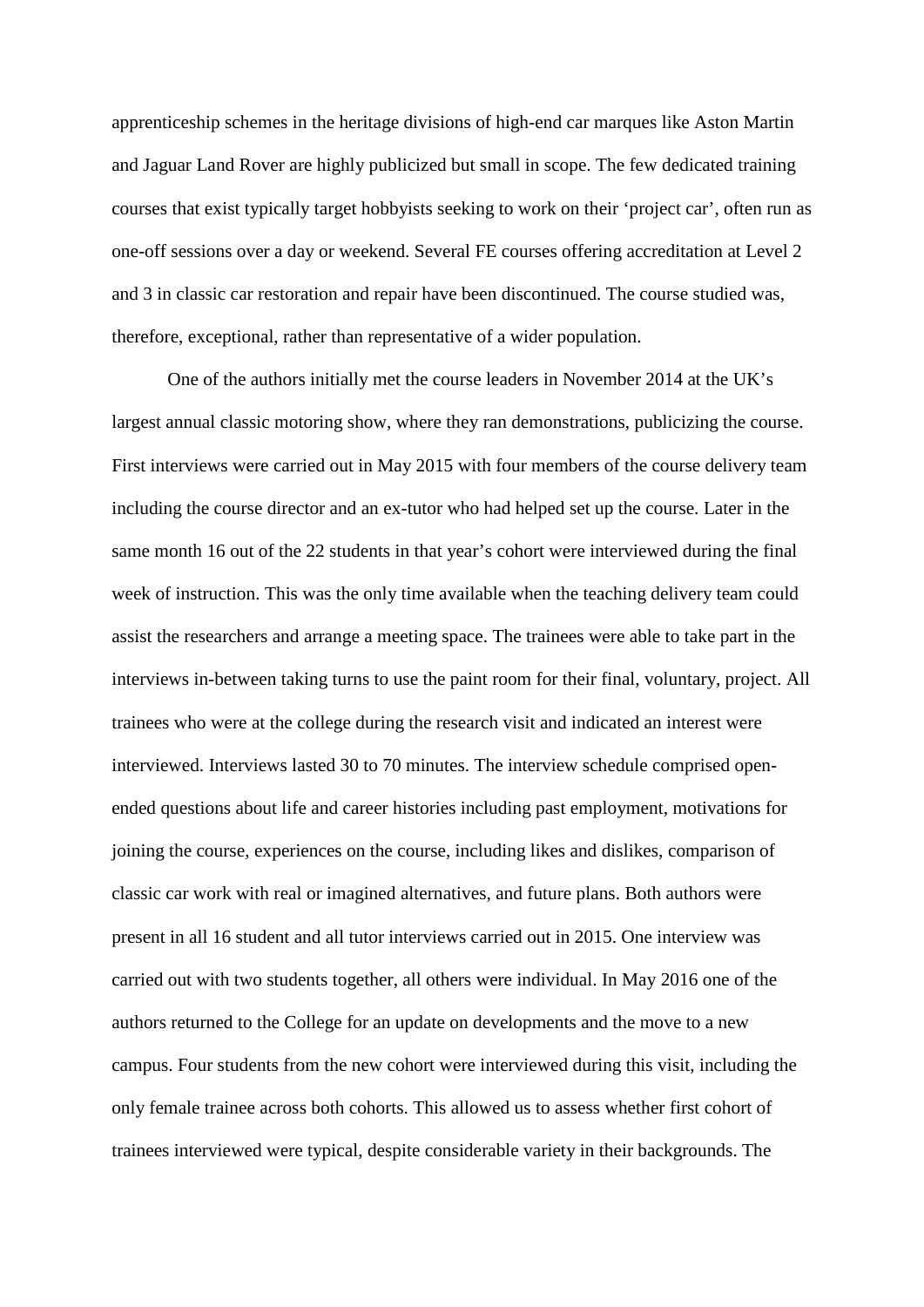apprenticeship schemes in the heritage divisions of high-end car marques like Aston Martin and Jaguar Land Rover are highly publicized but small in scope. The few dedicated training courses that exist typically target hobbyists seeking to work on their 'project car', often run as one-off sessions over a day or weekend. Several FE courses offering accreditation at Level 2 and 3 in classic car restoration and repair have been discontinued. The course studied was, therefore, exceptional, rather than representative of a wider population.

One of the authors initially met the course leaders in November 2014 at the UK's largest annual classic motoring show, where they ran demonstrations, publicizing the course. First interviews were carried out in May 2015 with four members of the course delivery team including the course director and an ex-tutor who had helped set up the course. Later in the same month 16 out of the 22 students in that year's cohort were interviewed during the final week of instruction. This was the only time available when the teaching delivery team could assist the researchers and arrange a meeting space. The trainees were able to take part in the interviews in-between taking turns to use the paint room for their final, voluntary, project. All trainees who were at the college during the research visit and indicated an interest were interviewed. Interviews lasted 30 to 70 minutes. The interview schedule comprised openended questions about life and career histories including past employment, motivations for joining the course, experiences on the course, including likes and dislikes, comparison of classic car work with real or imagined alternatives, and future plans. Both authors were present in all 16 student and all tutor interviews carried out in 2015. One interview was carried out with two students together, all others were individual. In May 2016 one of the authors returned to the College for an update on developments and the move to a new campus. Four students from the new cohort were interviewed during this visit, including the only female trainee across both cohorts. This allowed us to assess whether first cohort of trainees interviewed were typical, despite considerable variety in their backgrounds. The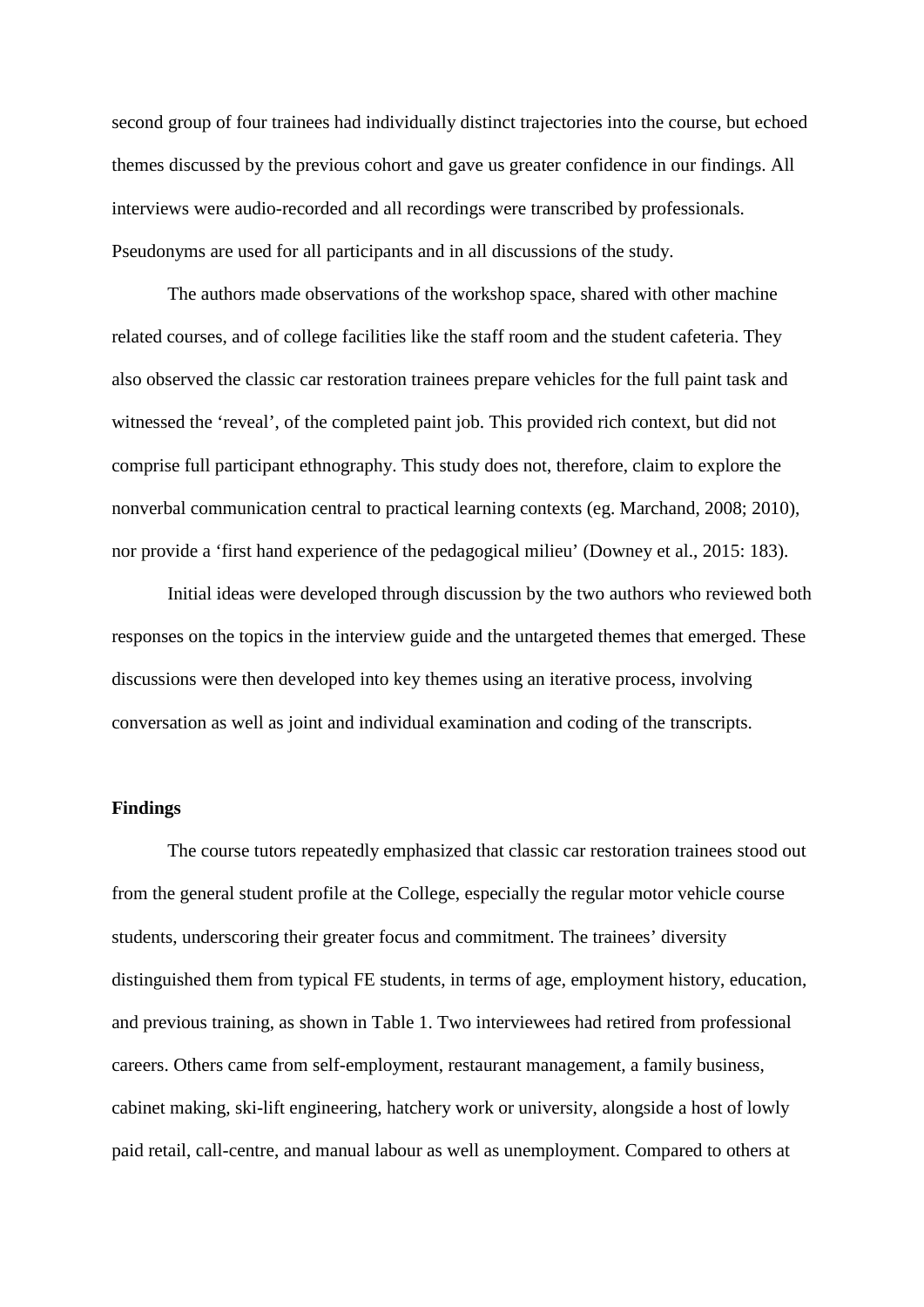second group of four trainees had individually distinct trajectories into the course, but echoed themes discussed by the previous cohort and gave us greater confidence in our findings. All interviews were audio-recorded and all recordings were transcribed by professionals. Pseudonyms are used for all participants and in all discussions of the study.

The authors made observations of the workshop space, shared with other machine related courses, and of college facilities like the staff room and the student cafeteria. They also observed the classic car restoration trainees prepare vehicles for the full paint task and witnessed the 'reveal', of the completed paint job. This provided rich context, but did not comprise full participant ethnography. This study does not, therefore, claim to explore the nonverbal communication central to practical learning contexts (eg. Marchand, 2008; 2010), nor provide a 'first hand experience of the pedagogical milieu' (Downey et al., 2015: 183).

Initial ideas were developed through discussion by the two authors who reviewed both responses on the topics in the interview guide and the untargeted themes that emerged. These discussions were then developed into key themes using an iterative process, involving conversation as well as joint and individual examination and coding of the transcripts.

## **Findings**

The course tutors repeatedly emphasized that classic car restoration trainees stood out from the general student profile at the College, especially the regular motor vehicle course students, underscoring their greater focus and commitment. The trainees' diversity distinguished them from typical FE students, in terms of age, employment history, education, and previous training, as shown in Table 1. Two interviewees had retired from professional careers. Others came from self-employment, restaurant management, a family business, cabinet making, ski-lift engineering, hatchery work or university, alongside a host of lowly paid retail, call-centre, and manual labour as well as unemployment. Compared to others at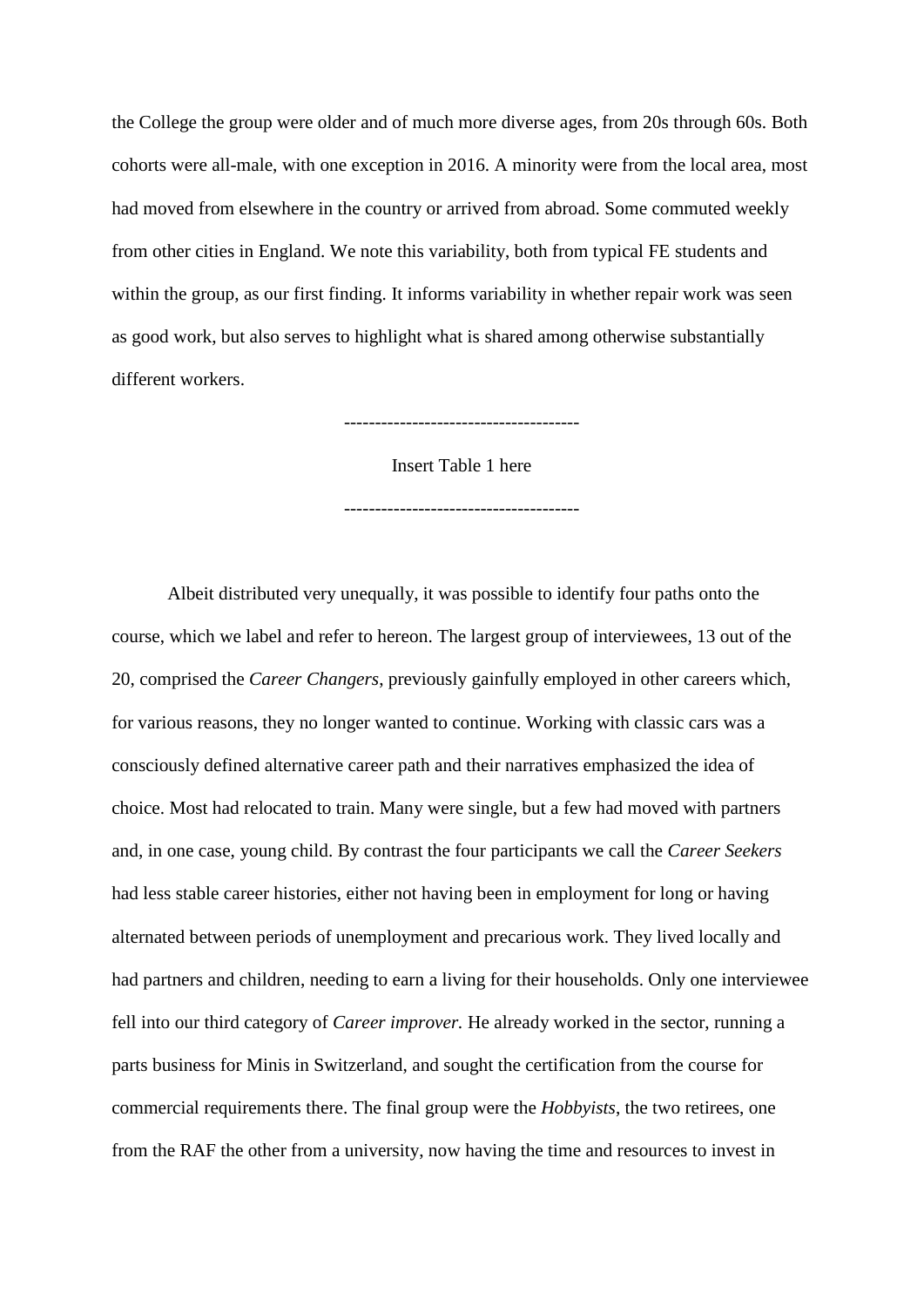the College the group were older and of much more diverse ages, from 20s through 60s. Both cohorts were all-male, with one exception in 2016. A minority were from the local area, most had moved from elsewhere in the country or arrived from abroad. Some commuted weekly from other cities in England. We note this variability, both from typical FE students and within the group, as our first finding. It informs variability in whether repair work was seen as good work, but also serves to highlight what is shared among otherwise substantially different workers.

Insert Table 1 here

--------------------------------------

Albeit distributed very unequally, it was possible to identify four paths onto the course, which we label and refer to hereon. The largest group of interviewees, 13 out of the 20, comprised the *Career Changers*, previously gainfully employed in other careers which, for various reasons, they no longer wanted to continue. Working with classic cars was a consciously defined alternative career path and their narratives emphasized the idea of choice. Most had relocated to train. Many were single, but a few had moved with partners and, in one case, young child. By contrast the four participants we call the *Career Seekers* had less stable career histories, either not having been in employment for long or having alternated between periods of unemployment and precarious work. They lived locally and had partners and children, needing to earn a living for their households. Only one interviewee fell into our third category of *Career improver.* He already worked in the sector, running a parts business for Minis in Switzerland, and sought the certification from the course for commercial requirements there. The final group were the *Hobbyists*, the two retirees, one from the RAF the other from a university, now having the time and resources to invest in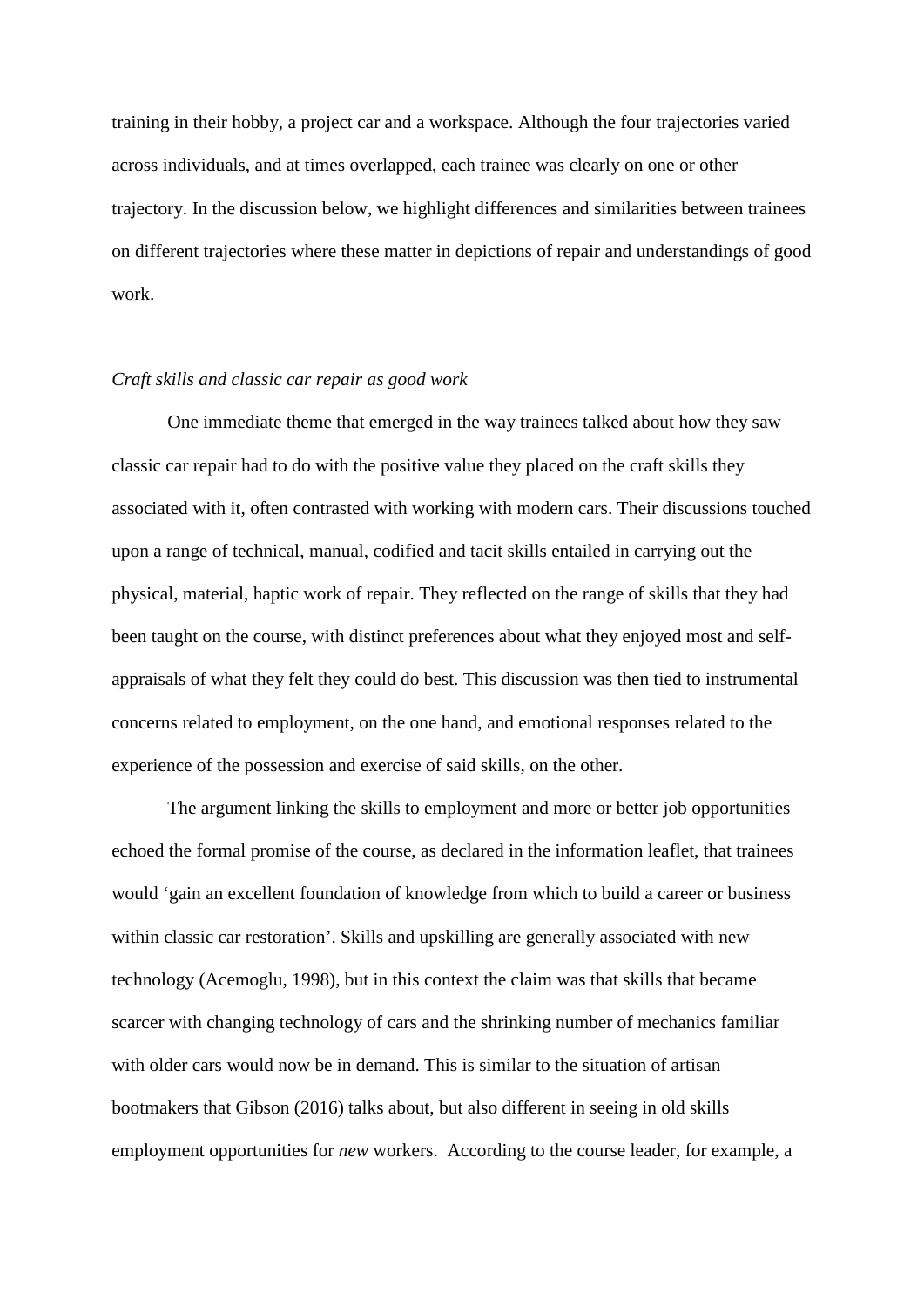training in their hobby, a project car and a workspace. Although the four trajectories varied across individuals, and at times overlapped, each trainee was clearly on one or other trajectory. In the discussion below, we highlight differences and similarities between trainees on different trajectories where these matter in depictions of repair and understandings of good work.

#### *Craft skills and classic car repair as good work*

One immediate theme that emerged in the way trainees talked about how they saw classic car repair had to do with the positive value they placed on the craft skills they associated with it, often contrasted with working with modern cars. Their discussions touched upon a range of technical, manual, codified and tacit skills entailed in carrying out the physical, material, haptic work of repair. They reflected on the range of skills that they had been taught on the course, with distinct preferences about what they enjoyed most and selfappraisals of what they felt they could do best. This discussion was then tied to instrumental concerns related to employment, on the one hand, and emotional responses related to the experience of the possession and exercise of said skills, on the other.

The argument linking the skills to employment and more or better job opportunities echoed the formal promise of the course, as declared in the information leaflet, that trainees would 'gain an excellent foundation of knowledge from which to build a career or business within classic car restoration'. Skills and upskilling are generally associated with new technology (Acemoglu, 1998), but in this context the claim was that skills that became scarcer with changing technology of cars and the shrinking number of mechanics familiar with older cars would now be in demand. This is similar to the situation of artisan bootmakers that Gibson (2016) talks about, but also different in seeing in old skills employment opportunities for *new* workers. According to the course leader, for example, a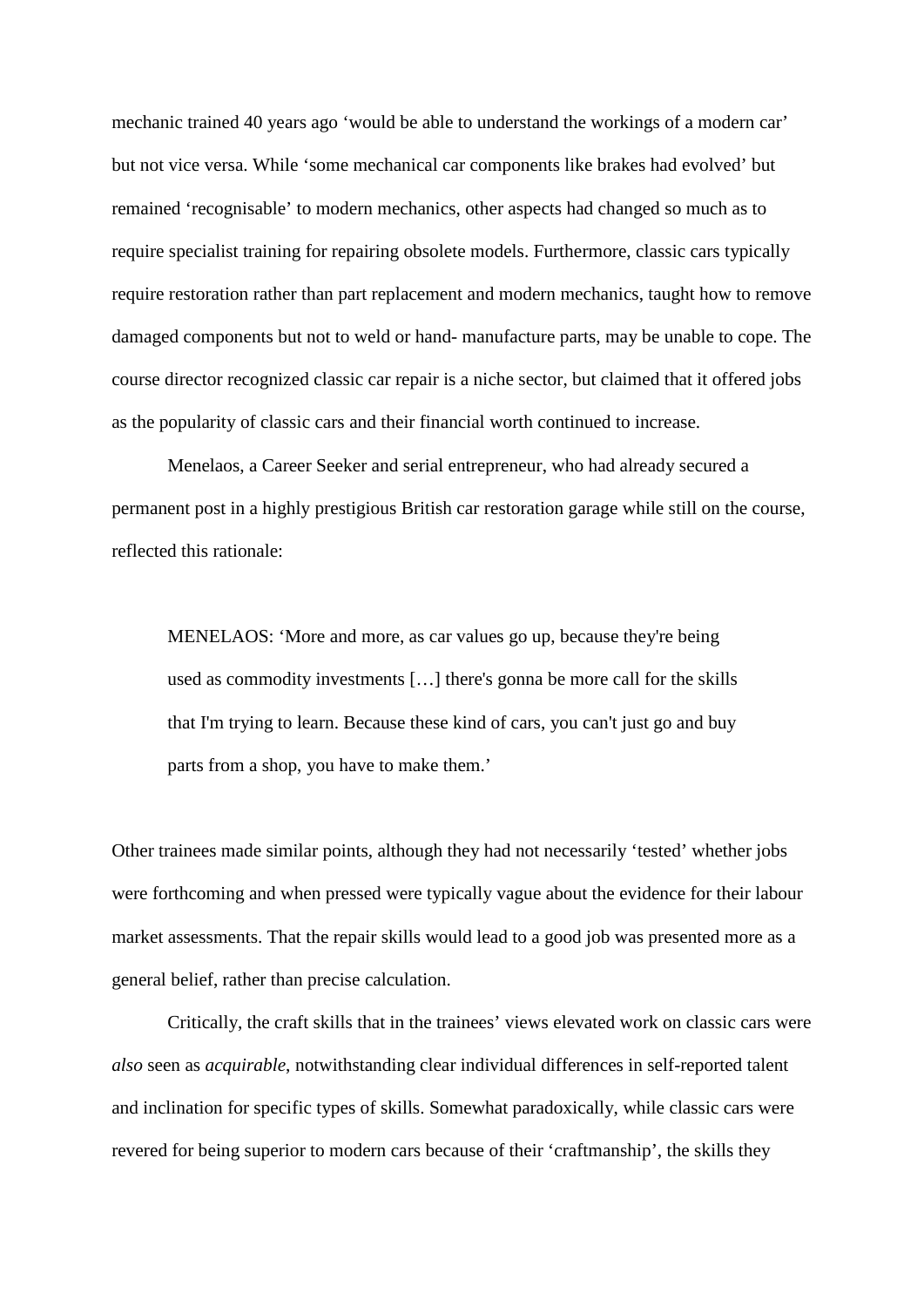mechanic trained 40 years ago 'would be able to understand the workings of a modern car' but not vice versa. While 'some mechanical car components like brakes had evolved' but remained 'recognisable' to modern mechanics, other aspects had changed so much as to require specialist training for repairing obsolete models. Furthermore, classic cars typically require restoration rather than part replacement and modern mechanics, taught how to remove damaged components but not to weld or hand- manufacture parts, may be unable to cope. The course director recognized classic car repair is a niche sector, but claimed that it offered jobs as the popularity of classic cars and their financial worth continued to increase.

Menelaos, a Career Seeker and serial entrepreneur, who had already secured a permanent post in a highly prestigious British car restoration garage while still on the course, reflected this rationale:

MENELAOS: 'More and more, as car values go up, because they're being used as commodity investments […] there's gonna be more call for the skills that I'm trying to learn. Because these kind of cars, you can't just go and buy parts from a shop, you have to make them.'

Other trainees made similar points, although they had not necessarily 'tested' whether jobs were forthcoming and when pressed were typically vague about the evidence for their labour market assessments. That the repair skills would lead to a good job was presented more as a general belief, rather than precise calculation.

Critically, the craft skills that in the trainees' views elevated work on classic cars were *also* seen as *acquirable*, notwithstanding clear individual differences in self-reported talent and inclination for specific types of skills. Somewhat paradoxically, while classic cars were revered for being superior to modern cars because of their 'craftmanship', the skills they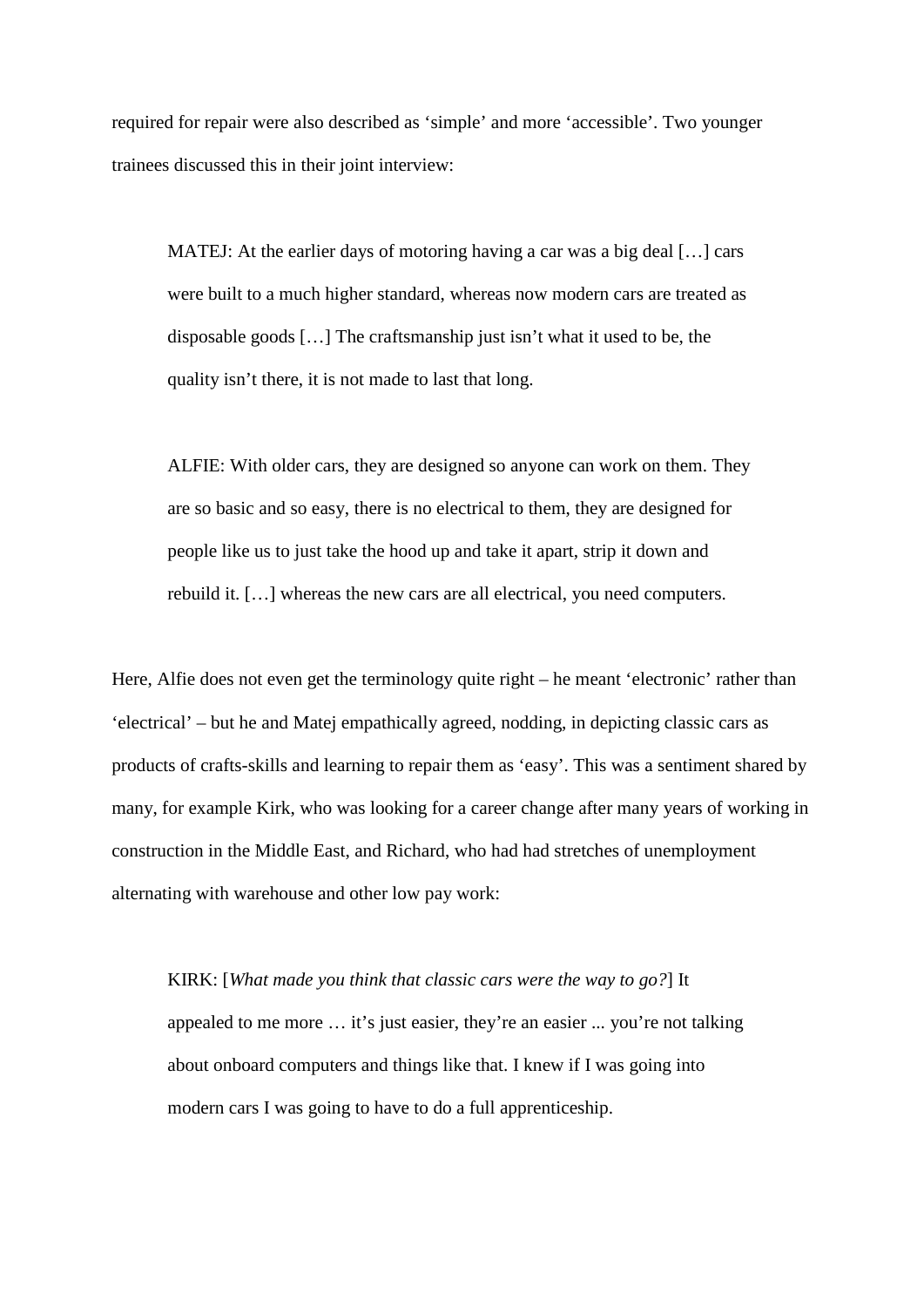required for repair were also described as 'simple' and more 'accessible'. Two younger trainees discussed this in their joint interview:

MATEJ: At the earlier days of motoring having a car was a big deal [...] cars were built to a much higher standard, whereas now modern cars are treated as disposable goods […] The craftsmanship just isn't what it used to be, the quality isn't there, it is not made to last that long.

ALFIE: With older cars, they are designed so anyone can work on them. They are so basic and so easy, there is no electrical to them, they are designed for people like us to just take the hood up and take it apart, strip it down and rebuild it. […] whereas the new cars are all electrical, you need computers.

Here, Alfie does not even get the terminology quite right – he meant 'electronic' rather than 'electrical' – but he and Matej empathically agreed, nodding, in depicting classic cars as products of crafts-skills and learning to repair them as 'easy'. This was a sentiment shared by many, for example Kirk, who was looking for a career change after many years of working in construction in the Middle East, and Richard, who had had stretches of unemployment alternating with warehouse and other low pay work:

KIRK: [*What made you think that classic cars were the way to go?*] It appealed to me more … it's just easier, they're an easier ... you're not talking about onboard computers and things like that. I knew if I was going into modern cars I was going to have to do a full apprenticeship.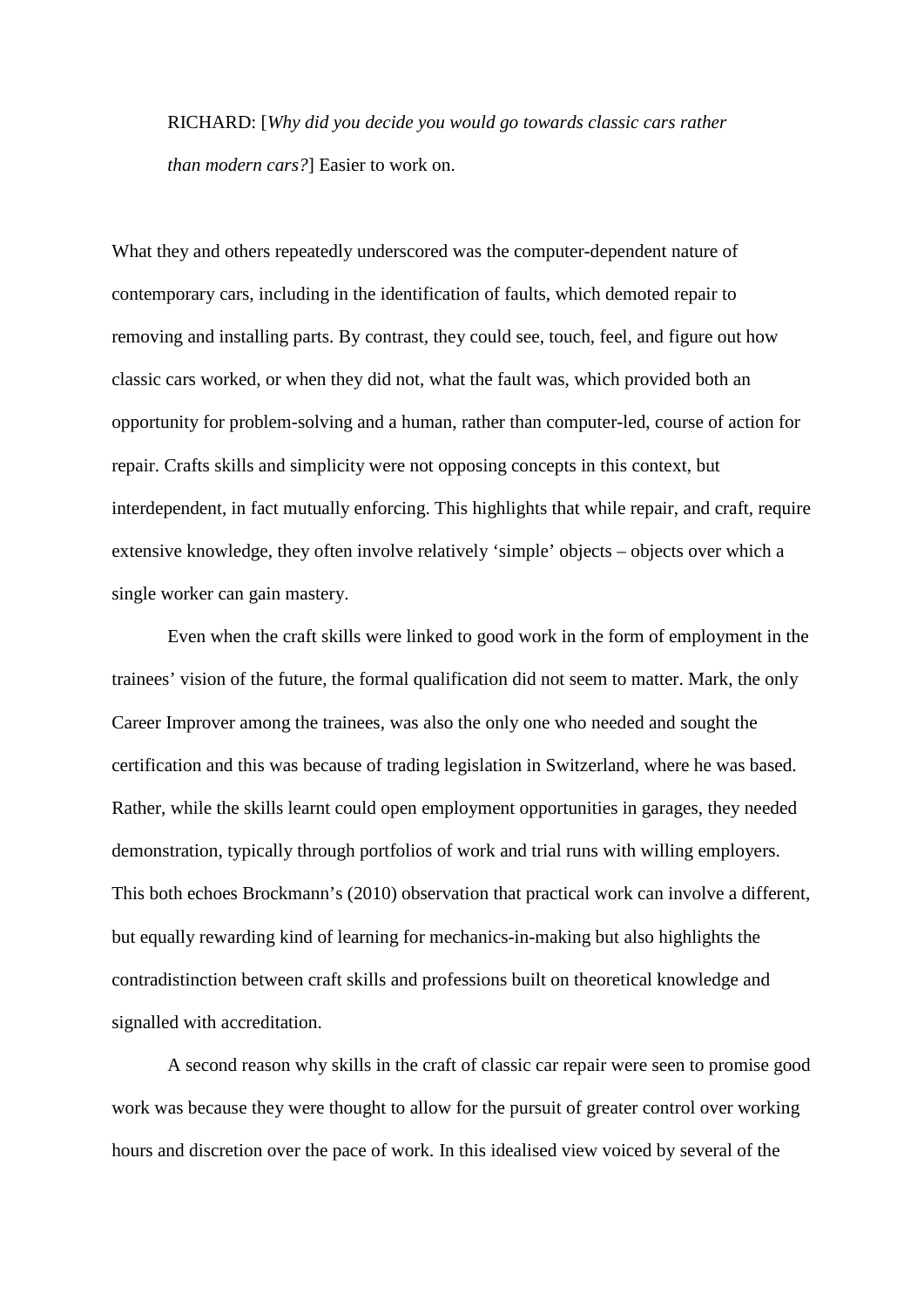RICHARD: [*Why did you decide you would go towards classic cars rather than modern cars?*] Easier to work on.

What they and others repeatedly underscored was the computer-dependent nature of contemporary cars, including in the identification of faults, which demoted repair to removing and installing parts. By contrast, they could see, touch, feel, and figure out how classic cars worked, or when they did not, what the fault was, which provided both an opportunity for problem-solving and a human, rather than computer-led, course of action for repair. Crafts skills and simplicity were not opposing concepts in this context, but interdependent, in fact mutually enforcing. This highlights that while repair, and craft, require extensive knowledge, they often involve relatively 'simple' objects – objects over which a single worker can gain mastery.

Even when the craft skills were linked to good work in the form of employment in the trainees' vision of the future, the formal qualification did not seem to matter. Mark, the only Career Improver among the trainees, was also the only one who needed and sought the certification and this was because of trading legislation in Switzerland, where he was based. Rather, while the skills learnt could open employment opportunities in garages, they needed demonstration, typically through portfolios of work and trial runs with willing employers. This both echoes Brockmann's (2010) observation that practical work can involve a different, but equally rewarding kind of learning for mechanics-in-making but also highlights the contradistinction between craft skills and professions built on theoretical knowledge and signalled with accreditation.

A second reason why skills in the craft of classic car repair were seen to promise good work was because they were thought to allow for the pursuit of greater control over working hours and discretion over the pace of work. In this idealised view voiced by several of the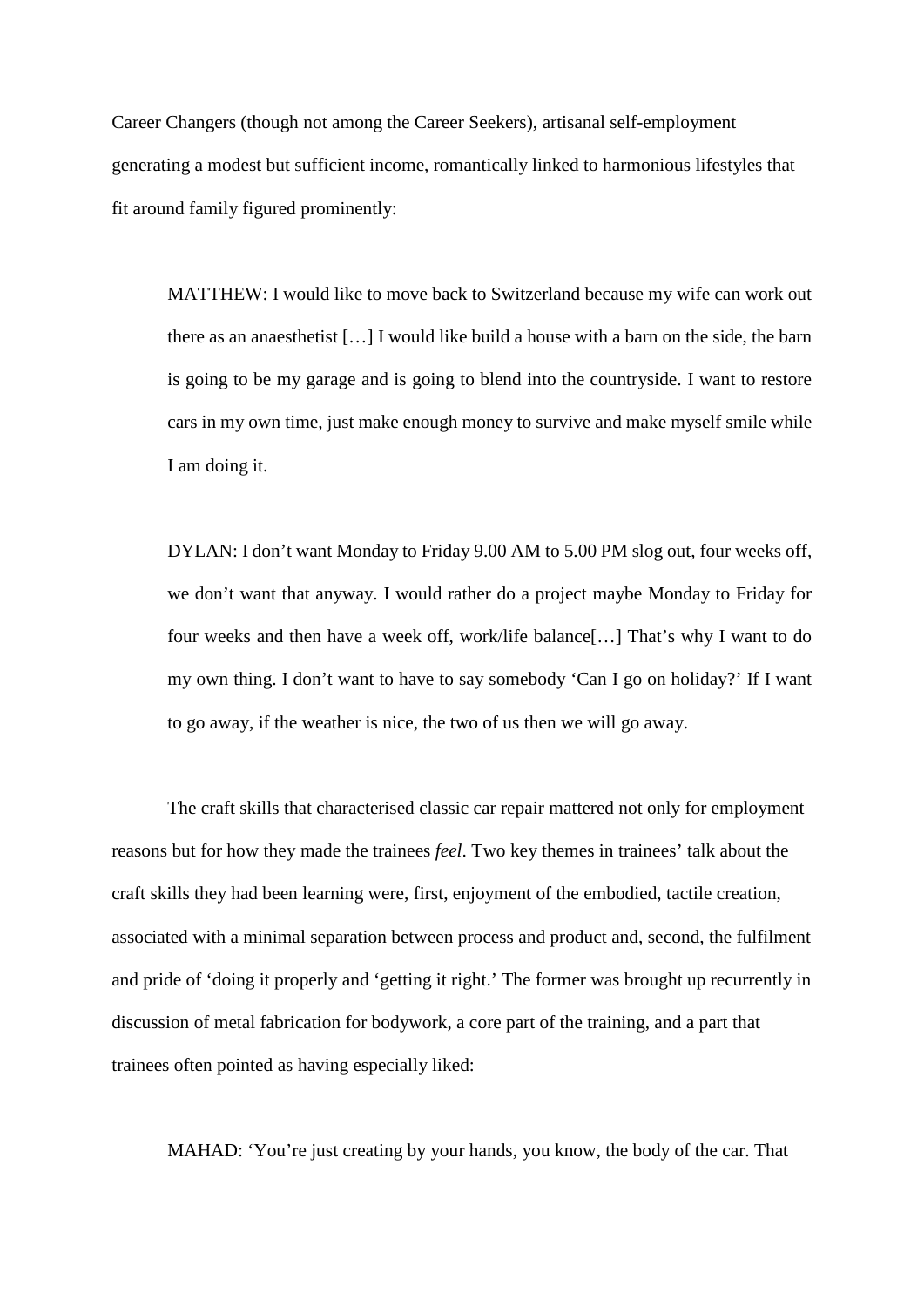Career Changers (though not among the Career Seekers), artisanal self-employment generating a modest but sufficient income, romantically linked to harmonious lifestyles that fit around family figured prominently:

MATTHEW: I would like to move back to Switzerland because my wife can work out there as an anaesthetist […] I would like build a house with a barn on the side, the barn is going to be my garage and is going to blend into the countryside. I want to restore cars in my own time, just make enough money to survive and make myself smile while I am doing it.

DYLAN: I don't want Monday to Friday 9.00 AM to 5.00 PM slog out, four weeks off, we don't want that anyway. I would rather do a project maybe Monday to Friday for four weeks and then have a week off, work/life balance[…] That's why I want to do my own thing. I don't want to have to say somebody 'Can I go on holiday?' If I want to go away, if the weather is nice, the two of us then we will go away.

The craft skills that characterised classic car repair mattered not only for employment reasons but for how they made the trainees *feel*. Two key themes in trainees' talk about the craft skills they had been learning were, first, enjoyment of the embodied, tactile creation, associated with a minimal separation between process and product and, second, the fulfilment and pride of 'doing it properly and 'getting it right.' The former was brought up recurrently in discussion of metal fabrication for bodywork, a core part of the training, and a part that trainees often pointed as having especially liked:

MAHAD: 'You're just creating by your hands, you know, the body of the car. That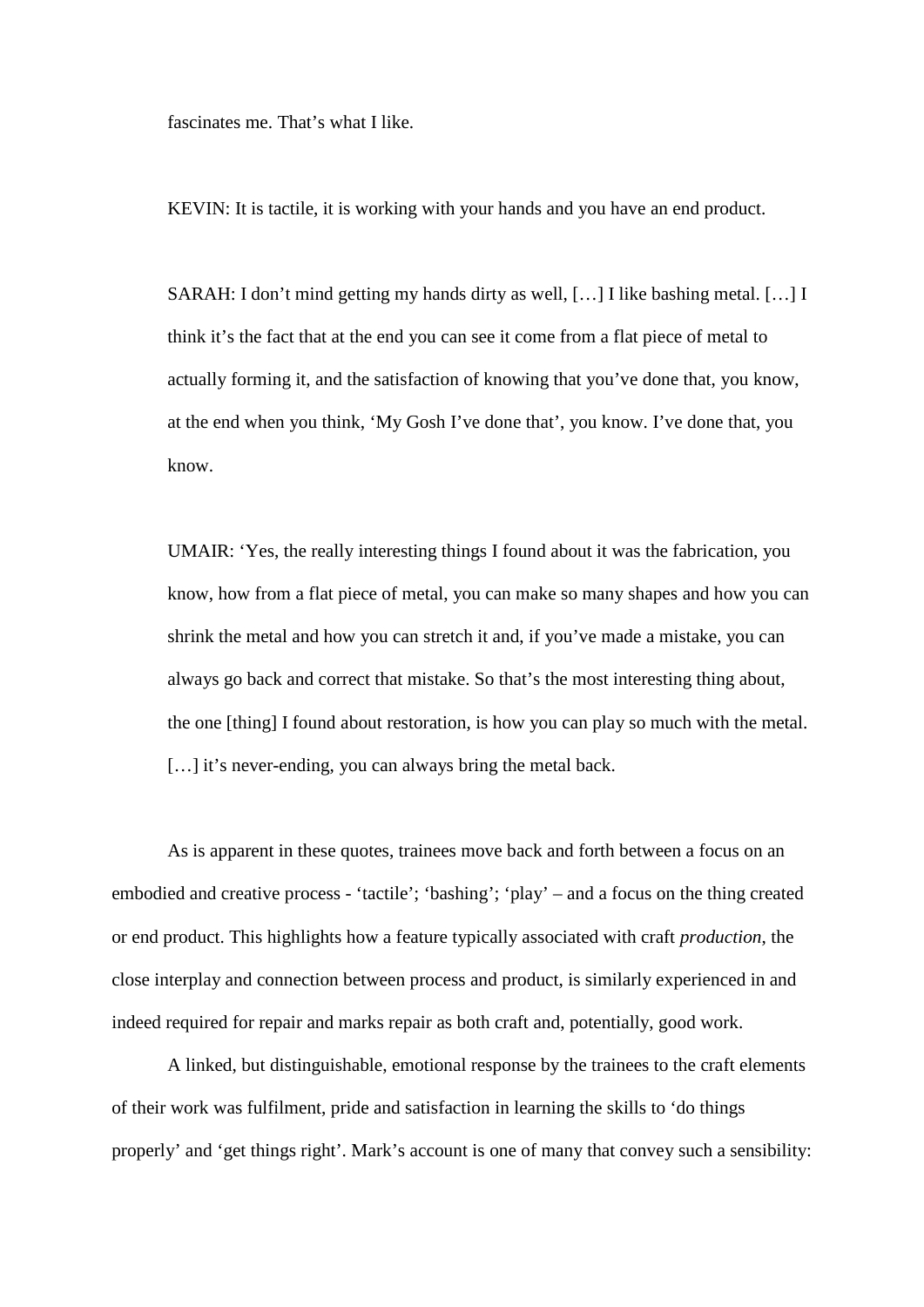fascinates me. That's what I like.

KEVIN: It is tactile, it is working with your hands and you have an end product.

SARAH: I don't mind getting my hands dirty as well, […] I like bashing metal. […] I think it's the fact that at the end you can see it come from a flat piece of metal to actually forming it, and the satisfaction of knowing that you've done that, you know, at the end when you think, 'My Gosh I've done that', you know. I've done that, you know.

UMAIR: 'Yes, the really interesting things I found about it was the fabrication, you know, how from a flat piece of metal, you can make so many shapes and how you can shrink the metal and how you can stretch it and, if you've made a mistake, you can always go back and correct that mistake. So that's the most interesting thing about, the one [thing] I found about restoration, is how you can play so much with the metal. [...] it's never-ending, you can always bring the metal back.

As is apparent in these quotes, trainees move back and forth between a focus on an embodied and creative process - 'tactile'; 'bashing'; 'play' – and a focus on the thing created or end product. This highlights how a feature typically associated with craft *production*, the close interplay and connection between process and product, is similarly experienced in and indeed required for repair and marks repair as both craft and, potentially, good work.

A linked, but distinguishable, emotional response by the trainees to the craft elements of their work was fulfilment, pride and satisfaction in learning the skills to 'do things properly' and 'get things right'. Mark's account is one of many that convey such a sensibility: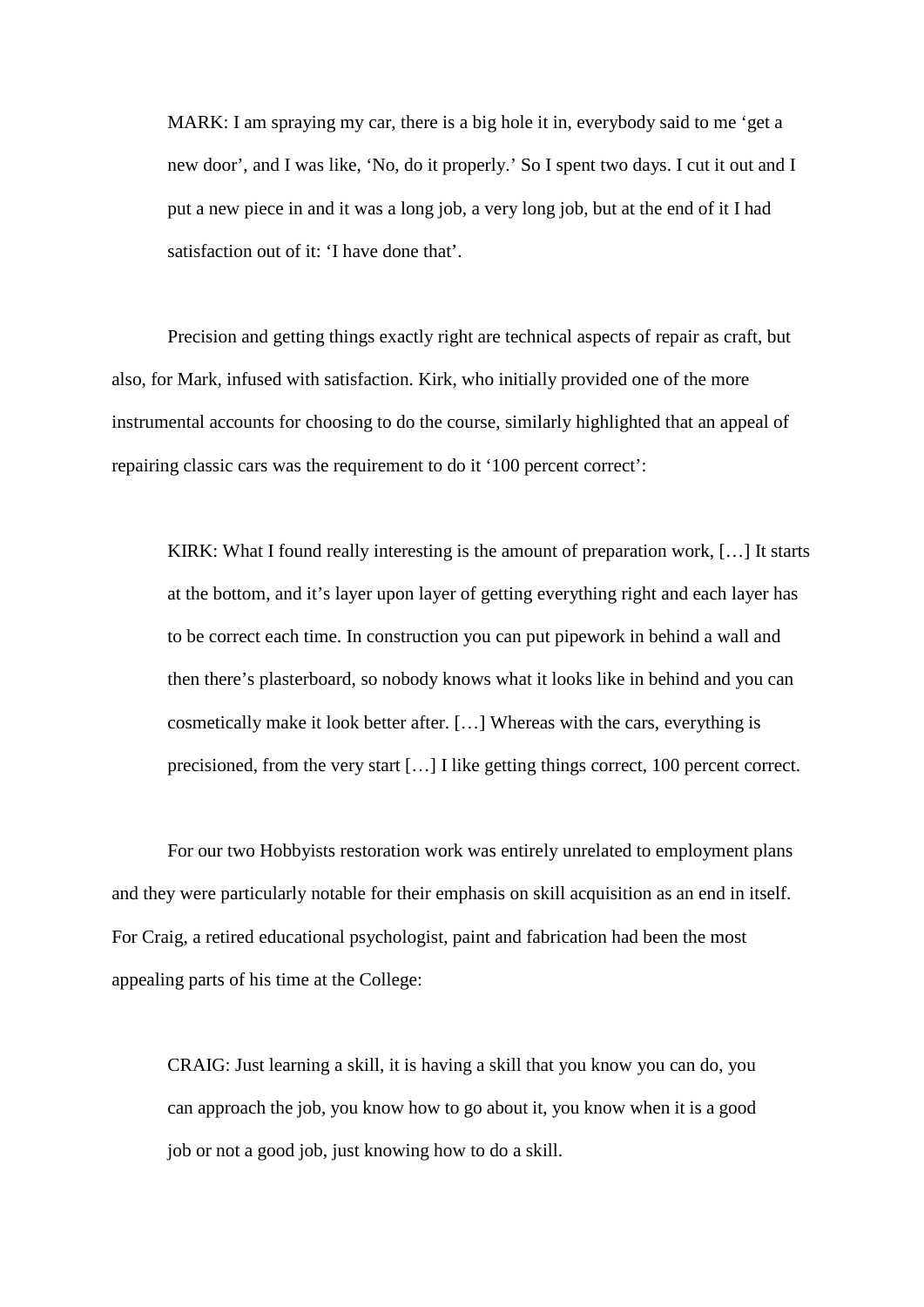MARK: I am spraying my car, there is a big hole it in, everybody said to me 'get a new door', and I was like, 'No, do it properly.' So I spent two days. I cut it out and I put a new piece in and it was a long job, a very long job, but at the end of it I had satisfaction out of it: 'I have done that'.

Precision and getting things exactly right are technical aspects of repair as craft, but also, for Mark, infused with satisfaction. Kirk, who initially provided one of the more instrumental accounts for choosing to do the course, similarly highlighted that an appeal of repairing classic cars was the requirement to do it '100 percent correct':

KIRK: What I found really interesting is the amount of preparation work, […] It starts at the bottom, and it's layer upon layer of getting everything right and each layer has to be correct each time. In construction you can put pipework in behind a wall and then there's plasterboard, so nobody knows what it looks like in behind and you can cosmetically make it look better after. […] Whereas with the cars, everything is precisioned, from the very start […] I like getting things correct, 100 percent correct.

For our two Hobbyists restoration work was entirely unrelated to employment plans and they were particularly notable for their emphasis on skill acquisition as an end in itself. For Craig, a retired educational psychologist, paint and fabrication had been the most appealing parts of his time at the College:

CRAIG: Just learning a skill, it is having a skill that you know you can do, you can approach the job, you know how to go about it, you know when it is a good job or not a good job, just knowing how to do a skill.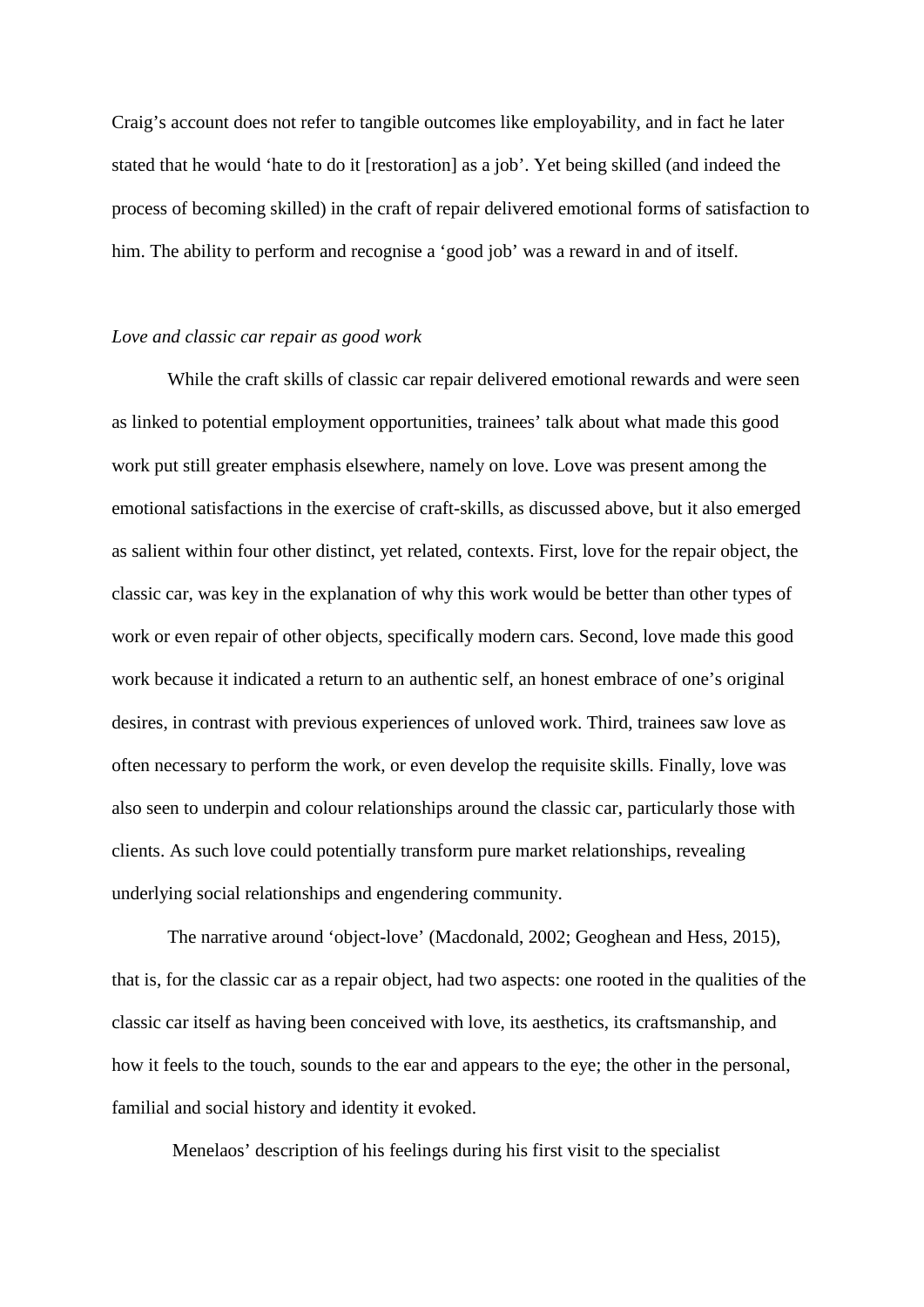Craig's account does not refer to tangible outcomes like employability, and in fact he later stated that he would 'hate to do it [restoration] as a job'. Yet being skilled (and indeed the process of becoming skilled) in the craft of repair delivered emotional forms of satisfaction to him. The ability to perform and recognise a 'good job' was a reward in and of itself.

## *Love and classic car repair as good work*

While the craft skills of classic car repair delivered emotional rewards and were seen as linked to potential employment opportunities, trainees' talk about what made this good work put still greater emphasis elsewhere, namely on love. Love was present among the emotional satisfactions in the exercise of craft-skills, as discussed above, but it also emerged as salient within four other distinct, yet related, contexts. First, love for the repair object, the classic car, was key in the explanation of why this work would be better than other types of work or even repair of other objects, specifically modern cars. Second, love made this good work because it indicated a return to an authentic self, an honest embrace of one's original desires, in contrast with previous experiences of unloved work. Third, trainees saw love as often necessary to perform the work, or even develop the requisite skills. Finally, love was also seen to underpin and colour relationships around the classic car, particularly those with clients. As such love could potentially transform pure market relationships, revealing underlying social relationships and engendering community.

The narrative around 'object-love' (Macdonald, 2002; Geoghean and Hess, 2015), that is, for the classic car as a repair object, had two aspects: one rooted in the qualities of the classic car itself as having been conceived with love, its aesthetics, its craftsmanship, and how it feels to the touch, sounds to the ear and appears to the eye; the other in the personal, familial and social history and identity it evoked.

Menelaos' description of his feelings during his first visit to the specialist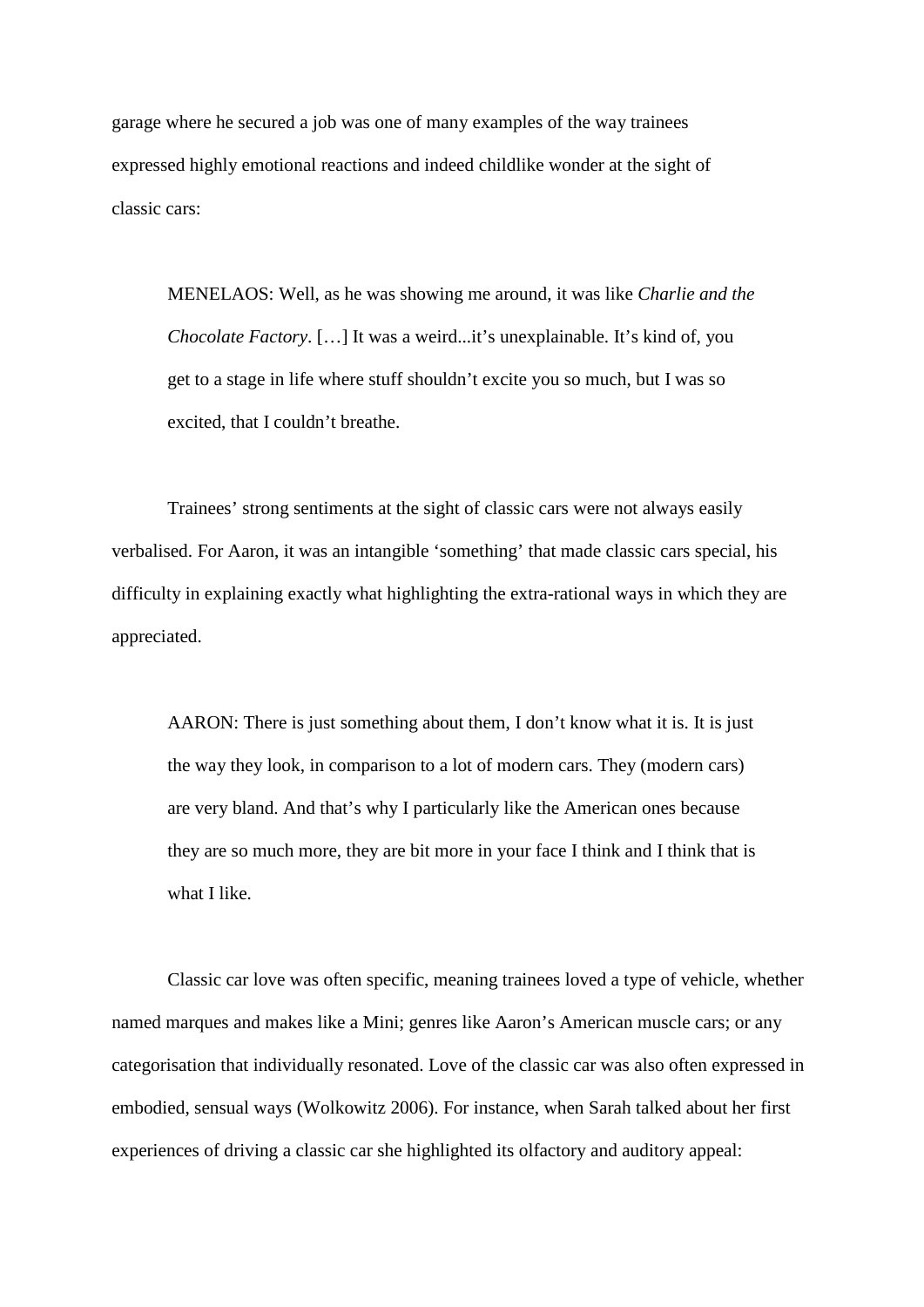garage where he secured a job was one of many examples of the way trainees expressed highly emotional reactions and indeed childlike wonder at the sight of classic cars:

MENELAOS: Well, as he was showing me around, it was like *Charlie and the Chocolate Factory*. […] It was a weird...it's unexplainable. It's kind of, you get to a stage in life where stuff shouldn't excite you so much, but I was so excited, that I couldn't breathe.

Trainees' strong sentiments at the sight of classic cars were not always easily verbalised. For Aaron, it was an intangible 'something' that made classic cars special, his difficulty in explaining exactly what highlighting the extra-rational ways in which they are appreciated.

AARON: There is just something about them, I don't know what it is. It is just the way they look, in comparison to a lot of modern cars. They (modern cars) are very bland. And that's why I particularly like the American ones because they are so much more, they are bit more in your face I think and I think that is what I like.

Classic car love was often specific, meaning trainees loved a type of vehicle, whether named marques and makes like a Mini; genres like Aaron's American muscle cars; or any categorisation that individually resonated. Love of the classic car was also often expressed in embodied, sensual ways (Wolkowitz 2006). For instance, when Sarah talked about her first experiences of driving a classic car she highlighted its olfactory and auditory appeal: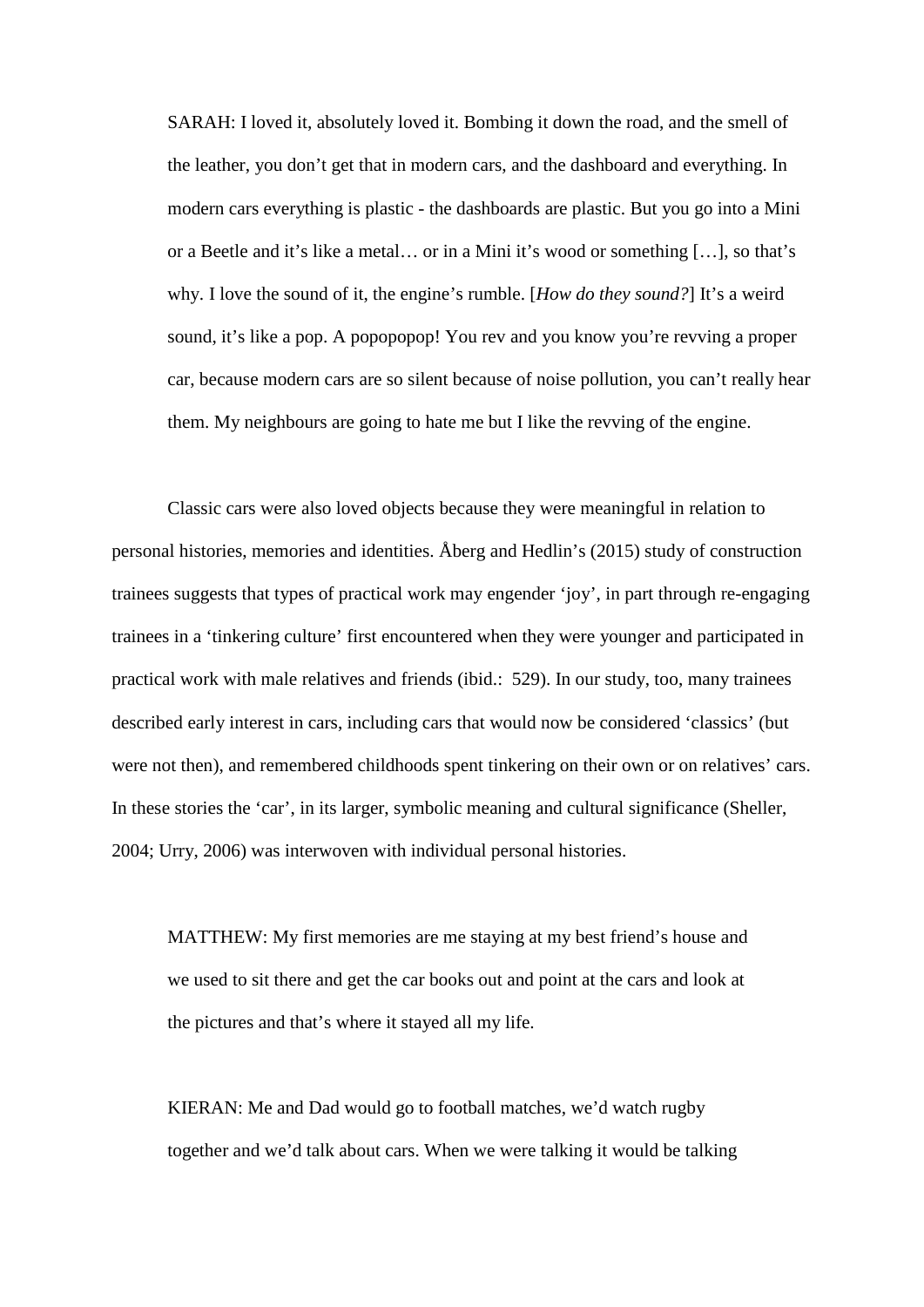SARAH: I loved it, absolutely loved it. Bombing it down the road, and the smell of the leather, you don't get that in modern cars, and the dashboard and everything. In modern cars everything is plastic - the dashboards are plastic. But you go into a Mini or a Beetle and it's like a metal… or in a Mini it's wood or something […], so that's why. I love the sound of it, the engine's rumble. [*How do they sound?*] It's a weird sound, it's like a pop. A popopopop! You rev and you know you're revving a proper car, because modern cars are so silent because of noise pollution, you can't really hear them. My neighbours are going to hate me but I like the revving of the engine.

Classic cars were also loved objects because they were meaningful in relation to personal histories, memories and identities. Åberg and Hedlin's (2015) study of construction trainees suggests that types of practical work may engender 'joy', in part through re-engaging trainees in a 'tinkering culture' first encountered when they were younger and participated in practical work with male relatives and friends (ibid.: 529). In our study, too, many trainees described early interest in cars, including cars that would now be considered 'classics' (but were not then), and remembered childhoods spent tinkering on their own or on relatives' cars. In these stories the 'car', in its larger, symbolic meaning and cultural significance (Sheller, 2004; Urry, 2006) was interwoven with individual personal histories.

MATTHEW: My first memories are me staying at my best friend's house and we used to sit there and get the car books out and point at the cars and look at the pictures and that's where it stayed all my life.

KIERAN: Me and Dad would go to football matches, we'd watch rugby together and we'd talk about cars. When we were talking it would be talking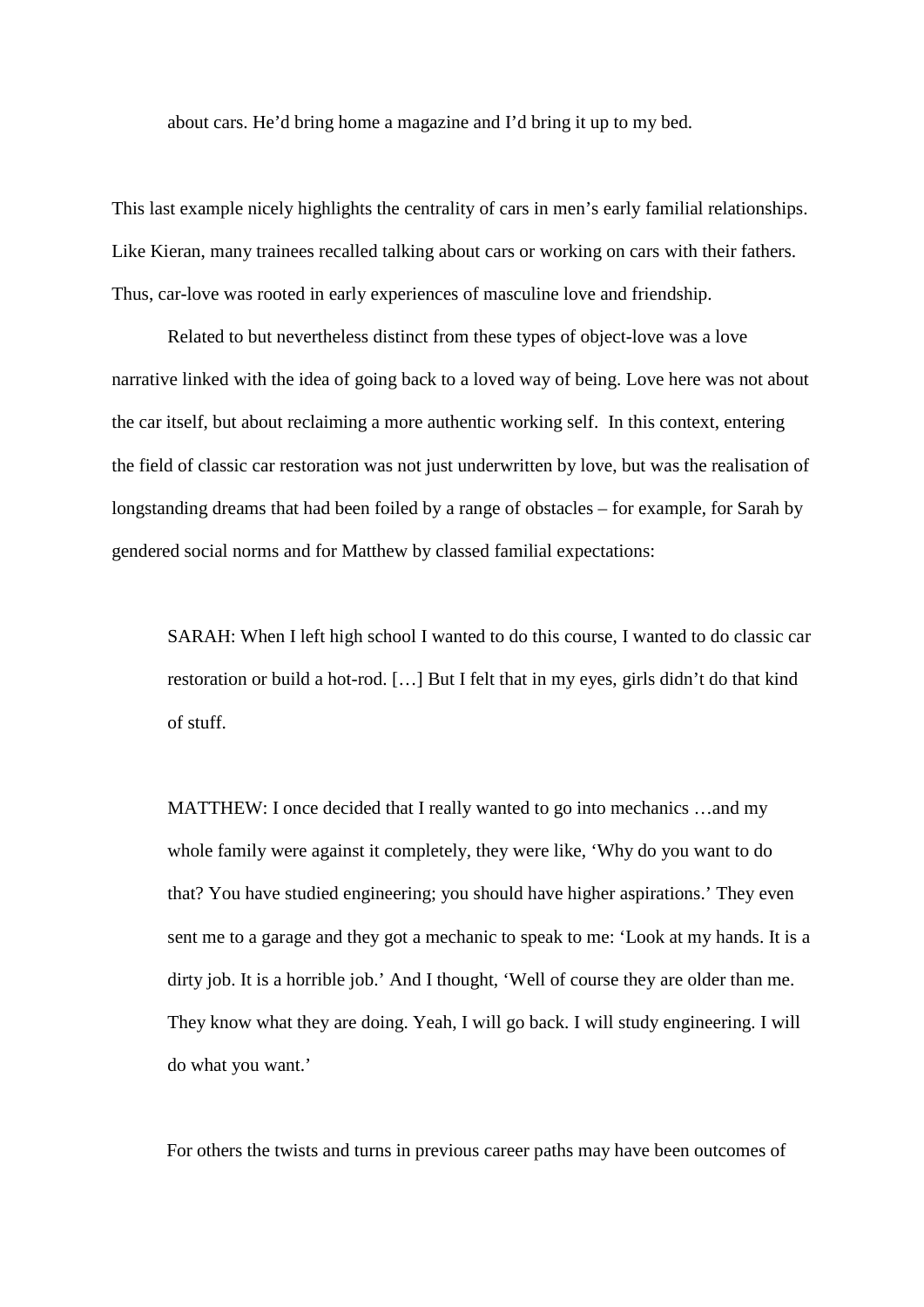about cars. He'd bring home a magazine and I'd bring it up to my bed.

This last example nicely highlights the centrality of cars in men's early familial relationships. Like Kieran, many trainees recalled talking about cars or working on cars with their fathers. Thus, car-love was rooted in early experiences of masculine love and friendship.

Related to but nevertheless distinct from these types of object-love was a love narrative linked with the idea of going back to a loved way of being. Love here was not about the car itself, but about reclaiming a more authentic working self. In this context, entering the field of classic car restoration was not just underwritten by love, but was the realisation of longstanding dreams that had been foiled by a range of obstacles – for example, for Sarah by gendered social norms and for Matthew by classed familial expectations:

SARAH: When I left high school I wanted to do this course, I wanted to do classic car restoration or build a hot-rod. […] But I felt that in my eyes, girls didn't do that kind of stuff.

MATTHEW: I once decided that I really wanted to go into mechanics …and my whole family were against it completely, they were like, 'Why do you want to do that? You have studied engineering; you should have higher aspirations.' They even sent me to a garage and they got a mechanic to speak to me: 'Look at my hands. It is a dirty job. It is a horrible job.' And I thought, 'Well of course they are older than me. They know what they are doing. Yeah, I will go back. I will study engineering. I will do what you want.'

For others the twists and turns in previous career paths may have been outcomes of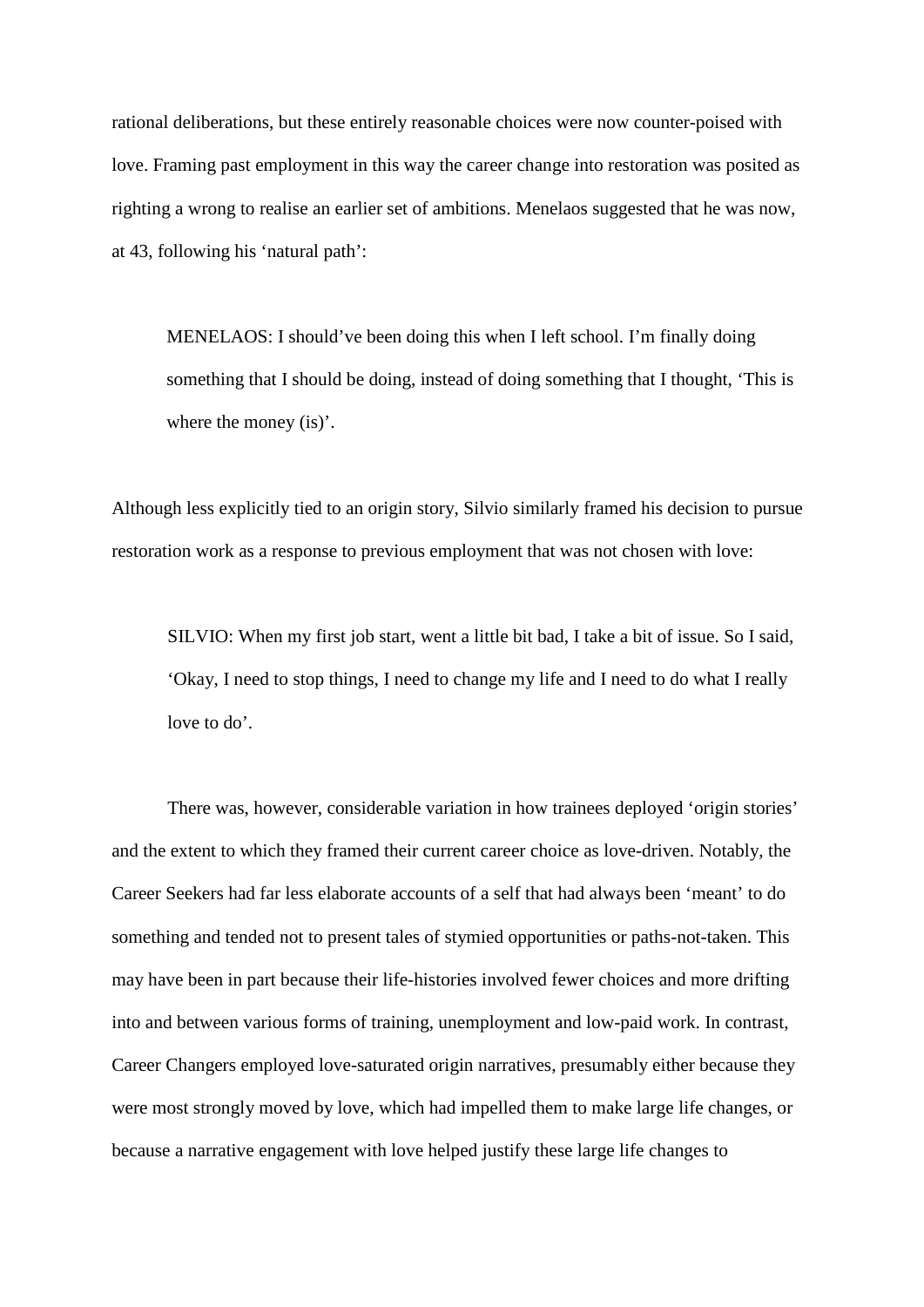rational deliberations, but these entirely reasonable choices were now counter-poised with love. Framing past employment in this way the career change into restoration was posited as righting a wrong to realise an earlier set of ambitions. Menelaos suggested that he was now, at 43, following his 'natural path':

MENELAOS: I should've been doing this when I left school. I'm finally doing something that I should be doing, instead of doing something that I thought, 'This is where the money (is)'.

Although less explicitly tied to an origin story, Silvio similarly framed his decision to pursue restoration work as a response to previous employment that was not chosen with love:

SILVIO: When my first job start, went a little bit bad, I take a bit of issue. So I said, 'Okay, I need to stop things, I need to change my life and I need to do what I really love to do'.

There was, however, considerable variation in how trainees deployed 'origin stories' and the extent to which they framed their current career choice as love-driven. Notably, the Career Seekers had far less elaborate accounts of a self that had always been 'meant' to do something and tended not to present tales of stymied opportunities or paths-not-taken. This may have been in part because their life-histories involved fewer choices and more drifting into and between various forms of training, unemployment and low-paid work. In contrast, Career Changers employed love-saturated origin narratives, presumably either because they were most strongly moved by love, which had impelled them to make large life changes, or because a narrative engagement with love helped justify these large life changes to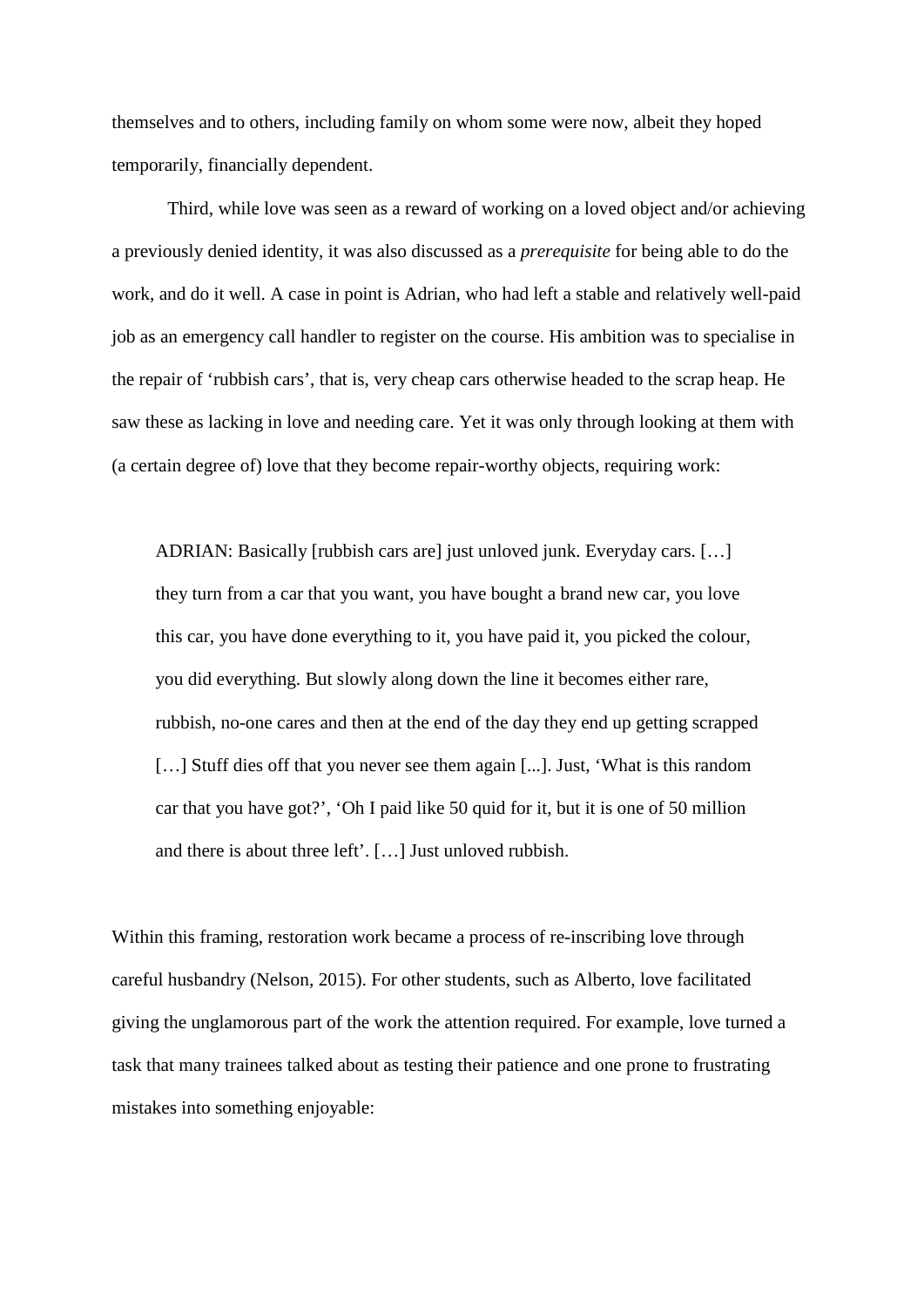themselves and to others, including family on whom some were now, albeit they hoped temporarily, financially dependent.

Third, while love was seen as a reward of working on a loved object and/or achieving a previously denied identity, it was also discussed as a *prerequisite* for being able to do the work, and do it well. A case in point is Adrian, who had left a stable and relatively well-paid job as an emergency call handler to register on the course. His ambition was to specialise in the repair of 'rubbish cars', that is, very cheap cars otherwise headed to the scrap heap. He saw these as lacking in love and needing care. Yet it was only through looking at them with (a certain degree of) love that they become repair-worthy objects, requiring work:

ADRIAN: Basically [rubbish cars are] just unloved junk. Everyday cars. […] they turn from a car that you want, you have bought a brand new car, you love this car, you have done everything to it, you have paid it, you picked the colour, you did everything. But slowly along down the line it becomes either rare, rubbish, no-one cares and then at the end of the day they end up getting scrapped [...] Stuff dies off that you never see them again [...]. Just, 'What is this random car that you have got?', 'Oh I paid like 50 quid for it, but it is one of 50 million and there is about three left'. […] Just unloved rubbish.

Within this framing, restoration work became a process of re-inscribing love through careful husbandry (Nelson, 2015). For other students, such as Alberto, love facilitated giving the unglamorous part of the work the attention required. For example, love turned a task that many trainees talked about as testing their patience and one prone to frustrating mistakes into something enjoyable: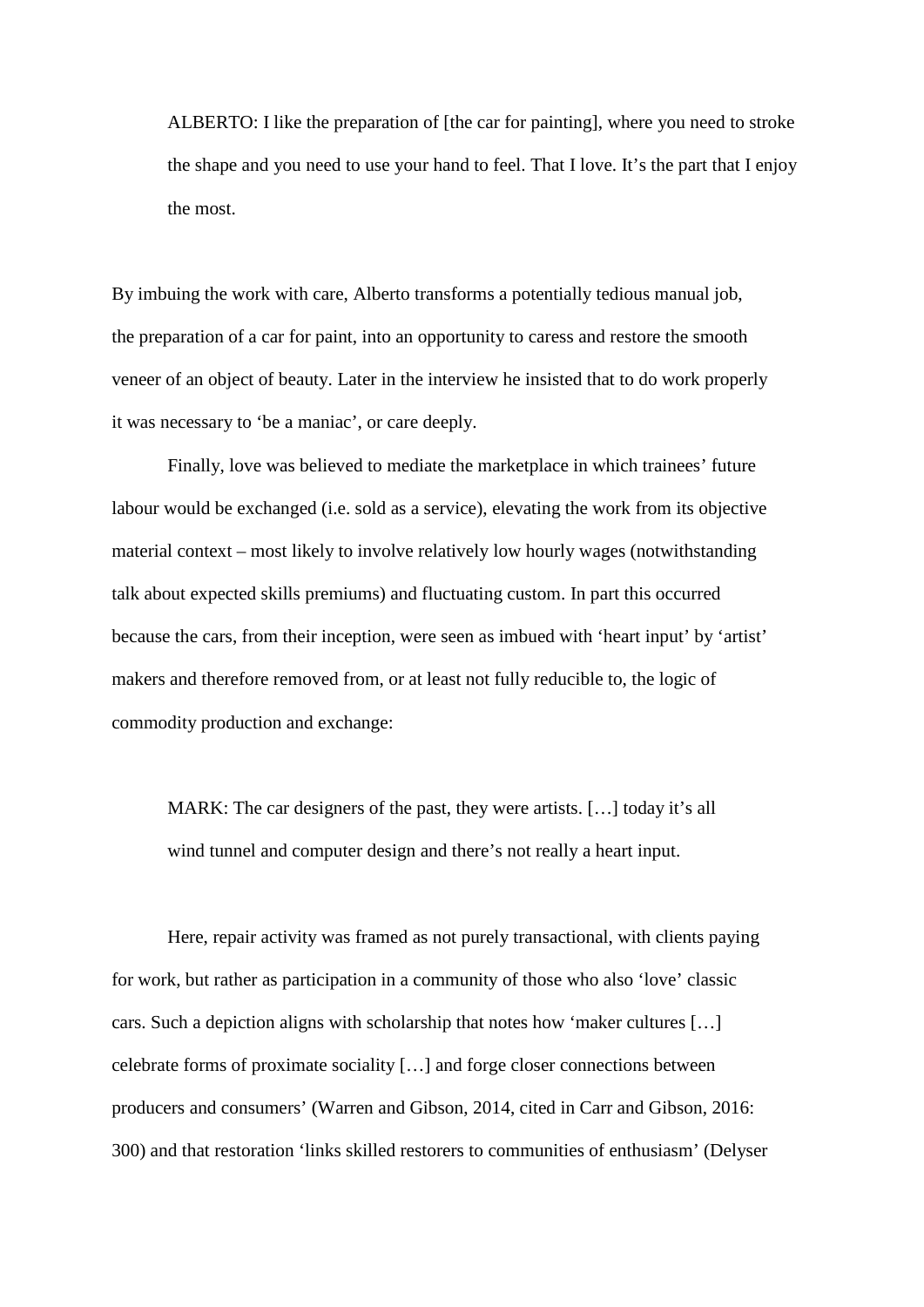ALBERTO: I like the preparation of [the car for painting], where you need to stroke the shape and you need to use your hand to feel. That I love. It's the part that I enjoy the most.

By imbuing the work with care, Alberto transforms a potentially tedious manual job, the preparation of a car for paint, into an opportunity to caress and restore the smooth veneer of an object of beauty. Later in the interview he insisted that to do work properly it was necessary to 'be a maniac', or care deeply.

Finally, love was believed to mediate the marketplace in which trainees' future labour would be exchanged (i.e. sold as a service), elevating the work from its objective material context – most likely to involve relatively low hourly wages (notwithstanding talk about expected skills premiums) and fluctuating custom. In part this occurred because the cars, from their inception, were seen as imbued with 'heart input' by 'artist' makers and therefore removed from, or at least not fully reducible to, the logic of commodity production and exchange:

MARK: The car designers of the past, they were artists. […] today it's all wind tunnel and computer design and there's not really a heart input.

Here, repair activity was framed as not purely transactional, with clients paying for work, but rather as participation in a community of those who also 'love' classic cars. Such a depiction aligns with scholarship that notes how 'maker cultures […] celebrate forms of proximate sociality […] and forge closer connections between producers and consumers' (Warren and Gibson, 2014, cited in Carr and Gibson, 2016: 300) and that restoration 'links skilled restorers to communities of enthusiasm' (Delyser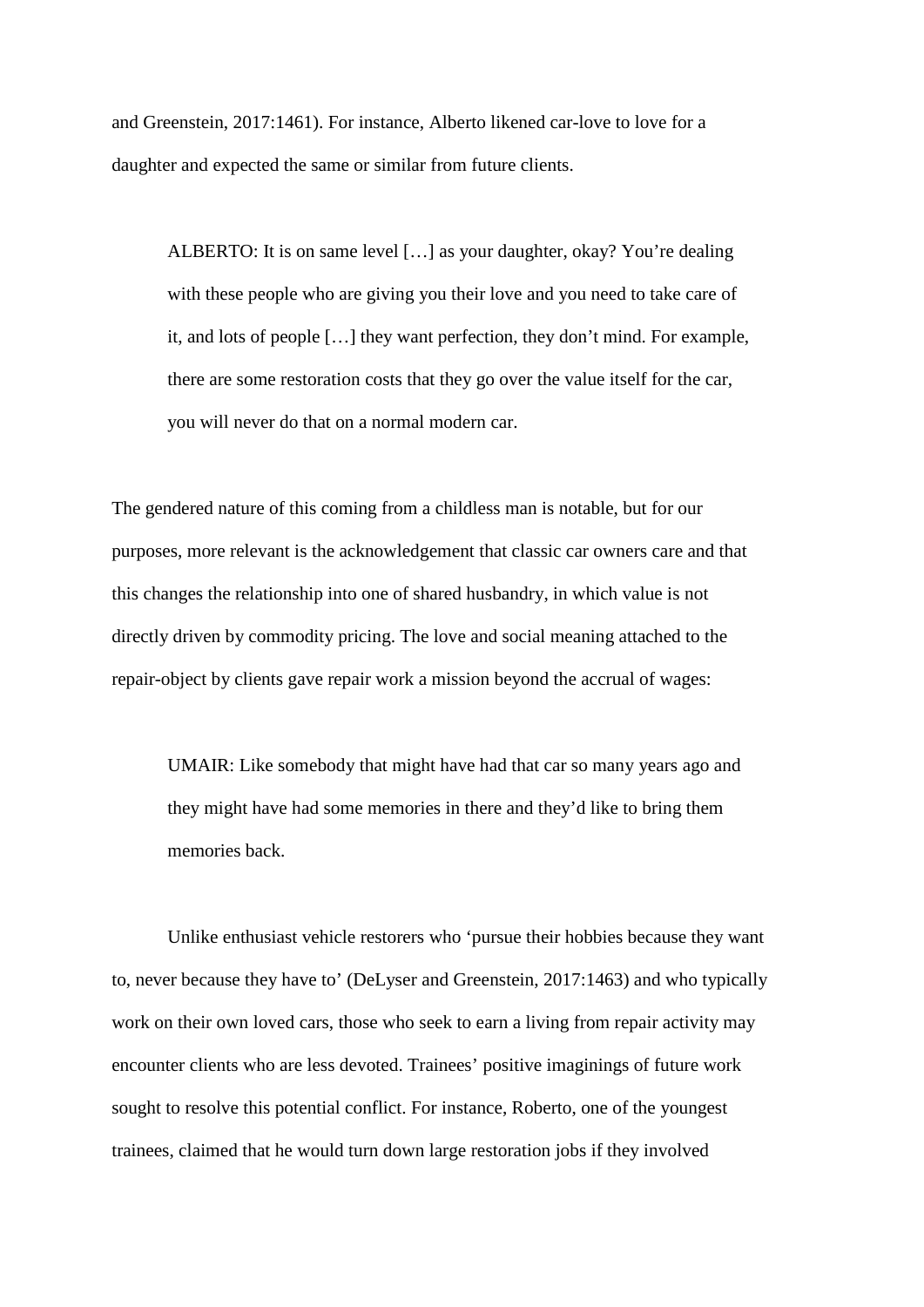and Greenstein, 2017:1461). For instance, Alberto likened car-love to love for a daughter and expected the same or similar from future clients.

ALBERTO: It is on same level […] as your daughter, okay? You're dealing with these people who are giving you their love and you need to take care of it, and lots of people […] they want perfection, they don't mind. For example, there are some restoration costs that they go over the value itself for the car, you will never do that on a normal modern car.

The gendered nature of this coming from a childless man is notable, but for our purposes, more relevant is the acknowledgement that classic car owners care and that this changes the relationship into one of shared husbandry, in which value is not directly driven by commodity pricing. The love and social meaning attached to the repair-object by clients gave repair work a mission beyond the accrual of wages:

UMAIR: Like somebody that might have had that car so many years ago and they might have had some memories in there and they'd like to bring them memories back.

Unlike enthusiast vehicle restorers who 'pursue their hobbies because they want to, never because they have to' (DeLyser and Greenstein, 2017:1463) and who typically work on their own loved cars, those who seek to earn a living from repair activity may encounter clients who are less devoted. Trainees' positive imaginings of future work sought to resolve this potential conflict. For instance, Roberto, one of the youngest trainees, claimed that he would turn down large restoration jobs if they involved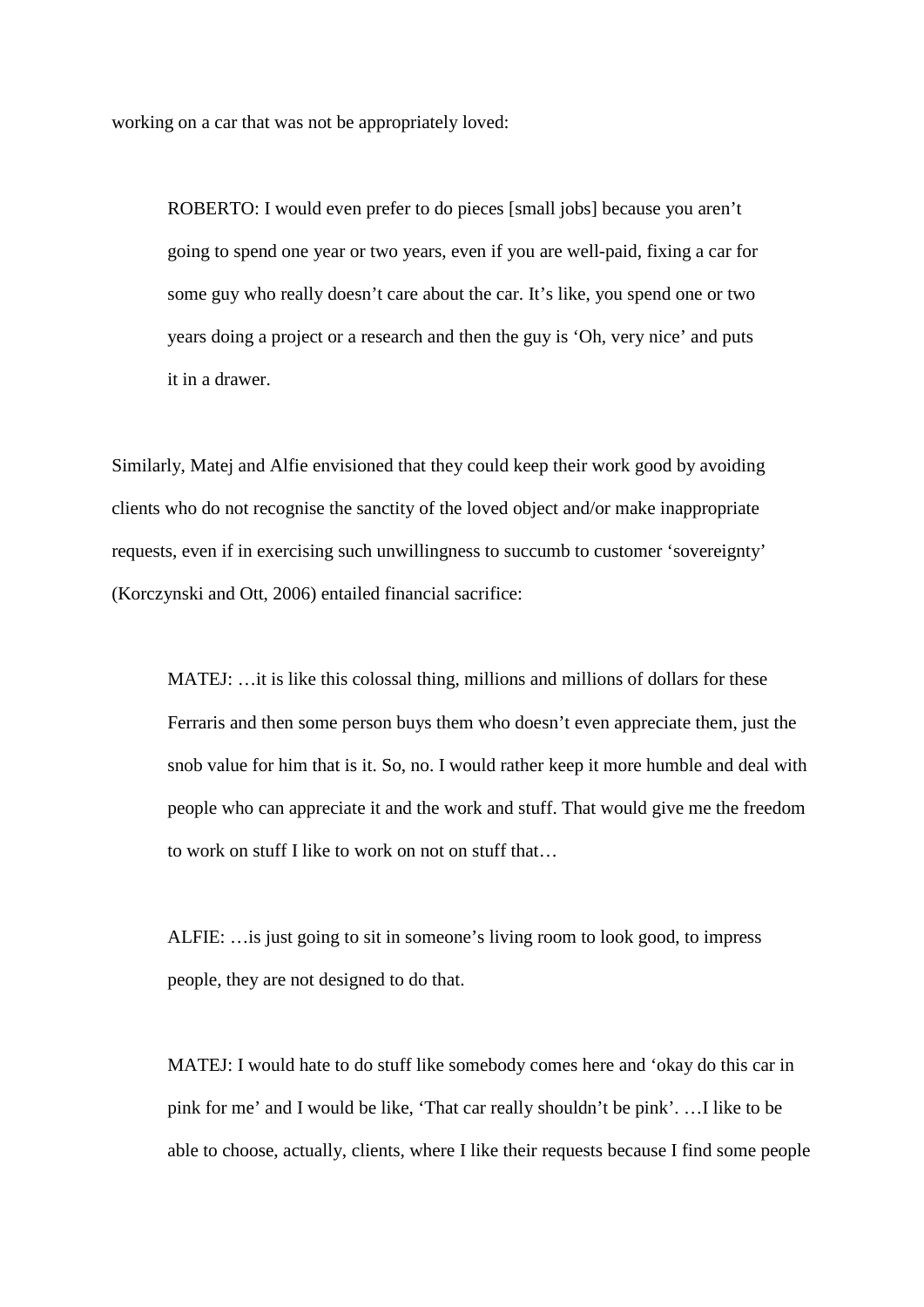working on a car that was not be appropriately loved:

ROBERTO: I would even prefer to do pieces [small jobs] because you aren't going to spend one year or two years, even if you are well-paid, fixing a car for some guy who really doesn't care about the car. It's like, you spend one or two years doing a project or a research and then the guy is 'Oh, very nice' and puts it in a drawer.

Similarly, Matej and Alfie envisioned that they could keep their work good by avoiding clients who do not recognise the sanctity of the loved object and/or make inappropriate requests, even if in exercising such unwillingness to succumb to customer 'sovereignty' (Korczynski and Ott, 2006) entailed financial sacrifice:

MATEJ: …it is like this colossal thing, millions and millions of dollars for these Ferraris and then some person buys them who doesn't even appreciate them, just the snob value for him that is it. So, no. I would rather keep it more humble and deal with people who can appreciate it and the work and stuff. That would give me the freedom to work on stuff I like to work on not on stuff that…

ALFIE: …is just going to sit in someone's living room to look good, to impress people, they are not designed to do that.

MATEJ: I would hate to do stuff like somebody comes here and 'okay do this car in pink for me' and I would be like, 'That car really shouldn't be pink'. …I like to be able to choose, actually, clients, where I like their requests because I find some people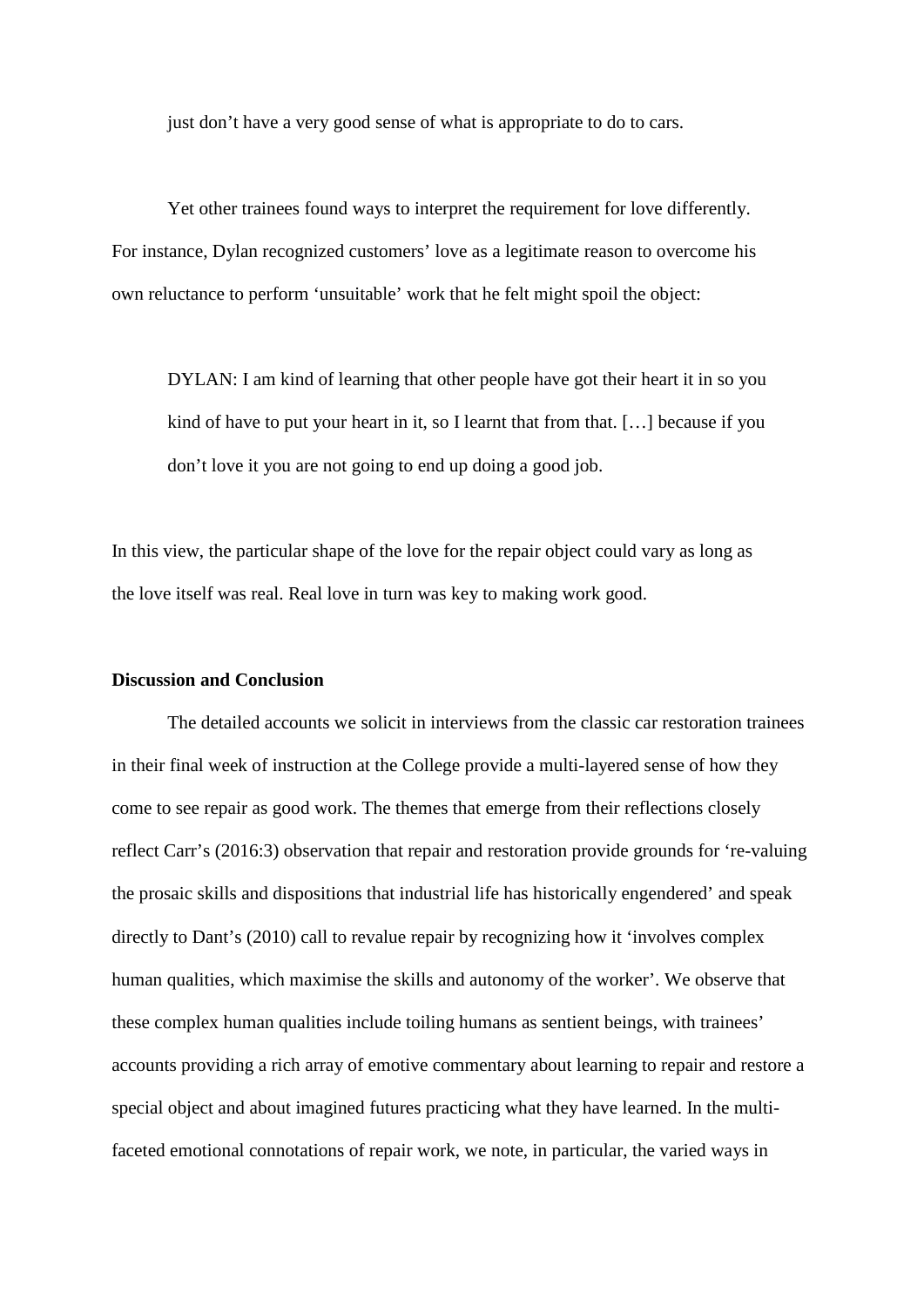just don't have a very good sense of what is appropriate to do to cars.

Yet other trainees found ways to interpret the requirement for love differently. For instance, Dylan recognized customers' love as a legitimate reason to overcome his own reluctance to perform 'unsuitable' work that he felt might spoil the object:

DYLAN: I am kind of learning that other people have got their heart it in so you kind of have to put your heart in it, so I learnt that from that. […] because if you don't love it you are not going to end up doing a good job.

In this view, the particular shape of the love for the repair object could vary as long as the love itself was real. Real love in turn was key to making work good.

## **Discussion and Conclusion**

The detailed accounts we solicit in interviews from the classic car restoration trainees in their final week of instruction at the College provide a multi-layered sense of how they come to see repair as good work. The themes that emerge from their reflections closely reflect Carr's (2016:3) observation that repair and restoration provide grounds for 're-valuing the prosaic skills and dispositions that industrial life has historically engendered' and speak directly to Dant's (2010) call to revalue repair by recognizing how it 'involves complex human qualities, which maximise the skills and autonomy of the worker'. We observe that these complex human qualities include toiling humans as sentient beings, with trainees' accounts providing a rich array of emotive commentary about learning to repair and restore a special object and about imagined futures practicing what they have learned. In the multifaceted emotional connotations of repair work, we note, in particular, the varied ways in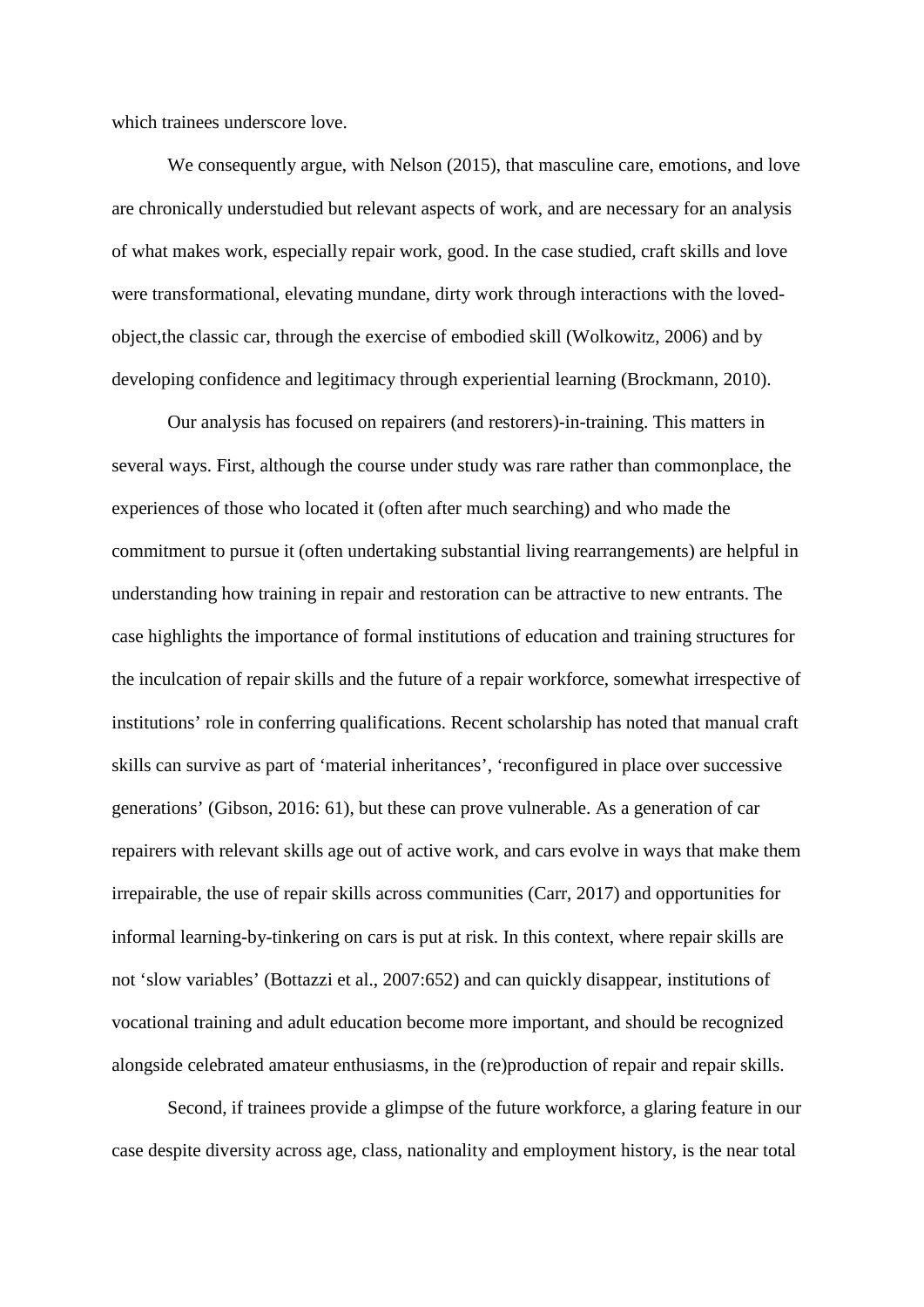which trainees underscore love.

We consequently argue, with Nelson (2015), that masculine care, emotions, and love are chronically understudied but relevant aspects of work, and are necessary for an analysis of what makes work, especially repair work, good. In the case studied, craft skills and love were transformational, elevating mundane, dirty work through interactions with the lovedobject,the classic car, through the exercise of embodied skill (Wolkowitz, 2006) and by developing confidence and legitimacy through experiential learning (Brockmann, 2010).

Our analysis has focused on repairers (and restorers)-in-training. This matters in several ways. First, although the course under study was rare rather than commonplace, the experiences of those who located it (often after much searching) and who made the commitment to pursue it (often undertaking substantial living rearrangements) are helpful in understanding how training in repair and restoration can be attractive to new entrants. The case highlights the importance of formal institutions of education and training structures for the inculcation of repair skills and the future of a repair workforce, somewhat irrespective of institutions' role in conferring qualifications. Recent scholarship has noted that manual craft skills can survive as part of 'material inheritances', 'reconfigured in place over successive generations' (Gibson, 2016: 61), but these can prove vulnerable. As a generation of car repairers with relevant skills age out of active work, and cars evolve in ways that make them irrepairable, the use of repair skills across communities (Carr, 2017) and opportunities for informal learning-by-tinkering on cars is put at risk. In this context, where repair skills are not 'slow variables' (Bottazzi et al., 2007:652) and can quickly disappear, institutions of vocational training and adult education become more important, and should be recognized alongside celebrated amateur enthusiasms, in the (re)production of repair and repair skills.

Second, if trainees provide a glimpse of the future workforce, a glaring feature in our case despite diversity across age, class, nationality and employment history, is the near total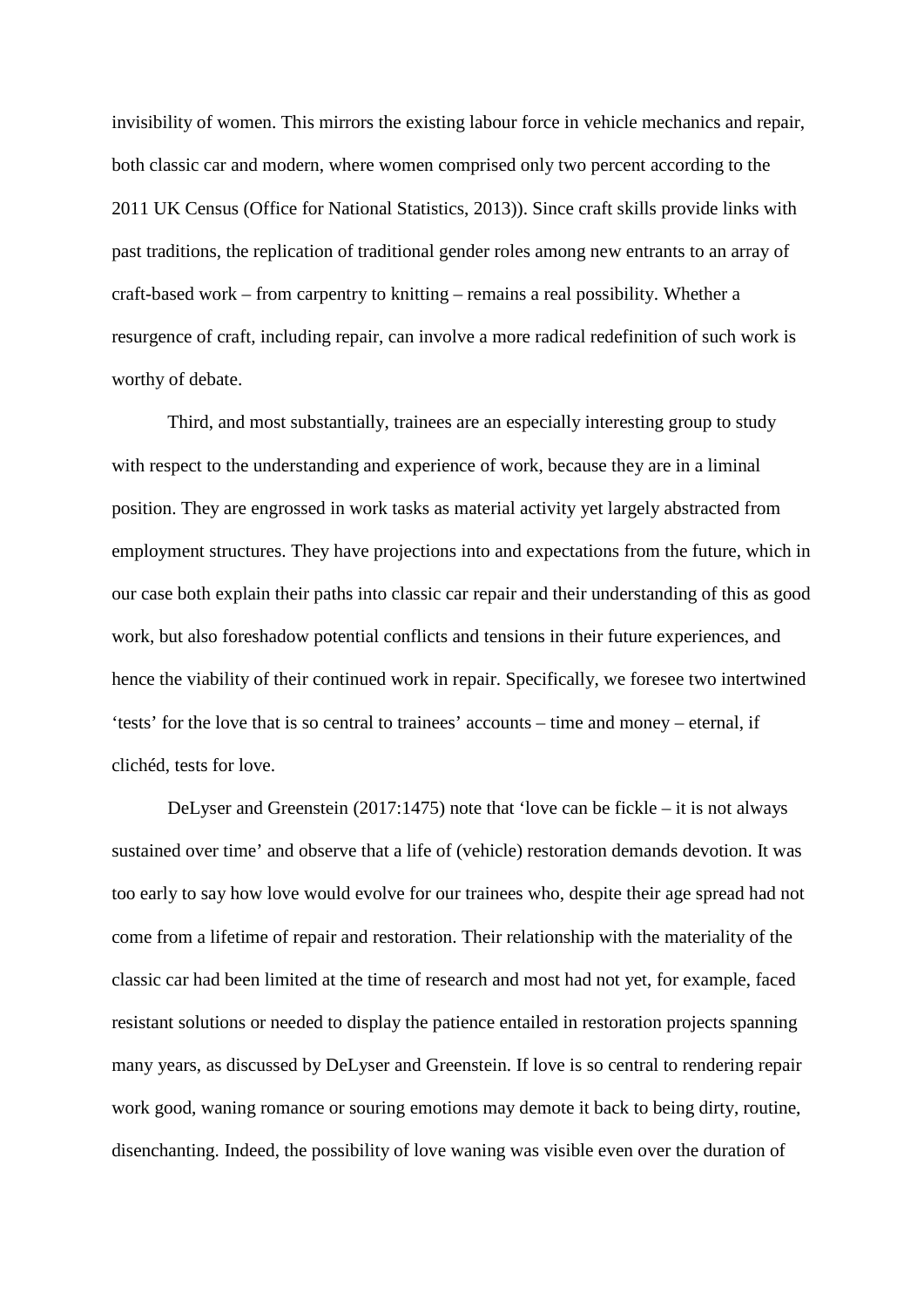invisibility of women. This mirrors the existing labour force in vehicle mechanics and repair, both classic car and modern, where women comprised only two percent according to the 2011 UK Census (Office for National Statistics, 2013)). Since craft skills provide links with past traditions, the replication of traditional gender roles among new entrants to an array of craft-based work – from carpentry to knitting – remains a real possibility. Whether a resurgence of craft, including repair, can involve a more radical redefinition of such work is worthy of debate.

Third, and most substantially, trainees are an especially interesting group to study with respect to the understanding and experience of work, because they are in a liminal position. They are engrossed in work tasks as material activity yet largely abstracted from employment structures. They have projections into and expectations from the future, which in our case both explain their paths into classic car repair and their understanding of this as good work, but also foreshadow potential conflicts and tensions in their future experiences, and hence the viability of their continued work in repair. Specifically, we foresee two intertwined 'tests' for the love that is so central to trainees' accounts – time and money – eternal, if clichéd, tests for love.

DeLyser and Greenstein (2017:1475) note that 'love can be fickle – it is not always sustained over time' and observe that a life of (vehicle) restoration demands devotion. It was too early to say how love would evolve for our trainees who, despite their age spread had not come from a lifetime of repair and restoration. Their relationship with the materiality of the classic car had been limited at the time of research and most had not yet, for example, faced resistant solutions or needed to display the patience entailed in restoration projects spanning many years, as discussed by DeLyser and Greenstein. If love is so central to rendering repair work good, waning romance or souring emotions may demote it back to being dirty, routine, disenchanting. Indeed, the possibility of love waning was visible even over the duration of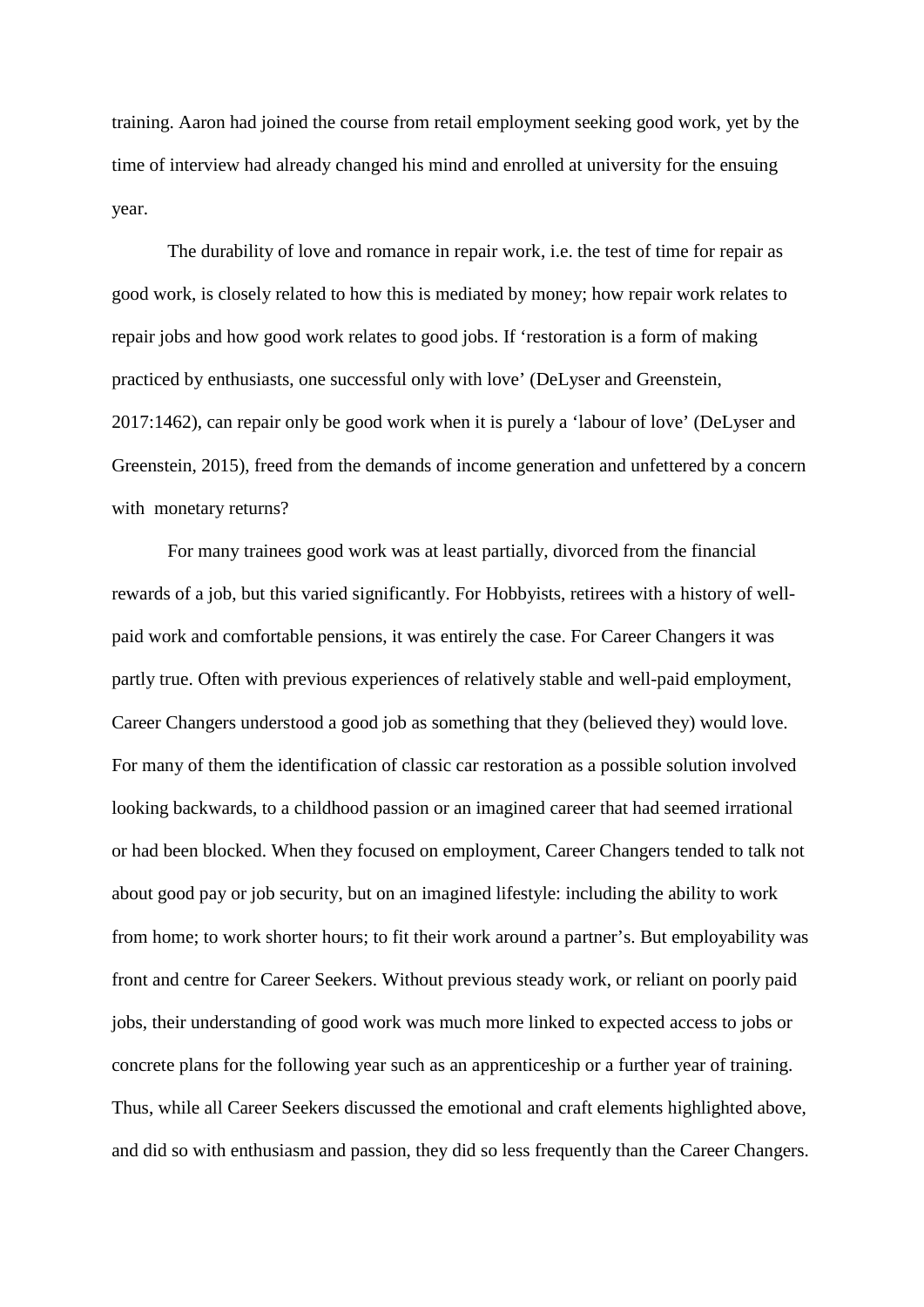training. Aaron had joined the course from retail employment seeking good work, yet by the time of interview had already changed his mind and enrolled at university for the ensuing year.

The durability of love and romance in repair work, i.e. the test of time for repair as good work, is closely related to how this is mediated by money; how repair work relates to repair jobs and how good work relates to good jobs. If 'restoration is a form of making practiced by enthusiasts, one successful only with love' (DeLyser and Greenstein, 2017:1462), can repair only be good work when it is purely a 'labour of love' (DeLyser and Greenstein, 2015), freed from the demands of income generation and unfettered by a concern with monetary returns?

For many trainees good work was at least partially, divorced from the financial rewards of a job, but this varied significantly. For Hobbyists, retirees with a history of wellpaid work and comfortable pensions, it was entirely the case. For Career Changers it was partly true. Often with previous experiences of relatively stable and well-paid employment, Career Changers understood a good job as something that they (believed they) would love. For many of them the identification of classic car restoration as a possible solution involved looking backwards, to a childhood passion or an imagined career that had seemed irrational or had been blocked. When they focused on employment, Career Changers tended to talk not about good pay or job security, but on an imagined lifestyle: including the ability to work from home; to work shorter hours; to fit their work around a partner's. But employability was front and centre for Career Seekers. Without previous steady work, or reliant on poorly paid jobs, their understanding of good work was much more linked to expected access to jobs or concrete plans for the following year such as an apprenticeship or a further year of training. Thus, while all Career Seekers discussed the emotional and craft elements highlighted above, and did so with enthusiasm and passion, they did so less frequently than the Career Changers.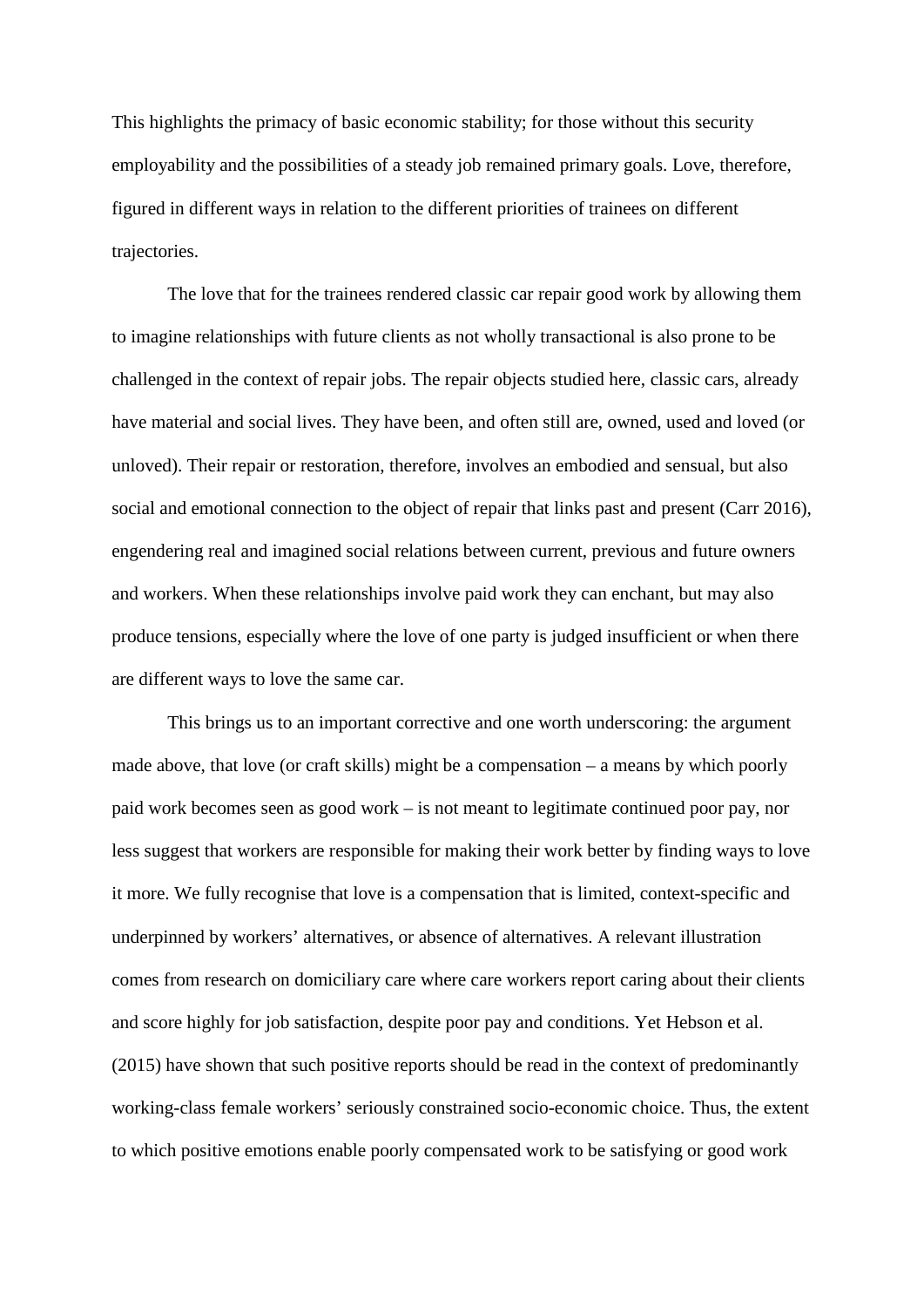This highlights the primacy of basic economic stability; for those without this security employability and the possibilities of a steady job remained primary goals. Love, therefore, figured in different ways in relation to the different priorities of trainees on different trajectories.

The love that for the trainees rendered classic car repair good work by allowing them to imagine relationships with future clients as not wholly transactional is also prone to be challenged in the context of repair jobs. The repair objects studied here, classic cars, already have material and social lives. They have been, and often still are, owned, used and loved (or unloved). Their repair or restoration, therefore, involves an embodied and sensual, but also social and emotional connection to the object of repair that links past and present (Carr 2016), engendering real and imagined social relations between current, previous and future owners and workers. When these relationships involve paid work they can enchant, but may also produce tensions, especially where the love of one party is judged insufficient or when there are different ways to love the same car.

This brings us to an important corrective and one worth underscoring: the argument made above, that love (or craft skills) might be a compensation – a means by which poorly paid work becomes seen as good work – is not meant to legitimate continued poor pay, nor less suggest that workers are responsible for making their work better by finding ways to love it more. We fully recognise that love is a compensation that is limited, context-specific and underpinned by workers' alternatives, or absence of alternatives. A relevant illustration comes from research on domiciliary care where care workers report caring about their clients and score highly for job satisfaction, despite poor pay and conditions. Yet Hebson et al. (2015) have shown that such positive reports should be read in the context of predominantly working-class female workers' seriously constrained socio-economic choice. Thus, the extent to which positive emotions enable poorly compensated work to be satisfying or good work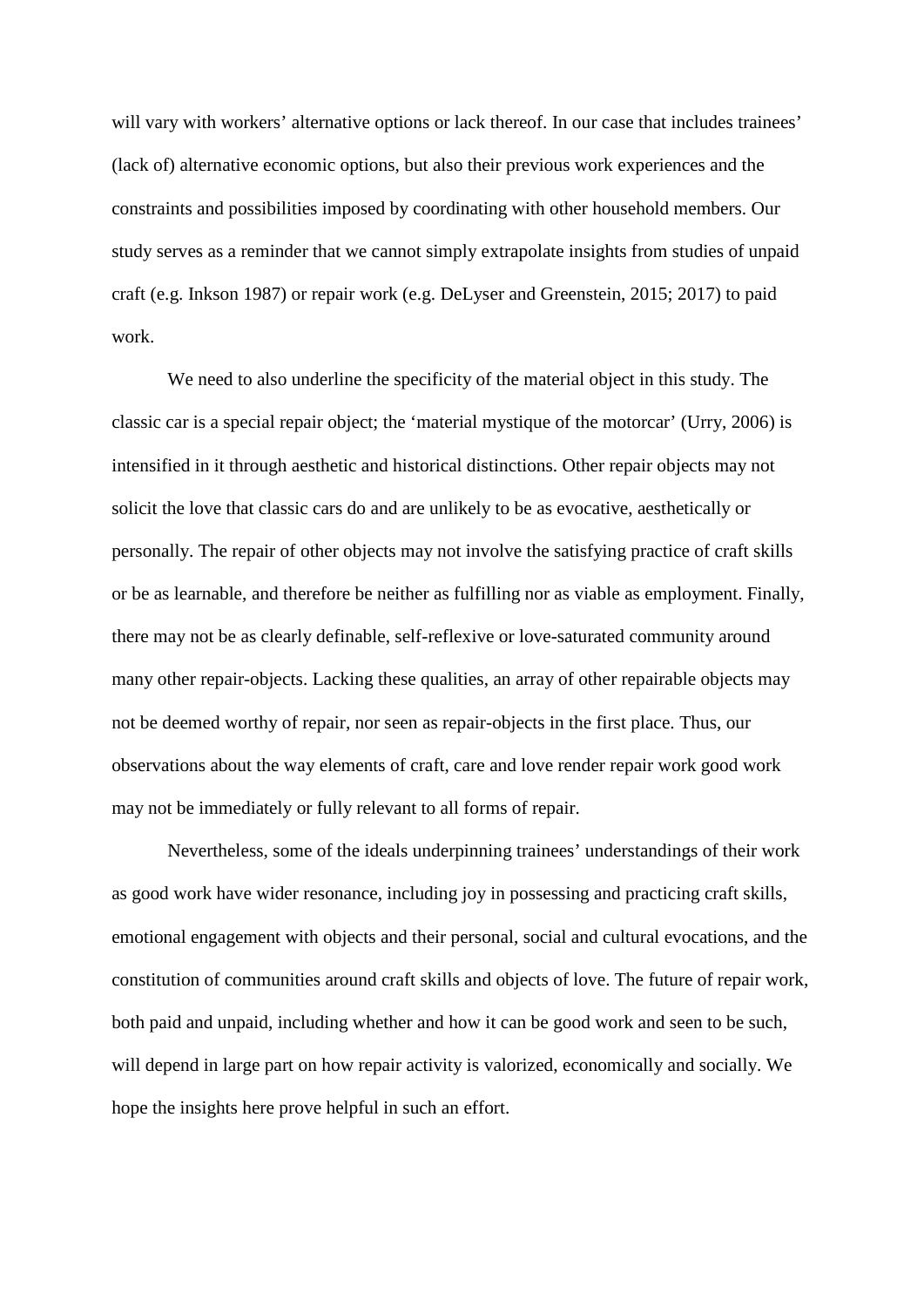will vary with workers' alternative options or lack thereof. In our case that includes trainees' (lack of) alternative economic options, but also their previous work experiences and the constraints and possibilities imposed by coordinating with other household members. Our study serves as a reminder that we cannot simply extrapolate insights from studies of unpaid craft (e.g. Inkson 1987) or repair work (e.g. DeLyser and Greenstein, 2015; 2017) to paid work.

We need to also underline the specificity of the material object in this study. The classic car is a special repair object; the 'material mystique of the motorcar' (Urry, 2006) is intensified in it through aesthetic and historical distinctions. Other repair objects may not solicit the love that classic cars do and are unlikely to be as evocative, aesthetically or personally. The repair of other objects may not involve the satisfying practice of craft skills or be as learnable, and therefore be neither as fulfilling nor as viable as employment. Finally, there may not be as clearly definable, self-reflexive or love-saturated community around many other repair-objects. Lacking these qualities, an array of other repairable objects may not be deemed worthy of repair, nor seen as repair-objects in the first place. Thus, our observations about the way elements of craft, care and love render repair work good work may not be immediately or fully relevant to all forms of repair.

Nevertheless, some of the ideals underpinning trainees' understandings of their work as good work have wider resonance, including joy in possessing and practicing craft skills, emotional engagement with objects and their personal, social and cultural evocations, and the constitution of communities around craft skills and objects of love. The future of repair work, both paid and unpaid, including whether and how it can be good work and seen to be such, will depend in large part on how repair activity is valorized, economically and socially. We hope the insights here prove helpful in such an effort.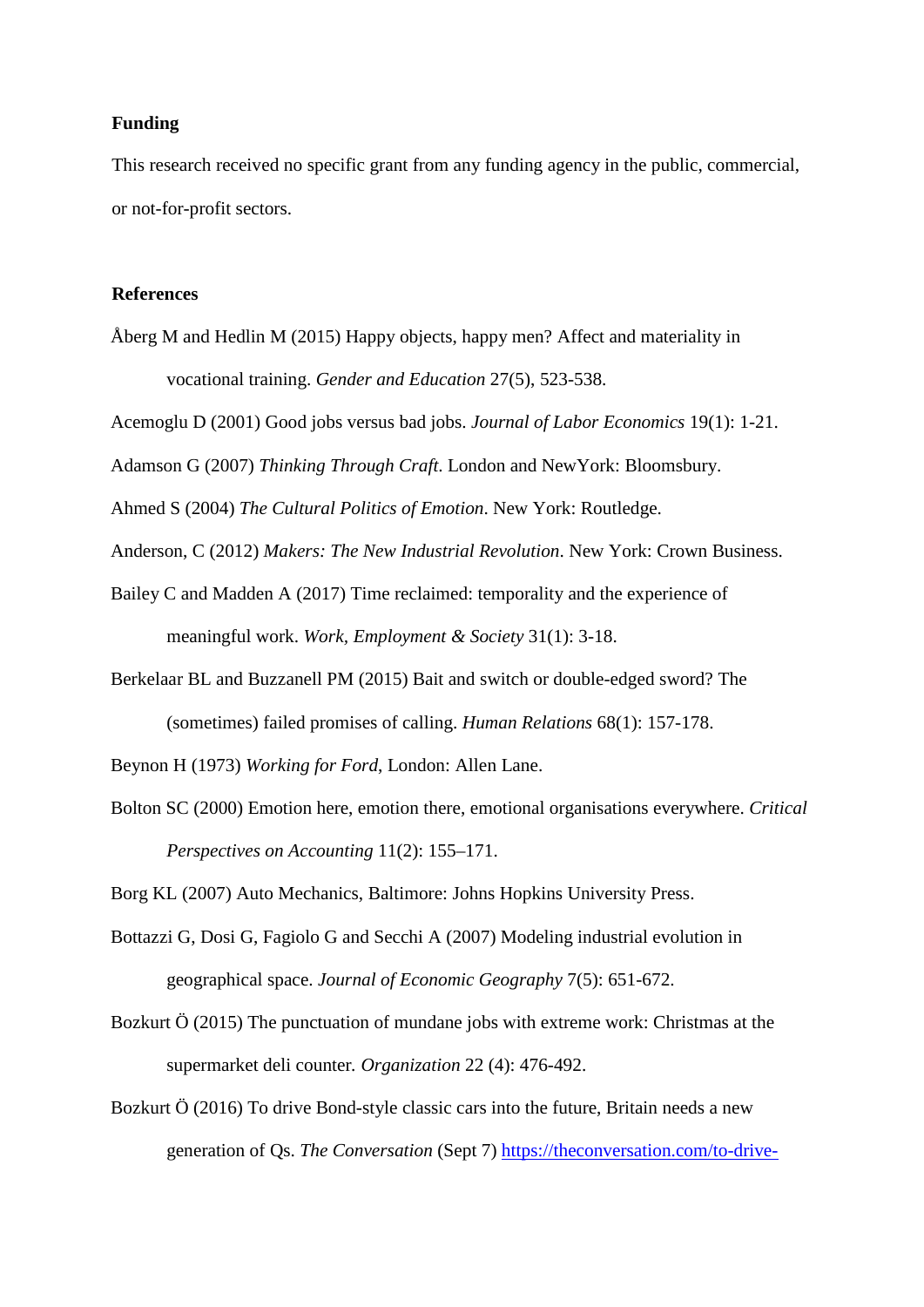## **Funding**

This research received no specific grant from any funding agency in the public, commercial, or not-for-profit sectors.

## **References**

- Åberg M and Hedlin M (2015) Happy objects, happy men? Affect and materiality in vocational training. *Gender and Education* 27(5), 523-538.
- Acemoglu D (2001) Good jobs versus bad jobs. *Journal of Labor Economics* 19(1): 1-21.

Adamson G (2007) *Thinking Through Craft*. London and NewYork: Bloomsbury.

Ahmed S (2004) *The Cultural Politics of Emotion*. New York: Routledge.

Anderson, C (2012) *Makers: The New Industrial Revolution*. New York: Crown Business.

Bailey C and Madden A (2017) Time reclaimed: temporality and the experience of meaningful work. *Work, Employment & Society* 31(1): 3-18.

Berkelaar BL and Buzzanell PM (2015) Bait and switch or double-edged sword? The (sometimes) failed promises of calling. *Human Relations* 68(1): 157-178.

Beynon H (1973) *Working for Ford*, London: Allen Lane.

Bolton SC (2000) Emotion here, emotion there, emotional organisations everywhere. *Critical Perspectives on Accounting* 11(2): 155–171.

Borg KL (2007) Auto Mechanics, Baltimore: Johns Hopkins University Press.

- Bottazzi G, Dosi G, Fagiolo G and Secchi A (2007) Modeling industrial evolution in geographical space. *Journal of Economic Geography* 7(5): 651-672.
- Bozkurt Ö (2015) [The punctuation of mundane jobs with extreme work: Christmas at the](http://sro.sussex.ac.uk/55220/)  [supermarket deli counter](http://sro.sussex.ac.uk/55220/)*. Organization* 22 (4): 476-492.
- Bozkurt Ö (2016) To drive Bond-style classic cars into the future, Britain needs a new generation of Qs. *The Conversation* (Sept 7) [https://theconversation.com/to-drive-](https://theconversation.com/to-drive-bond-style-classic-cars-into-the-future-britain-needs-a-new-generation-of-qs-63467)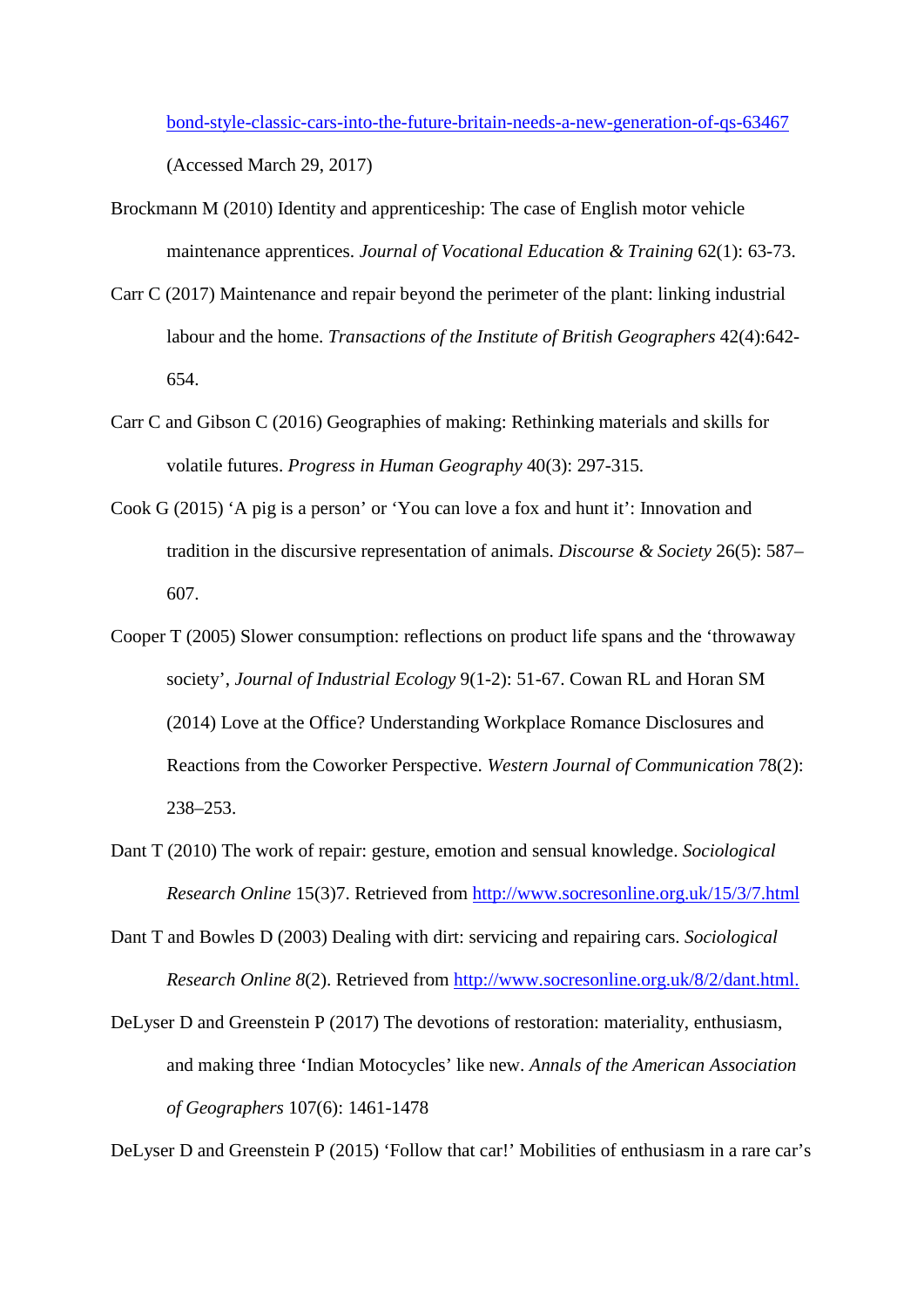[bond-style-classic-cars-into-the-future-britain-needs-a-new-generation-of-qs-63467](https://theconversation.com/to-drive-bond-style-classic-cars-into-the-future-britain-needs-a-new-generation-of-qs-63467) (Accessed March 29, 2017)

- Brockmann M (2010) Identity and apprenticeship: The case of English motor vehicle maintenance apprentices. *Journal of Vocational Education & Training* 62(1): 63-73.
- Carr C (2017) Maintenance and repair beyond the perimeter of the plant: linking industrial labour and the home. *Transactions of the Institute of British Geographers* 42(4):642- 654.
- Carr C and Gibson C (2016) Geographies of making: Rethinking materials and skills for volatile futures. *Progress in Human Geography* 40(3): 297-315.
- Cook G (2015) 'A pig is a person' or 'You can love a fox and hunt it': Innovation and tradition in the discursive representation of animals. *Discourse & Society* 26(5): 587– 607.
- Cooper T (2005) Slower consumption: reflections on product life spans and the 'throwaway society', *Journal of Industrial Ecology* 9(1-2): 51-67. Cowan RL and Horan SM (2014) Love at the Office? Understanding Workplace Romance Disclosures and Reactions from the Coworker Perspective. *Western Journal of Communication* 78(2): 238–253.
- Dant T (2010) The work of repair: gesture, emotion and sensual knowledge. *Sociological Research Online* 15(3)7. Retrieved from <http://www.socresonline.org.uk/15/3/7.html>
- Dant T and Bowles D (2003) Dealing with dirt: servicing and repairing cars. *Sociological Research Online 8*(2). Retrieved from [http://www.socresonline.org.uk/8/2/dant.html.](http://www.socresonline.org.uk/8/2/dant.html)
- DeLyser D and Greenstein P (2017) The devotions of restoration: materiality, enthusiasm, and making three 'Indian Motocycles' like new. *Annals of the American Association of Geographers* 107(6): 1461-1478

DeLyser D and Greenstein P (2015) 'Follow that car!' Mobilities of enthusiasm in a rare car's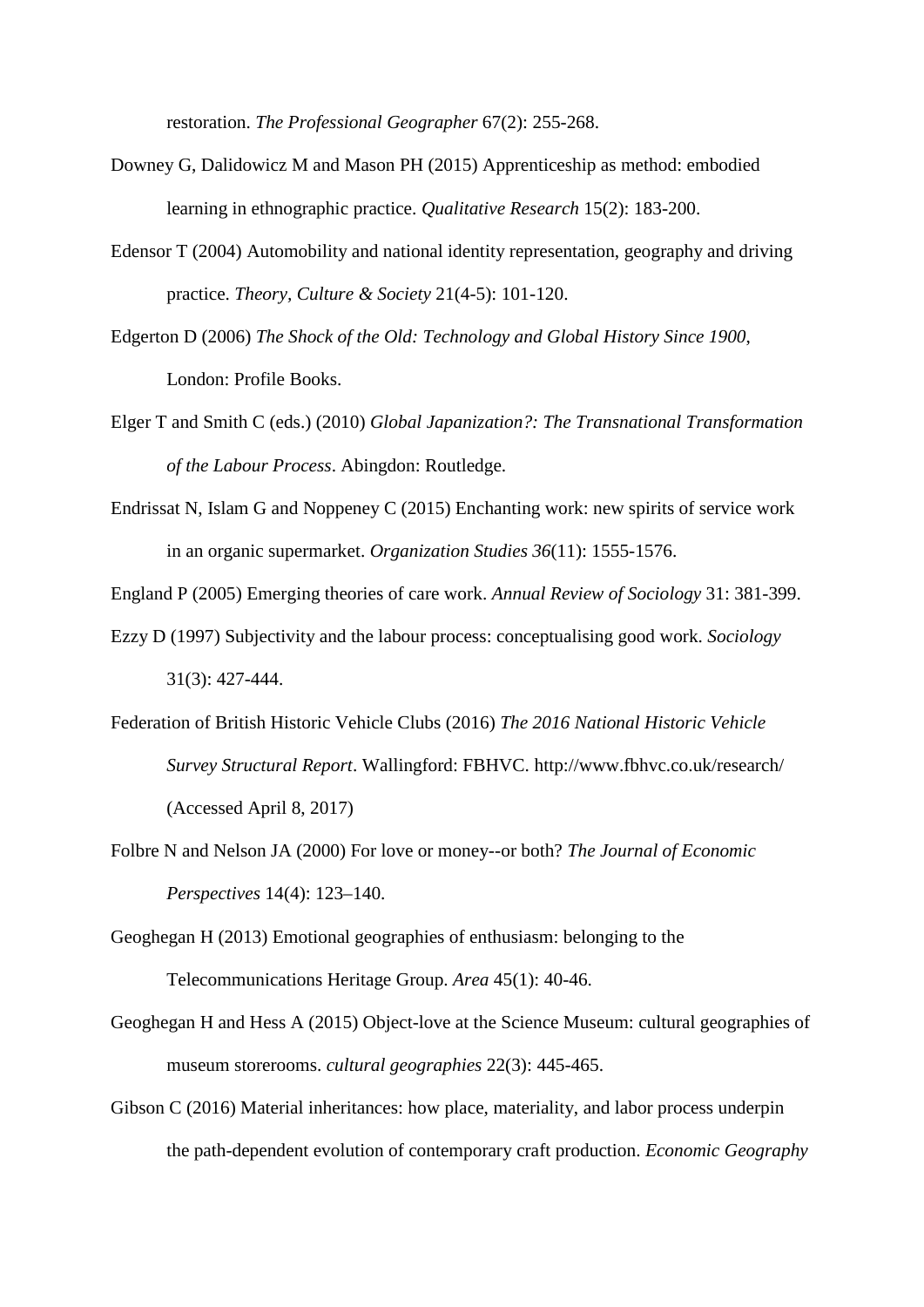restoration. *The Professional Geographer* 67(2): 255-268.

- Downey G, Dalidowicz M and Mason PH (2015) Apprenticeship as method: embodied learning in ethnographic practice. *Qualitative Research* 15(2): 183-200.
- Edensor T (2004) Automobility and national identity representation, geography and driving practice. *Theory, Culture & Society* 21(4-5): 101-120.
- Edgerton D (2006) *The Shock of the Old: Technology and Global History Since 1900*, London: Profile Books.
- Elger T and Smith C (eds.) (2010) *Global Japanization?: The Transnational Transformation of the Labour Process*. Abingdon: Routledge.
- Endrissat N, Islam G and Noppeney C (2015) Enchanting work: new spirits of service work in an organic supermarket. *Organization Studies 36*(11): 1555-1576.
- England P (2005) Emerging theories of care work. *Annual Review of Sociology* 31: 381-399.
- Ezzy D (1997) Subjectivity and the labour process: conceptualising good work. *Sociology* 31(3): 427-444.
- Federation of British Historic Vehicle Clubs (2016) *The 2016 National Historic Vehicle Survey Structural Report*. Wallingford: FBHVC. http://www.fbhvc.co.uk/research/ (Accessed April 8, 2017)
- Folbre N and Nelson JA (2000) For love or money--or both? *The Journal of Economic Perspectives* 14(4): 123–140.
- Geoghegan H (2013) Emotional geographies of enthusiasm: belonging to the Telecommunications Heritage Group. *Area* 45(1): 40-46.
- Geoghegan H and Hess A (2015) Object-love at the Science Museum: cultural geographies of museum storerooms. *cultural geographies* 22(3): 445-465.
- Gibson C (2016) Material inheritances: how place, materiality, and labor process underpin the path-dependent evolution of contemporary craft production. *Economic Geography*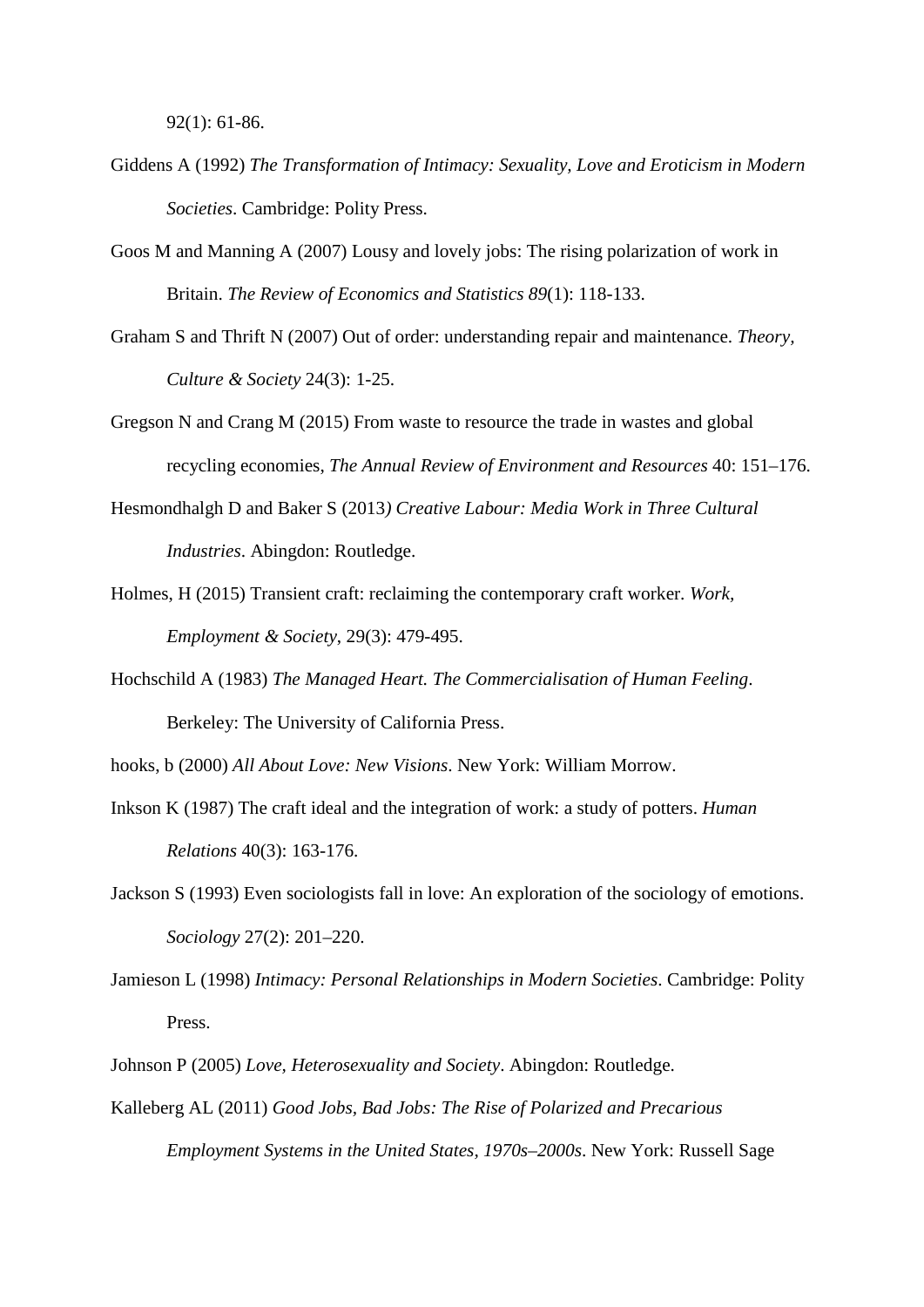92(1): 61-86.

- Giddens A (1992) *The Transformation of Intimacy: Sexuality, Love and Eroticism in Modern Societies*. Cambridge: Polity Press.
- Goos M and Manning A (2007) Lousy and lovely jobs: The rising polarization of work in Britain. *The Review of Economics and Statistics 89*(1): 118-133.
- Graham S and Thrift N (2007) Out of order: understanding repair and maintenance. *Theory, Culture & Society* 24(3): 1-25.
- Gregson N and Crang M (2015) From waste to resource the trade in wastes and global recycling economies, *The Annual Review of Environment and Resources* 40: 151–176.
- Hesmondhalgh D and Baker S (2013*) Creative Labour: Media Work in Three Cultural Industries*. Abingdon: Routledge.
- Holmes, H (2015) Transient craft: reclaiming the contemporary craft worker. *Work, Employment & Society*, 29(3): 479-495.
- Hochschild A (1983) *The Managed Heart. The Commercialisation of Human Feeling*. Berkeley: The University of California Press.
- hooks, b (2000) *All About Love: New Visions*. New York: William Morrow.
- Inkson K (1987) The craft ideal and the integration of work: a study of potters. *Human Relations* 40(3): 163-176.
- Jackson S (1993) Even sociologists fall in love: An exploration of the sociology of emotions. *Sociology* 27(2): 201–220.
- Jamieson L (1998) *Intimacy: Personal Relationships in Modern Societies*. Cambridge: Polity Press.
- Johnson P (2005) *Love, Heterosexuality and Society*. Abingdon: Routledge.
- Kalleberg AL (2011) *Good Jobs, Bad Jobs: The Rise of Polarized and Precarious Employment Systems in the United States, 1970s–2000s*. New York: Russell Sage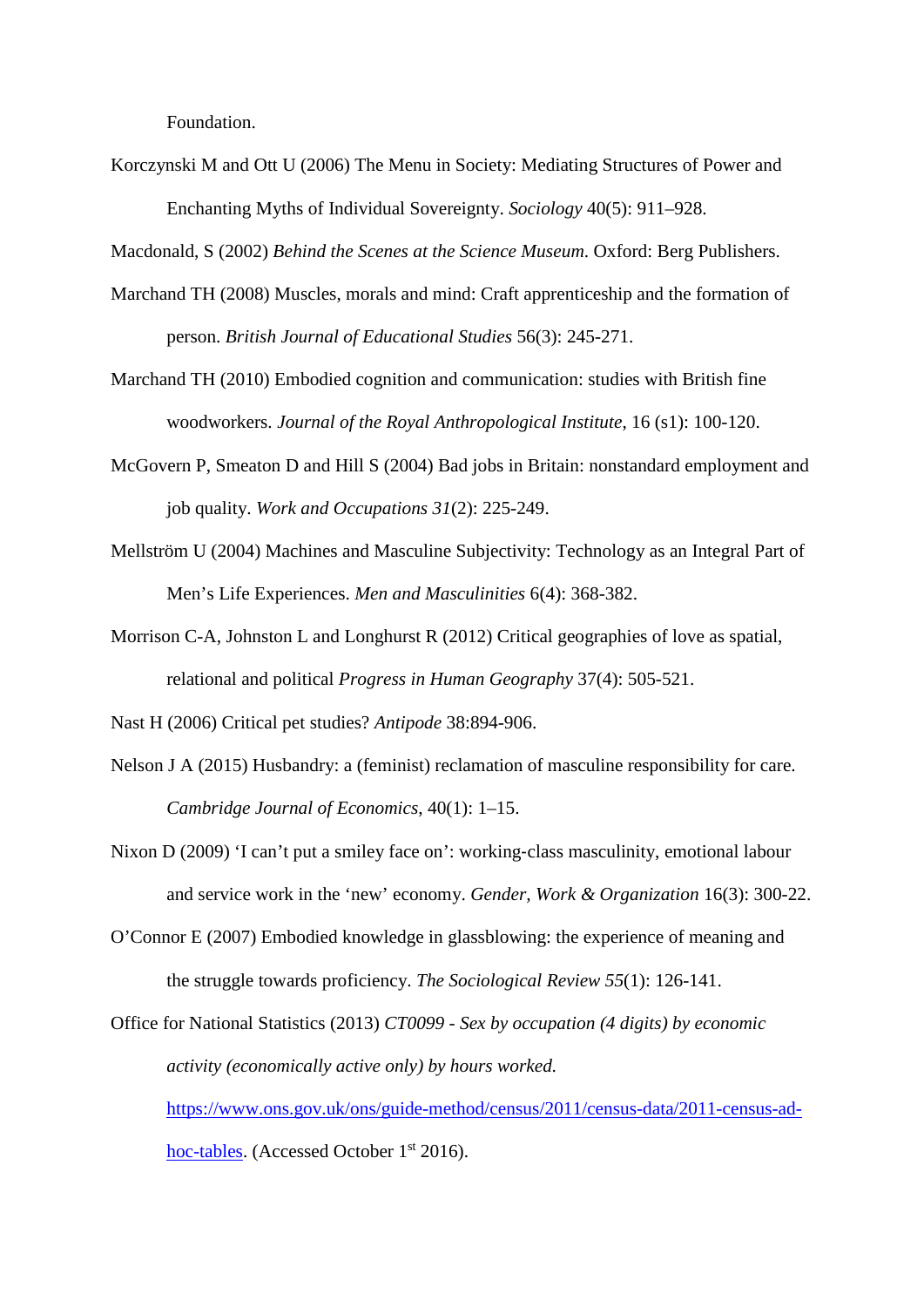Foundation.

Korczynski M and Ott U (2006) The Menu in Society: Mediating Structures of Power and Enchanting Myths of Individual Sovereignty. *Sociology* 40(5): 911–928.

Macdonald, S (2002) *Behind the Scenes at the Science Museum*. Oxford: Berg Publishers.

- Marchand TH (2008) Muscles, morals and mind: Craft apprenticeship and the formation of person. *British Journal of Educational Studies* 56(3): 245-271.
- Marchand TH (2010) Embodied cognition and communication: studies with British fine woodworkers. *Journal of the Royal Anthropological Institute*, 16 (s1): 100-120.
- McGovern P, Smeaton D and Hill S (2004) Bad jobs in Britain: nonstandard employment and job quality. *Work and Occupations 31*(2): 225-249.
- Mellström U (2004) Machines and Masculine Subjectivity: Technology as an Integral Part of Men's Life Experiences. *Men and Masculinities* 6(4): 368-382.
- Morrison C-A, Johnston L and Longhurst R (2012) Critical geographies of love as spatial, relational and political *Progress in Human Geography* 37(4): 505-521.
- Nast H (2006) Critical pet studies? *Antipode* 38:894-906.
- Nelson J A (2015) Husbandry: a (feminist) reclamation of masculine responsibility for care. *Cambridge Journal of Economics*, 40(1): 1–15.
- Nixon D (2009) 'I can't put a smiley face on': working-class masculinity, emotional labour and service work in the 'new' economy. *Gender, Work & Organization* 16(3): 300-22.
- O'Connor E (2007) Embodied knowledge in glassblowing: the experience of meaning and the struggle towards proficiency. *The Sociological Review 55*(1): 126-141.

Office for National Statistics (2013) *CT0099 - Sex by occupation (4 digits) by economic activity (economically active only) by hours worked.* [https://www.ons.gov.uk/ons/guide-method/census/2011/census-data/2011-census-ad](https://www.ons.gov.uk/ons/guide-method/census/2011/census-data/2011-census-ad-hoc-tables/ct0099---sex-by-occupation-by-economic-activity-by-hours-worked-in-england-and-wales.xls)[hoc-tables.](https://www.ons.gov.uk/ons/guide-method/census/2011/census-data/2011-census-ad-hoc-tables/ct0099---sex-by-occupation-by-economic-activity-by-hours-worked-in-england-and-wales.xls) (Accessed October 1<sup>st</sup> 2016).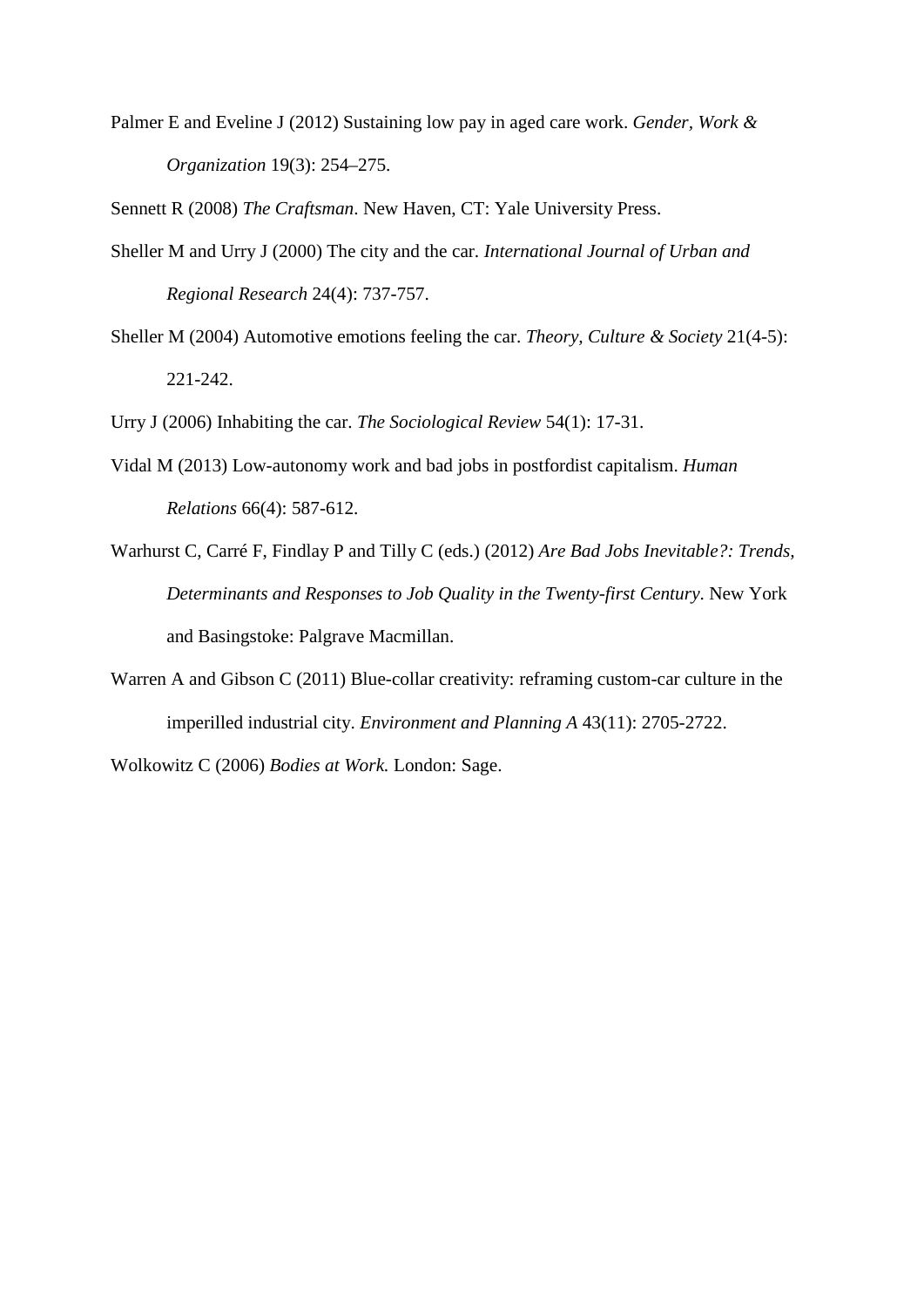Palmer E and Eveline J (2012) Sustaining low pay in aged care work. *Gender, Work & Organization* 19(3): 254–275.

Sennett R (2008) *The Craftsman*. New Haven, CT: Yale University Press.

- Sheller M and Urry J (2000) The city and the car. *International Journal of Urban and Regional Research* 24(4): 737-757.
- Sheller M (2004) Automotive emotions feeling the car. *Theory, Culture & Society* 21(4-5): 221-242.

Urry J (2006) Inhabiting the car. *The Sociological Review* 54(1): 17-31.

- Vidal M (2013) Low-autonomy work and bad jobs in postfordist capitalism. *Human Relations* 66(4): 587-612.
- Warhurst C, Carré F, Findlay P and Tilly C (eds.) (2012) *Are Bad Jobs Inevitable?: Trends, Determinants and Responses to Job Quality in the Twenty-first Century*. New York and Basingstoke: Palgrave Macmillan.
- Warren A and Gibson C (2011) Blue-collar creativity: reframing custom-car culture in the imperilled industrial city. *Environment and Planning A* 43(11): 2705-2722.

Wolkowitz C (2006) *Bodies at Work.* London: Sage.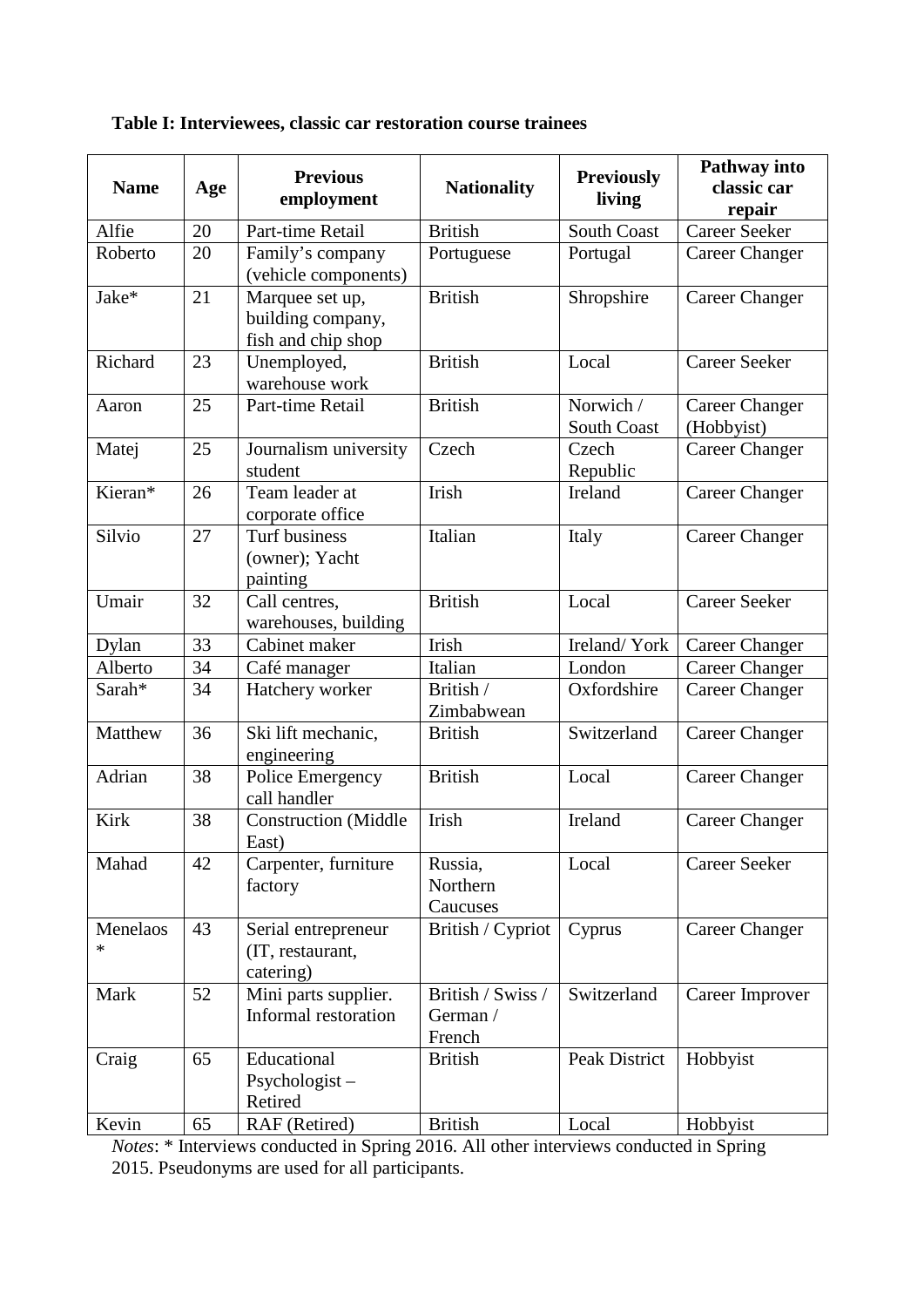| <b>Name</b>        | Age | <b>Previous</b><br>employment                              | <b>Nationality</b>                      | <b>Previously</b><br>living | Pathway into<br>classic car<br>repair |
|--------------------|-----|------------------------------------------------------------|-----------------------------------------|-----------------------------|---------------------------------------|
| Alfie              | 20  | Part-time Retail                                           | <b>British</b>                          | South Coast                 | <b>Career Seeker</b>                  |
| Roberto            | 20  | Family's company<br>(vehicle components)                   | Portuguese                              | Portugal                    | Career Changer                        |
| Jake*              | 21  | Marquee set up,<br>building company,<br>fish and chip shop | <b>British</b>                          | Shropshire                  | <b>Career Changer</b>                 |
| Richard            | 23  | Unemployed,<br>warehouse work                              | <b>British</b>                          | Local                       | <b>Career Seeker</b>                  |
| Aaron              | 25  | Part-time Retail                                           | <b>British</b>                          | Norwich /<br>South Coast    | <b>Career Changer</b><br>(Hobbyist)   |
| Matej              | 25  | Journalism university<br>student                           | Czech                                   | Czech<br>Republic           | <b>Career Changer</b>                 |
| Kieran*            | 26  | Team leader at<br>corporate office                         | Irish                                   | Ireland                     | <b>Career Changer</b>                 |
| Silvio             | 27  | <b>Turf business</b><br>(owner); Yacht<br>painting         | Italian                                 | Italy                       | Career Changer                        |
| Umair              | 32  | Call centres,<br>warehouses, building                      | <b>British</b>                          | Local                       | <b>Career Seeker</b>                  |
| Dylan              | 33  | Cabinet maker                                              | Irish                                   | Ireland/York                | <b>Career Changer</b>                 |
| Alberto            | 34  | Café manager                                               | Italian                                 | London                      | <b>Career Changer</b>                 |
| Sarah*             | 34  | Hatchery worker                                            | British /<br>Zimbabwean                 | Oxfordshire                 | <b>Career Changer</b>                 |
| Matthew            | 36  | Ski lift mechanic,<br>engineering                          | <b>British</b>                          | Switzerland                 | <b>Career Changer</b>                 |
| Adrian             | 38  | Police Emergency<br>call handler                           | <b>British</b>                          | Local                       | <b>Career Changer</b>                 |
| Kirk               | 38  | <b>Construction</b> (Middle<br>East)                       | Irish                                   | Ireland                     | <b>Career Changer</b>                 |
| Mahad              | 42  | Carpenter, furniture<br>factory                            | Russia,<br>Northern<br>Caucuses         | Local                       | Career Seeker                         |
| Menelaos<br>$\ast$ | 43  | Serial entrepreneur<br>(IT, restaurant,<br>catering)       | British / Cypriot                       | Cyprus                      | <b>Career Changer</b>                 |
| Mark               | 52  | Mini parts supplier.<br>Informal restoration               | British / Swiss /<br>German /<br>French | Switzerland                 | Career Improver                       |
| Craig              | 65  | Educational<br>Psychologist –<br>Retired                   | <b>British</b>                          | Peak District               | Hobbyist                              |
| Kevin              | 65  | RAF (Retired)                                              | <b>British</b>                          | Local                       | Hobbyist                              |

## **Table I: Interviewees, classic car restoration course trainees**

*Notes*: \* Interviews conducted in Spring 2016. All other interviews conducted in Spring 2015. Pseudonyms are used for all participants.